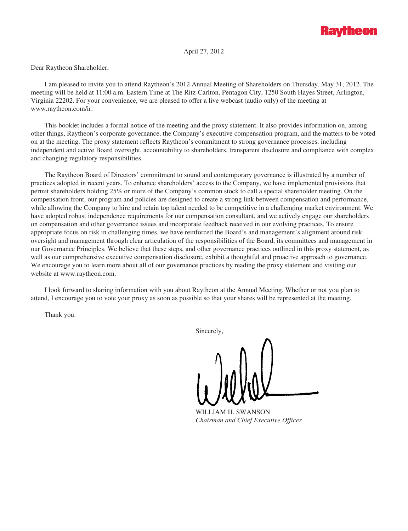

April 27, 2012

Dear Raytheon Shareholder,

I am pleased to invite you to attend Raytheon's 2012 Annual Meeting of Shareholders on Thursday, May 31, 2012. The meeting will be held at 11:00 a.m. Eastern Time at The Ritz-Carlton, Pentagon City, 1250 South Hayes Street, Arlington, Virginia 22202. For your convenience, we are pleased to offer a live webcast (audio only) of the meeting at www.raytheon.com/ir.

This booklet includes a formal notice of the meeting and the proxy statement. It also provides information on, among other things, Raytheon's corporate governance, the Company's executive compensation program, and the matters to be voted on at the meeting. The proxy statement reflects Raytheon's commitment to strong governance processes, including independent and active Board oversight, accountability to shareholders, transparent disclosure and compliance with complex and changing regulatory responsibilities.

The Raytheon Board of Directors' commitment to sound and contemporary governance is illustrated by a number of practices adopted in recent years. To enhance shareholders' access to the Company, we have implemented provisions that permit shareholders holding 25% or more of the Company's common stock to call a special shareholder meeting. On the compensation front, our program and policies are designed to create a strong link between compensation and performance, while allowing the Company to hire and retain top talent needed to be competitive in a challenging market environment. We have adopted robust independence requirements for our compensation consultant, and we actively engage our shareholders on compensation and other governance issues and incorporate feedback received in our evolving practices. To ensure appropriate focus on risk in challenging times, we have reinforced the Board's and management's alignment around risk oversight and management through clear articulation of the responsibilities of the Board, its committees and management in our Governance Principles. We believe that these steps, and other governance practices outlined in this proxy statement, as well as our comprehensive executive compensation disclosure, exhibit a thoughtful and proactive approach to governance. We encourage you to learn more about all of our governance practices by reading the proxy statement and visiting our website at www.raytheon.com.

I look forward to sharing information with you about Raytheon at the Annual Meeting. Whether or not you plan to attend, I encourage you to vote your proxy as soon as possible so that your shares will be represented at the meeting.

Thank you.

Sincerely,

WILLIAM H. SWANSON *Chairman and Chief Executive Officer*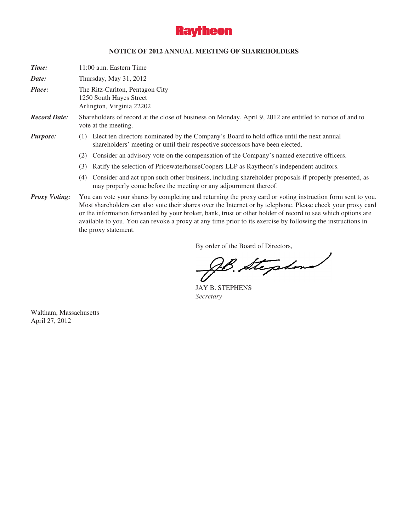

# **NOTICE OF 2012 ANNUAL MEETING OF SHAREHOLDERS**

| Time:                | $11:00$ a.m. Eastern Time                                                                                                                                                         |
|----------------------|-----------------------------------------------------------------------------------------------------------------------------------------------------------------------------------|
| Date:                | Thursday, May 31, 2012                                                                                                                                                            |
| Place:               | The Ritz-Carlton, Pentagon City<br>1250 South Hayes Street<br>Arlington, Virginia 22202                                                                                           |
| <b>Record Date:</b>  | Shareholders of record at the close of business on Monday, April 9, 2012 are entitled to notice of and to<br>vote at the meeting.                                                 |
| Purpose:             | Elect ten directors nominated by the Company's Board to hold office until the next annual<br>(1)<br>shareholders' meeting or until their respective successors have been elected. |
|                      | Consider an advisory vote on the compensation of the Company's named executive officers.<br>(2)                                                                                   |
|                      | Ratify the selection of PricewaterhouseCoopers LLP as Raytheon's independent auditors.<br>(3)                                                                                     |
|                      | Consider and act upon such other business, including shareholder proposals if properly presented, as<br>(4)<br>may properly come before the meeting or any adjournment thereof.   |
| <b>Proxy Voting:</b> | You can vote your shares by completing and returning the proxy card or voting instruction form sent to you.                                                                       |

Most shareholders can also vote their shares over the Internet or by telephone. Please check your proxy card or the information forwarded by your broker, bank, trust or other holder of record to see which options are available to you. You can revoke a proxy at any time prior to its exercise by following the instructions in the proxy statement.

By order of the Board of Directors,

B. Stephen

JAY B. STEPHENS *Secretary*

Waltham, Massachusetts April 27, 2012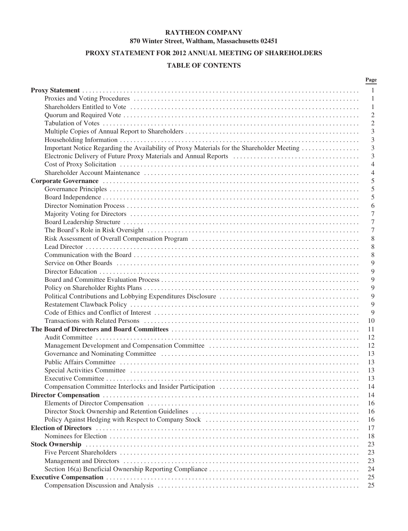# **RAYTHEON COMPANY 870 Winter Street, Waltham, Massachusetts 02451**

# **PROXY STATEMENT FOR 2012 ANNUAL MEETING OF SHAREHOLDERS**

# **TABLE OF CONTENTS**

|                                                                                                                                                                                                                                | Page           |
|--------------------------------------------------------------------------------------------------------------------------------------------------------------------------------------------------------------------------------|----------------|
|                                                                                                                                                                                                                                | 1              |
|                                                                                                                                                                                                                                | 1              |
|                                                                                                                                                                                                                                | 1              |
|                                                                                                                                                                                                                                | $\mathbf{2}$   |
|                                                                                                                                                                                                                                | $\overline{2}$ |
|                                                                                                                                                                                                                                | 3              |
|                                                                                                                                                                                                                                | 3              |
| Important Notice Regarding the Availability of Proxy Materials for the Shareholder Meeting                                                                                                                                     | 3              |
|                                                                                                                                                                                                                                | 3              |
|                                                                                                                                                                                                                                | $\overline{4}$ |
|                                                                                                                                                                                                                                | 4              |
|                                                                                                                                                                                                                                | 5              |
|                                                                                                                                                                                                                                | 5              |
|                                                                                                                                                                                                                                | 5              |
|                                                                                                                                                                                                                                |                |
|                                                                                                                                                                                                                                | 6              |
|                                                                                                                                                                                                                                | 7              |
|                                                                                                                                                                                                                                | 7              |
|                                                                                                                                                                                                                                | 7              |
|                                                                                                                                                                                                                                | 8              |
|                                                                                                                                                                                                                                | 8              |
|                                                                                                                                                                                                                                | 8              |
|                                                                                                                                                                                                                                | 9              |
|                                                                                                                                                                                                                                | 9              |
|                                                                                                                                                                                                                                | 9              |
|                                                                                                                                                                                                                                | 9              |
|                                                                                                                                                                                                                                | 9              |
|                                                                                                                                                                                                                                | 9              |
|                                                                                                                                                                                                                                | 9              |
|                                                                                                                                                                                                                                | 10             |
|                                                                                                                                                                                                                                | 11             |
|                                                                                                                                                                                                                                | 12             |
|                                                                                                                                                                                                                                | 12             |
|                                                                                                                                                                                                                                | 13             |
|                                                                                                                                                                                                                                | 13             |
|                                                                                                                                                                                                                                | 13             |
|                                                                                                                                                                                                                                | 13             |
|                                                                                                                                                                                                                                | 14             |
|                                                                                                                                                                                                                                | 14             |
|                                                                                                                                                                                                                                | 16             |
|                                                                                                                                                                                                                                | 16             |
|                                                                                                                                                                                                                                | 16             |
| Election of Directors (and according to the control of the control of the control of Directors (and according to the control of the control of the control of the control of the control of the control of the control of the  | 17             |
|                                                                                                                                                                                                                                | 18             |
| Stock Ownership (a) and the contract of the contract of the contract of the contract of the contract of the contract of the contract of the contract of the contract of the contract of the contract of the contract of the co | 23             |
|                                                                                                                                                                                                                                | 23             |
|                                                                                                                                                                                                                                | 23             |
|                                                                                                                                                                                                                                | 24             |
|                                                                                                                                                                                                                                | 25             |
|                                                                                                                                                                                                                                | 25             |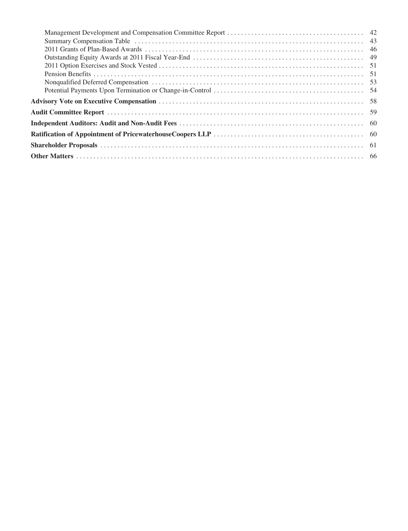| Summary Compensation Table (a) and the context of the context of the context of the context of the context of the context of the context of the context of the context of the context of the context of the context of the con |  |
|--------------------------------------------------------------------------------------------------------------------------------------------------------------------------------------------------------------------------------|--|
|                                                                                                                                                                                                                                |  |
|                                                                                                                                                                                                                                |  |
|                                                                                                                                                                                                                                |  |
|                                                                                                                                                                                                                                |  |
|                                                                                                                                                                                                                                |  |
|                                                                                                                                                                                                                                |  |
|                                                                                                                                                                                                                                |  |
|                                                                                                                                                                                                                                |  |
|                                                                                                                                                                                                                                |  |
|                                                                                                                                                                                                                                |  |
|                                                                                                                                                                                                                                |  |
|                                                                                                                                                                                                                                |  |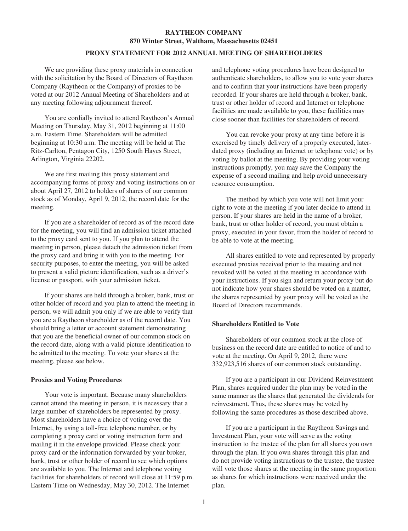# **RAYTHEON COMPANY 870 Winter Street, Waltham, Massachusetts 02451**

## **PROXY STATEMENT FOR 2012 ANNUAL MEETING OF SHAREHOLDERS**

We are providing these proxy materials in connection with the solicitation by the Board of Directors of Raytheon Company (Raytheon or the Company) of proxies to be voted at our 2012 Annual Meeting of Shareholders and at any meeting following adjournment thereof.

You are cordially invited to attend Raytheon's Annual Meeting on Thursday, May 31, 2012 beginning at 11:00 a.m. Eastern Time. Shareholders will be admitted beginning at 10:30 a.m. The meeting will be held at The Ritz-Carlton, Pentagon City, 1250 South Hayes Street, Arlington, Virginia 22202.

We are first mailing this proxy statement and accompanying forms of proxy and voting instructions on or about April 27, 2012 to holders of shares of our common stock as of Monday, April 9, 2012, the record date for the meeting.

If you are a shareholder of record as of the record date for the meeting, you will find an admission ticket attached to the proxy card sent to you. If you plan to attend the meeting in person, please detach the admission ticket from the proxy card and bring it with you to the meeting. For security purposes, to enter the meeting, you will be asked to present a valid picture identification, such as a driver's license or passport, with your admission ticket.

If your shares are held through a broker, bank, trust or other holder of record and you plan to attend the meeting in person, we will admit you only if we are able to verify that you are a Raytheon shareholder as of the record date. You should bring a letter or account statement demonstrating that you are the beneficial owner of our common stock on the record date, along with a valid picture identification to be admitted to the meeting. To vote your shares at the meeting, please see below.

#### **Proxies and Voting Procedures**

Your vote is important. Because many shareholders cannot attend the meeting in person, it is necessary that a large number of shareholders be represented by proxy. Most shareholders have a choice of voting over the Internet, by using a toll-free telephone number, or by completing a proxy card or voting instruction form and mailing it in the envelope provided. Please check your proxy card or the information forwarded by your broker, bank, trust or other holder of record to see which options are available to you. The Internet and telephone voting facilities for shareholders of record will close at 11:59 p.m. Eastern Time on Wednesday, May 30, 2012. The Internet

and telephone voting procedures have been designed to authenticate shareholders, to allow you to vote your shares and to confirm that your instructions have been properly recorded. If your shares are held through a broker, bank, trust or other holder of record and Internet or telephone facilities are made available to you, these facilities may close sooner than facilities for shareholders of record.

You can revoke your proxy at any time before it is exercised by timely delivery of a properly executed, laterdated proxy (including an Internet or telephone vote) or by voting by ballot at the meeting. By providing your voting instructions promptly, you may save the Company the expense of a second mailing and help avoid unnecessary resource consumption.

The method by which you vote will not limit your right to vote at the meeting if you later decide to attend in person. If your shares are held in the name of a broker, bank, trust or other holder of record, you must obtain a proxy, executed in your favor, from the holder of record to be able to vote at the meeting.

All shares entitled to vote and represented by properly executed proxies received prior to the meeting and not revoked will be voted at the meeting in accordance with your instructions. If you sign and return your proxy but do not indicate how your shares should be voted on a matter, the shares represented by your proxy will be voted as the Board of Directors recommends.

#### **Shareholders Entitled to Vote**

Shareholders of our common stock at the close of business on the record date are entitled to notice of and to vote at the meeting. On April 9, 2012, there were 332,923,516 shares of our common stock outstanding.

If you are a participant in our Dividend Reinvestment Plan, shares acquired under the plan may be voted in the same manner as the shares that generated the dividends for reinvestment. Thus, these shares may be voted by following the same procedures as those described above.

If you are a participant in the Raytheon Savings and Investment Plan, your vote will serve as the voting instruction to the trustee of the plan for all shares you own through the plan. If you own shares through this plan and do not provide voting instructions to the trustee, the trustee will vote those shares at the meeting in the same proportion as shares for which instructions were received under the plan.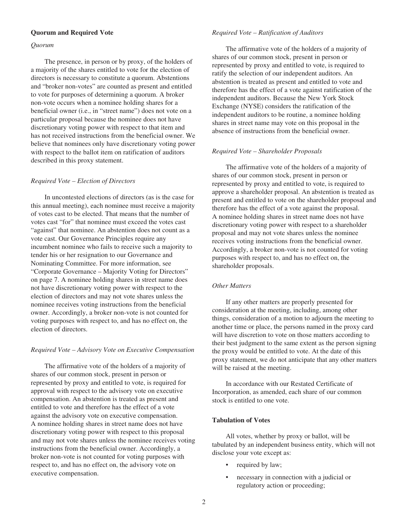## **Quorum and Required Vote**

#### *Quorum*

The presence, in person or by proxy, of the holders of a majority of the shares entitled to vote for the election of directors is necessary to constitute a quorum. Abstentions and "broker non-votes" are counted as present and entitled to vote for purposes of determining a quorum. A broker non-vote occurs when a nominee holding shares for a beneficial owner (i.e., in "street name") does not vote on a particular proposal because the nominee does not have discretionary voting power with respect to that item and has not received instructions from the beneficial owner. We believe that nominees only have discretionary voting power with respect to the ballot item on ratification of auditors described in this proxy statement.

#### *Required Vote – Election of Directors*

In uncontested elections of directors (as is the case for this annual meeting), each nominee must receive a majority of votes cast to be elected. That means that the number of votes cast "for" that nominee must exceed the votes cast "against" that nominee. An abstention does not count as a vote cast. Our Governance Principles require any incumbent nominee who fails to receive such a majority to tender his or her resignation to our Governance and Nominating Committee. For more information, see "Corporate Governance – Majority Voting for Directors" on page 7. A nominee holding shares in street name does not have discretionary voting power with respect to the election of directors and may not vote shares unless the nominee receives voting instructions from the beneficial owner. Accordingly, a broker non-vote is not counted for voting purposes with respect to, and has no effect on, the election of directors.

#### *Required Vote – Advisory Vote on Executive Compensation*

The affirmative vote of the holders of a majority of shares of our common stock, present in person or represented by proxy and entitled to vote, is required for approval with respect to the advisory vote on executive compensation. An abstention is treated as present and entitled to vote and therefore has the effect of a vote against the advisory vote on executive compensation. A nominee holding shares in street name does not have discretionary voting power with respect to this proposal and may not vote shares unless the nominee receives voting instructions from the beneficial owner. Accordingly, a broker non-vote is not counted for voting purposes with respect to, and has no effect on, the advisory vote on executive compensation.

#### *Required Vote – Ratification of Auditors*

The affirmative vote of the holders of a majority of shares of our common stock, present in person or represented by proxy and entitled to vote, is required to ratify the selection of our independent auditors. An abstention is treated as present and entitled to vote and therefore has the effect of a vote against ratification of the independent auditors. Because the New York Stock Exchange (NYSE) considers the ratification of the independent auditors to be routine, a nominee holding shares in street name may vote on this proposal in the absence of instructions from the beneficial owner.

#### *Required Vote – Shareholder Proposals*

The affirmative vote of the holders of a majority of shares of our common stock, present in person or represented by proxy and entitled to vote, is required to approve a shareholder proposal. An abstention is treated as present and entitled to vote on the shareholder proposal and therefore has the effect of a vote against the proposal. A nominee holding shares in street name does not have discretionary voting power with respect to a shareholder proposal and may not vote shares unless the nominee receives voting instructions from the beneficial owner. Accordingly, a broker non-vote is not counted for voting purposes with respect to, and has no effect on, the shareholder proposals.

# *Other Matters*

If any other matters are properly presented for consideration at the meeting, including, among other things, consideration of a motion to adjourn the meeting to another time or place, the persons named in the proxy card will have discretion to vote on those matters according to their best judgment to the same extent as the person signing the proxy would be entitled to vote. At the date of this proxy statement, we do not anticipate that any other matters will be raised at the meeting.

In accordance with our Restated Certificate of Incorporation, as amended, each share of our common stock is entitled to one vote.

## **Tabulation of Votes**

All votes, whether by proxy or ballot, will be tabulated by an independent business entity, which will not disclose your vote except as:

- required by law;
- necessary in connection with a judicial or regulatory action or proceeding;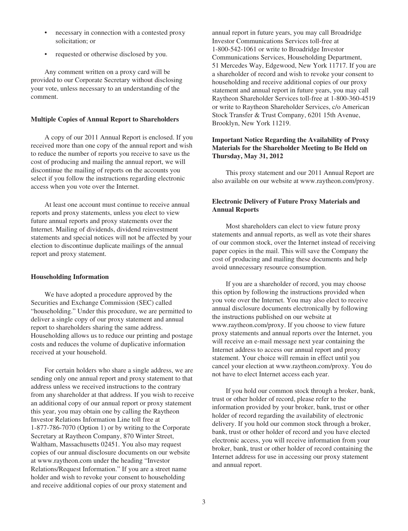- necessary in connection with a contested proxy solicitation; or
- requested or otherwise disclosed by you.

Any comment written on a proxy card will be provided to our Corporate Secretary without disclosing your vote, unless necessary to an understanding of the comment.

### **Multiple Copies of Annual Report to Shareholders**

A copy of our 2011 Annual Report is enclosed. If you received more than one copy of the annual report and wish to reduce the number of reports you receive to save us the cost of producing and mailing the annual report, we will discontinue the mailing of reports on the accounts you select if you follow the instructions regarding electronic access when you vote over the Internet.

At least one account must continue to receive annual reports and proxy statements, unless you elect to view future annual reports and proxy statements over the Internet. Mailing of dividends, dividend reinvestment statements and special notices will not be affected by your election to discontinue duplicate mailings of the annual report and proxy statement.

#### **Householding Information**

We have adopted a procedure approved by the Securities and Exchange Commission (SEC) called "householding." Under this procedure, we are permitted to deliver a single copy of our proxy statement and annual report to shareholders sharing the same address. Householding allows us to reduce our printing and postage costs and reduces the volume of duplicative information received at your household.

For certain holders who share a single address, we are sending only one annual report and proxy statement to that address unless we received instructions to the contrary from any shareholder at that address. If you wish to receive an additional copy of our annual report or proxy statement this year, you may obtain one by calling the Raytheon Investor Relations Information Line toll free at 1-877-786-7070 (Option 1) or by writing to the Corporate Secretary at Raytheon Company, 870 Winter Street, Waltham, Massachusetts 02451. You also may request copies of our annual disclosure documents on our website at www.raytheon.com under the heading "Investor Relations/Request Information." If you are a street name holder and wish to revoke your consent to householding and receive additional copies of our proxy statement and

annual report in future years, you may call Broadridge Investor Communications Services toll-free at 1-800-542-1061 or write to Broadridge Investor Communications Services, Householding Department, 51 Mercedes Way, Edgewood, New York 11717. If you are a shareholder of record and wish to revoke your consent to householding and receive additional copies of our proxy statement and annual report in future years, you may call Raytheon Shareholder Services toll-free at 1-800-360-4519 or write to Raytheon Shareholder Services, c/o American Stock Transfer & Trust Company, 6201 15th Avenue, Brooklyn, New York 11219.

# **Important Notice Regarding the Availability of Proxy Materials for the Shareholder Meeting to Be Held on Thursday, May 31, 2012**

This proxy statement and our 2011 Annual Report are also available on our website at www.raytheon.com/proxy.

# **Electronic Delivery of Future Proxy Materials and Annual Reports**

Most shareholders can elect to view future proxy statements and annual reports, as well as vote their shares of our common stock, over the Internet instead of receiving paper copies in the mail. This will save the Company the cost of producing and mailing these documents and help avoid unnecessary resource consumption.

If you are a shareholder of record, you may choose this option by following the instructions provided when you vote over the Internet. You may also elect to receive annual disclosure documents electronically by following the instructions published on our website at www.raytheon.com/proxy. If you choose to view future proxy statements and annual reports over the Internet, you will receive an e-mail message next year containing the Internet address to access our annual report and proxy statement. Your choice will remain in effect until you cancel your election at www.raytheon.com/proxy. You do not have to elect Internet access each year.

If you hold our common stock through a broker, bank, trust or other holder of record, please refer to the information provided by your broker, bank, trust or other holder of record regarding the availability of electronic delivery. If you hold our common stock through a broker, bank, trust or other holder of record and you have elected electronic access, you will receive information from your broker, bank, trust or other holder of record containing the Internet address for use in accessing our proxy statement and annual report.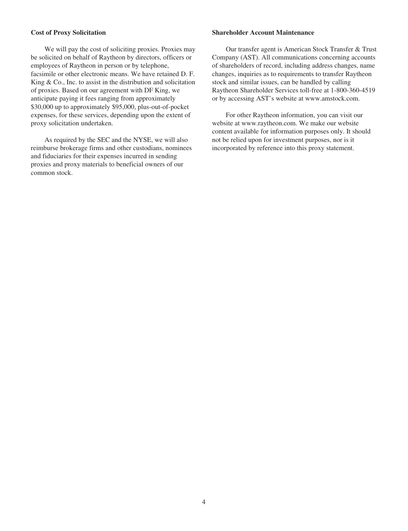### **Cost of Proxy Solicitation**

We will pay the cost of soliciting proxies. Proxies may be solicited on behalf of Raytheon by directors, officers or employees of Raytheon in person or by telephone, facsimile or other electronic means. We have retained D. F. King & Co., Inc. to assist in the distribution and solicitation of proxies. Based on our agreement with DF King, we anticipate paying it fees ranging from approximately \$30,000 up to approximately \$95,000, plus-out-of-pocket expenses, for these services, depending upon the extent of proxy solicitation undertaken.

As required by the SEC and the NYSE, we will also reimburse brokerage firms and other custodians, nominees and fiduciaries for their expenses incurred in sending proxies and proxy materials to beneficial owners of our common stock.

### **Shareholder Account Maintenance**

Our transfer agent is American Stock Transfer & Trust Company (AST). All communications concerning accounts of shareholders of record, including address changes, name changes, inquiries as to requirements to transfer Raytheon stock and similar issues, can be handled by calling Raytheon Shareholder Services toll-free at 1-800-360-4519 or by accessing AST's website at www.amstock.com.

For other Raytheon information, you can visit our website at www.raytheon.com. We make our website content available for information purposes only. It should not be relied upon for investment purposes, nor is it incorporated by reference into this proxy statement.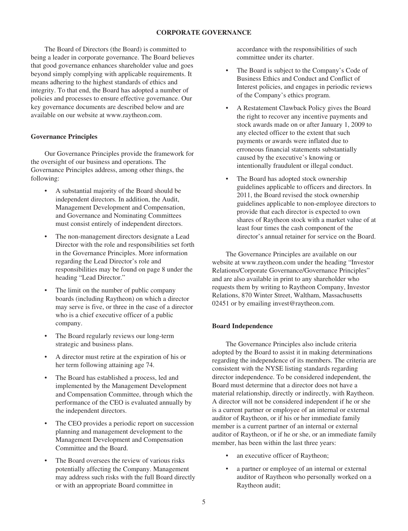# **CORPORATE GOVERNANCE**

The Board of Directors (the Board) is committed to being a leader in corporate governance. The Board believes that good governance enhances shareholder value and goes beyond simply complying with applicable requirements. It means adhering to the highest standards of ethics and integrity. To that end, the Board has adopted a number of policies and processes to ensure effective governance. Our key governance documents are described below and are available on our website at www.raytheon.com.

### **Governance Principles**

Our Governance Principles provide the framework for the oversight of our business and operations. The Governance Principles address, among other things, the following:

- A substantial majority of the Board should be independent directors. In addition, the Audit, Management Development and Compensation, and Governance and Nominating Committees must consist entirely of independent directors.
- The non-management directors designate a Lead Director with the role and responsibilities set forth in the Governance Principles. More information regarding the Lead Director's role and responsibilities may be found on page 8 under the heading "Lead Director."
- The limit on the number of public company boards (including Raytheon) on which a director may serve is five, or three in the case of a director who is a chief executive officer of a public company.
- The Board regularly reviews our long-term strategic and business plans.
- A director must retire at the expiration of his or her term following attaining age 74.
- The Board has established a process, led and implemented by the Management Development and Compensation Committee, through which the performance of the CEO is evaluated annually by the independent directors.
- The CEO provides a periodic report on succession planning and management development to the Management Development and Compensation Committee and the Board.
- The Board oversees the review of various risks potentially affecting the Company. Management may address such risks with the full Board directly or with an appropriate Board committee in

accordance with the responsibilities of such committee under its charter.

- The Board is subject to the Company's Code of Business Ethics and Conduct and Conflict of Interest policies, and engages in periodic reviews of the Company's ethics program.
- A Restatement Clawback Policy gives the Board the right to recover any incentive payments and stock awards made on or after January 1, 2009 to any elected officer to the extent that such payments or awards were inflated due to erroneous financial statements substantially caused by the executive's knowing or intentionally fraudulent or illegal conduct.
- The Board has adopted stock ownership guidelines applicable to officers and directors. In 2011, the Board revised the stock ownership guidelines applicable to non-employee directors to provide that each director is expected to own shares of Raytheon stock with a market value of at least four times the cash component of the director's annual retainer for service on the Board.

The Governance Principles are available on our website at www.raytheon.com under the heading "Investor Relations/Corporate Governance/Governance Principles" and are also available in print to any shareholder who requests them by writing to Raytheon Company, Investor Relations, 870 Winter Street, Waltham, Massachusetts 02451 or by emailing invest@raytheon.com.

## **Board Independence**

The Governance Principles also include criteria adopted by the Board to assist it in making determinations regarding the independence of its members. The criteria are consistent with the NYSE listing standards regarding director independence. To be considered independent, the Board must determine that a director does not have a material relationship, directly or indirectly, with Raytheon. A director will not be considered independent if he or she is a current partner or employee of an internal or external auditor of Raytheon, or if his or her immediate family member is a current partner of an internal or external auditor of Raytheon, or if he or she, or an immediate family member, has been within the last three years:

- an executive officer of Raytheon;
- a partner or employee of an internal or external auditor of Raytheon who personally worked on a Raytheon audit;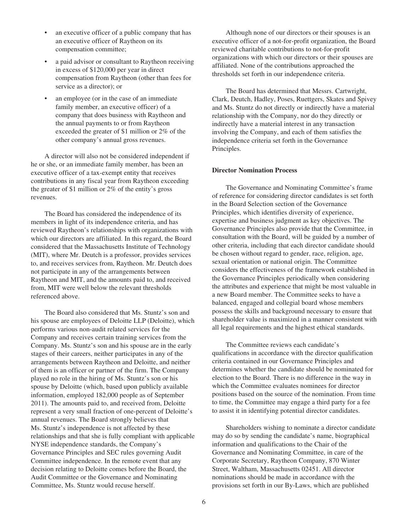- an executive officer of a public company that has an executive officer of Raytheon on its compensation committee;
- a paid advisor or consultant to Raytheon receiving in excess of \$120,000 per year in direct compensation from Raytheon (other than fees for service as a director); or
- an employee (or in the case of an immediate family member, an executive officer) of a company that does business with Raytheon and the annual payments to or from Raytheon exceeded the greater of \$1 million or 2% of the other company's annual gross revenues.

A director will also not be considered independent if he or she, or an immediate family member, has been an executive officer of a tax-exempt entity that receives contributions in any fiscal year from Raytheon exceeding the greater of \$1 million or 2% of the entity's gross revenues.

The Board has considered the independence of its members in light of its independence criteria, and has reviewed Raytheon's relationships with organizations with which our directors are affiliated. In this regard, the Board considered that the Massachusetts Institute of Technology (MIT), where Mr. Deutch is a professor, provides services to, and receives services from, Raytheon. Mr. Deutch does not participate in any of the arrangements between Raytheon and MIT, and the amounts paid to, and received from, MIT were well below the relevant thresholds referenced above.

The Board also considered that Ms. Stuntz's son and his spouse are employees of Deloitte LLP (Deloitte), which performs various non-audit related services for the Company and receives certain training services from the Company. Ms. Stuntz's son and his spouse are in the early stages of their careers, neither participates in any of the arrangements between Raytheon and Deloitte, and neither of them is an officer or partner of the firm. The Company played no role in the hiring of Ms. Stuntz's son or his spouse by Deloitte (which, based upon publicly available information, employed 182,000 people as of September 2011). The amounts paid to, and received from, Deloitte represent a very small fraction of one-percent of Deloitte's annual revenues. The Board strongly believes that Ms. Stuntz's independence is not affected by these relationships and that she is fully compliant with applicable NYSE independence standards, the Company's Governance Principles and SEC rules governing Audit Committee independence. In the remote event that any decision relating to Deloitte comes before the Board, the Audit Committee or the Governance and Nominating Committee, Ms. Stuntz would recuse herself.

Although none of our directors or their spouses is an executive officer of a not-for-profit organization, the Board reviewed charitable contributions to not-for-profit organizations with which our directors or their spouses are affiliated. None of the contributions approached the thresholds set forth in our independence criteria.

The Board has determined that Messrs. Cartwright, Clark, Deutch, Hadley, Poses, Ruettgers, Skates and Spivey and Ms. Stuntz do not directly or indirectly have a material relationship with the Company, nor do they directly or indirectly have a material interest in any transaction involving the Company, and each of them satisfies the independence criteria set forth in the Governance Principles.

### **Director Nomination Process**

The Governance and Nominating Committee's frame of reference for considering director candidates is set forth in the Board Selection section of the Governance Principles, which identifies diversity of experience, expertise and business judgment as key objectives. The Governance Principles also provide that the Committee, in consultation with the Board, will be guided by a number of other criteria, including that each director candidate should be chosen without regard to gender, race, religion, age, sexual orientation or national origin. The Committee considers the effectiveness of the framework established in the Governance Principles periodically when considering the attributes and experience that might be most valuable in a new Board member. The Committee seeks to have a balanced, engaged and collegial board whose members possess the skills and background necessary to ensure that shareholder value is maximized in a manner consistent with all legal requirements and the highest ethical standards.

The Committee reviews each candidate's qualifications in accordance with the director qualification criteria contained in our Governance Principles and determines whether the candidate should be nominated for election to the Board. There is no difference in the way in which the Committee evaluates nominees for director positions based on the source of the nomination. From time to time, the Committee may engage a third party for a fee to assist it in identifying potential director candidates.

Shareholders wishing to nominate a director candidate may do so by sending the candidate's name, biographical information and qualifications to the Chair of the Governance and Nominating Committee, in care of the Corporate Secretary, Raytheon Company, 870 Winter Street, Waltham, Massachusetts 02451. All director nominations should be made in accordance with the provisions set forth in our By-Laws, which are published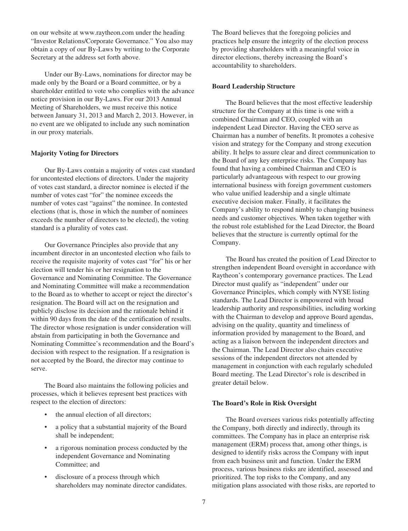on our website at www.raytheon.com under the heading "Investor Relations/Corporate Governance." You also may obtain a copy of our By-Laws by writing to the Corporate Secretary at the address set forth above.

Under our By-Laws, nominations for director may be made only by the Board or a Board committee, or by a shareholder entitled to vote who complies with the advance notice provision in our By-Laws. For our 2013 Annual Meeting of Shareholders, we must receive this notice between January 31, 2013 and March 2, 2013. However, in no event are we obligated to include any such nomination in our proxy materials.

### **Majority Voting for Directors**

Our By-Laws contain a majority of votes cast standard for uncontested elections of directors. Under the majority of votes cast standard, a director nominee is elected if the number of votes cast "for" the nominee exceeds the number of votes cast "against" the nominee. In contested elections (that is, those in which the number of nominees exceeds the number of directors to be elected), the voting standard is a plurality of votes cast.

Our Governance Principles also provide that any incumbent director in an uncontested election who fails to receive the requisite majority of votes cast "for" his or her election will tender his or her resignation to the Governance and Nominating Committee. The Governance and Nominating Committee will make a recommendation to the Board as to whether to accept or reject the director's resignation. The Board will act on the resignation and publicly disclose its decision and the rationale behind it within 90 days from the date of the certification of results. The director whose resignation is under consideration will abstain from participating in both the Governance and Nominating Committee's recommendation and the Board's decision with respect to the resignation. If a resignation is not accepted by the Board, the director may continue to serve.

The Board also maintains the following policies and processes, which it believes represent best practices with respect to the election of directors:

- the annual election of all directors:
- a policy that a substantial majority of the Board shall be independent;
- a rigorous nomination process conducted by the independent Governance and Nominating Committee; and
- disclosure of a process through which shareholders may nominate director candidates.

The Board believes that the foregoing policies and practices help ensure the integrity of the election process by providing shareholders with a meaningful voice in director elections, thereby increasing the Board's accountability to shareholders.

#### **Board Leadership Structure**

The Board believes that the most effective leadership structure for the Company at this time is one with a combined Chairman and CEO, coupled with an independent Lead Director. Having the CEO serve as Chairman has a number of benefits. It promotes a cohesive vision and strategy for the Company and strong execution ability. It helps to assure clear and direct communication to the Board of any key enterprise risks. The Company has found that having a combined Chairman and CEO is particularly advantageous with respect to our growing international business with foreign government customers who value unified leadership and a single ultimate executive decision maker. Finally, it facilitates the Company's ability to respond nimbly to changing business needs and customer objectives. When taken together with the robust role established for the Lead Director, the Board believes that the structure is currently optimal for the Company.

The Board has created the position of Lead Director to strengthen independent Board oversight in accordance with Raytheon's contemporary governance practices. The Lead Director must qualify as "independent" under our Governance Principles, which comply with NYSE listing standards. The Lead Director is empowered with broad leadership authority and responsibilities, including working with the Chairman to develop and approve Board agendas, advising on the quality, quantity and timeliness of information provided by management to the Board, and acting as a liaison between the independent directors and the Chairman. The Lead Director also chairs executive sessions of the independent directors not attended by management in conjunction with each regularly scheduled Board meeting. The Lead Director's role is described in greater detail below.

#### **The Board's Role in Risk Oversight**

The Board oversees various risks potentially affecting the Company, both directly and indirectly, through its committees. The Company has in place an enterprise risk management (ERM) process that, among other things, is designed to identify risks across the Company with input from each business unit and function. Under the ERM process, various business risks are identified, assessed and prioritized. The top risks to the Company, and any mitigation plans associated with those risks, are reported to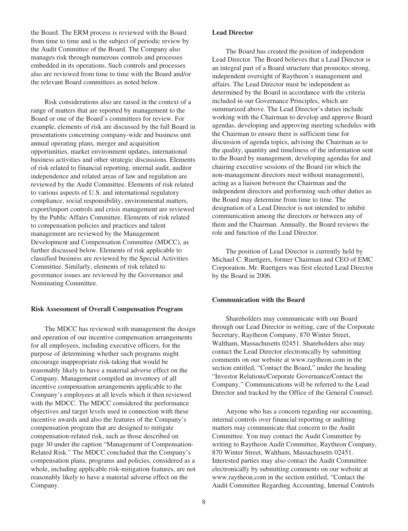the Board. The ERM process is reviewed with the Board from time to time and is the subject of periodic review by the Audit Committee of the Board. The Company also manages risk through numerous controls and processes embedded in its operations. Such controls and processes also are reviewed from time to time with the Board and/or the relevant Board committees as noted below.

Risk considerations also are raised in the context of a range of matters that are reported by management to the Board or one of the Board's committees for review. For example, elements of risk are discussed by the full Board in presentations concerning company-wide and business unit annual operating plans, merger and acquisition opportunities, market environment updates, international business activities and other strategic discussions. Elements of risk related to financial reporting, internal audit, auditor independence and related areas of law and regulation are reviewed by the Audit Committee. Elements of risk related to various aspects of U.S. and international regulatory compliance, social responsibility, environmental matters, export/import controls and crisis management are reviewed by the Public Affairs Committee. Elements of risk related to compensation policies and practices and talent management are reviewed by the Management Development and Compensation Committee (MDCC), as further discussed below. Elements of risk applicable to classified business are reviewed by the Special Activities Committee. Similarly, elements of risk related to governance issues are reviewed by the Governance and Nominating Committee.

#### **Risk Assessment of Overall Compensation Program**

The MDCC has reviewed with management the design and operation of our incentive compensation arrangements for all employees, including executive officers, for the purpose of determining whether such programs might encourage inappropriate risk-taking that would be reasonably likely to have a material adverse effect on the Company. Management compiled an inventory of all incentive compensation arrangements applicable to the Company's employees at all levels which it then reviewed with the MDCC. The MDCC considered the performance objectives and target levels used in connection with these incentive awards and also the features of the Company's compensation program that are designed to mitigate compensation-related risk, such as those described on page 30 under the caption "Management of Compensation-Related Risk." The MDCC concluded that the Company's compensation plans, programs and policies, considered as a whole, including applicable risk-mitigation features, are not reasonably likely to have a material adverse effect on the Company.

### **Lead Director**

The Board has created the position of independent Lead Director. The Board believes that a Lead Director is an integral part of a Board structure that promotes strong, independent oversight of Raytheon's management and affairs. The Lead Director must be independent as determined by the Board in accordance with the criteria included in our Governance Principles, which are summarized above. The Lead Director's duties include working with the Chairman to develop and approve Board agendas, developing and approving meeting schedules with the Chairman to ensure there is sufficient time for discussion of agenda topics, advising the Chairman as to the quality, quantity and timeliness of the information sent to the Board by management, developing agendas for and chairing executive sessions of the Board (in which the non-management directors meet without management), acting as a liaison between the Chairman and the independent directors and performing such other duties as the Board may determine from time to time. The designation of a Lead Director is not intended to inhibit communication among the directors or between any of them and the Chairman. Annually, the Board reviews the role and function of the Lead Director.

The position of Lead Director is currently held by Michael C. Ruettgers, former Chairman and CEO of EMC Corporation. Mr. Ruettgers was first elected Lead Director by the Board in 2006.

#### **Communication with the Board**

Shareholders may communicate with our Board through our Lead Director in writing, care of the Corporate Secretary, Raytheon Company, 870 Winter Street, Waltham, Massachusetts 02451. Shareholders also may contact the Lead Director electronically by submitting comments on our website at www.raytheon.com in the section entitled, "Contact the Board," under the heading "Investor Relations/Corporate Governance/Contact the Company." Communications will be referred to the Lead Director and tracked by the Office of the General Counsel.

Anyone who has a concern regarding our accounting, internal controls over financial reporting or auditing matters may communicate that concern to the Audit Committee. You may contact the Audit Committee by writing to Raytheon Audit Committee, Raytheon Company, 870 Winter Street, Waltham, Massachusetts 02451. Interested parties may also contact the Audit Committee electronically by submitting comments on our website at www.raytheon.com in the section entitled, "Contact the Audit Committee Regarding Accounting, Internal Controls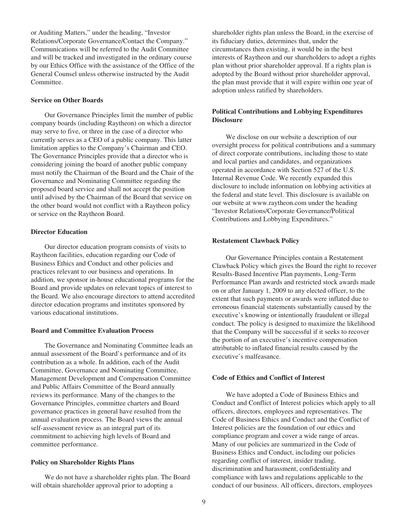or Auditing Matters," under the heading, "Investor Relations/Corporate Governance/Contact the Company." Communications will be referred to the Audit Committee and will be tracked and investigated in the ordinary course by our Ethics Office with the assistance of the Office of the General Counsel unless otherwise instructed by the Audit Committee.

### **Service on Other Boards**

Our Governance Principles limit the number of public company boards (including Raytheon) on which a director may serve to five, or three in the case of a director who currently serves as a CEO of a public company. This latter limitation applies to the Company's Chairman and CEO. The Governance Principles provide that a director who is considering joining the board of another public company must notify the Chairman of the Board and the Chair of the Governance and Nominating Committee regarding the proposed board service and shall not accept the position until advised by the Chairman of the Board that service on the other board would not conflict with a Raytheon policy or service on the Raytheon Board.

#### **Director Education**

Our director education program consists of visits to Raytheon facilities, education regarding our Code of Business Ethics and Conduct and other policies and practices relevant to our business and operations. In addition, we sponsor in-house educational programs for the Board and provide updates on relevant topics of interest to the Board. We also encourage directors to attend accredited director education programs and institutes sponsored by various educational institutions.

#### **Board and Committee Evaluation Process**

The Governance and Nominating Committee leads an annual assessment of the Board's performance and of its contribution as a whole. In addition, each of the Audit Committee, Governance and Nominating Committee, Management Development and Compensation Committee and Public Affairs Committee of the Board annually reviews its performance. Many of the changes to the Governance Principles, committee charters and Board governance practices in general have resulted from the annual evaluation process. The Board views the annual self-assessment review as an integral part of its commitment to achieving high levels of Board and committee performance.

#### **Policy on Shareholder Rights Plans**

We do not have a shareholder rights plan. The Board will obtain shareholder approval prior to adopting a

shareholder rights plan unless the Board, in the exercise of its fiduciary duties, determines that, under the circumstances then existing, it would be in the best interests of Raytheon and our shareholders to adopt a rights plan without prior shareholder approval. If a rights plan is adopted by the Board without prior shareholder approval, the plan must provide that it will expire within one year of adoption unless ratified by shareholders.

### **Political Contributions and Lobbying Expenditures Disclosure**

We disclose on our website a description of our oversight process for political contributions and a summary of direct corporate contributions, including those to state and local parties and candidates, and organizations operated in accordance with Section 527 of the U.S. Internal Revenue Code. We recently expanded this disclosure to include information on lobbying activities at the federal and state level. This disclosure is available on our website at www.raytheon.com under the heading "Investor Relations/Corporate Governance/Political Contributions and Lobbying Expenditures."

#### **Restatement Clawback Policy**

Our Governance Principles contain a Restatement Clawback Policy which gives the Board the right to recover Results-Based Incentive Plan payments, Long-Term Performance Plan awards and restricted stock awards made on or after January 1, 2009 to any elected officer, to the extent that such payments or awards were inflated due to erroneous financial statements substantially caused by the executive's knowing or intentionally fraudulent or illegal conduct. The policy is designed to maximize the likelihood that the Company will be successful if it seeks to recover the portion of an executive's incentive compensation attributable to inflated financial results caused by the executive's malfeasance.

#### **Code of Ethics and Conflict of Interest**

We have adopted a Code of Business Ethics and Conduct and Conflict of Interest policies which apply to all officers, directors, employees and representatives. The Code of Business Ethics and Conduct and the Conflict of Interest policies are the foundation of our ethics and compliance program and cover a wide range of areas. Many of our policies are summarized in the Code of Business Ethics and Conduct, including our policies regarding conflict of interest, insider trading, discrimination and harassment, confidentiality and compliance with laws and regulations applicable to the conduct of our business. All officers, directors, employees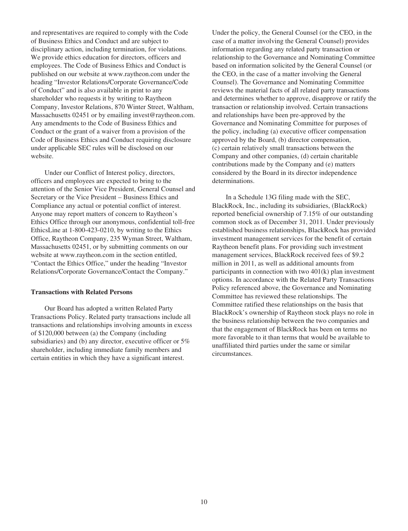and representatives are required to comply with the Code of Business Ethics and Conduct and are subject to disciplinary action, including termination, for violations. We provide ethics education for directors, officers and employees. The Code of Business Ethics and Conduct is published on our website at www.raytheon.com under the heading "Investor Relations/Corporate Governance/Code of Conduct" and is also available in print to any shareholder who requests it by writing to Raytheon Company, Investor Relations, 870 Winter Street, Waltham, Massachusetts 02451 or by emailing invest@raytheon.com. Any amendments to the Code of Business Ethics and Conduct or the grant of a waiver from a provision of the Code of Business Ethics and Conduct requiring disclosure under applicable SEC rules will be disclosed on our website.

Under our Conflict of Interest policy, directors, officers and employees are expected to bring to the attention of the Senior Vice President, General Counsel and Secretary or the Vice President – Business Ethics and Compliance any actual or potential conflict of interest. Anyone may report matters of concern to Raytheon's Ethics Office through our anonymous, confidential toll-free EthicsLine at 1-800-423-0210, by writing to the Ethics Office, Raytheon Company, 235 Wyman Street, Waltham, Massachusetts 02451, or by submitting comments on our website at www.raytheon.com in the section entitled, "Contact the Ethics Office," under the heading "Investor Relations/Corporate Governance/Contact the Company."

#### **Transactions with Related Persons**

Our Board has adopted a written Related Party Transactions Policy. Related party transactions include all transactions and relationships involving amounts in excess of \$120,000 between (a) the Company (including subsidiaries) and (b) any director, executive officer or  $5\%$ shareholder, including immediate family members and certain entities in which they have a significant interest.

Under the policy, the General Counsel (or the CEO, in the case of a matter involving the General Counsel) provides information regarding any related party transaction or relationship to the Governance and Nominating Committee based on information solicited by the General Counsel (or the CEO, in the case of a matter involving the General Counsel). The Governance and Nominating Committee reviews the material facts of all related party transactions and determines whether to approve, disapprove or ratify the transaction or relationship involved. Certain transactions and relationships have been pre-approved by the Governance and Nominating Committee for purposes of the policy, including (a) executive officer compensation approved by the Board, (b) director compensation, (c) certain relatively small transactions between the Company and other companies, (d) certain charitable contributions made by the Company and (e) matters considered by the Board in its director independence determinations.

In a Schedule 13G filing made with the SEC, BlackRock, Inc., including its subsidiaries, (BlackRock) reported beneficial ownership of 7.15% of our outstanding common stock as of December 31, 2011. Under previously established business relationships, BlackRock has provided investment management services for the benefit of certain Raytheon benefit plans. For providing such investment management services, BlackRock received fees of \$9.2 million in 2011, as well as additional amounts from participants in connection with two 401(k) plan investment options. In accordance with the Related Party Transactions Policy referenced above, the Governance and Nominating Committee has reviewed these relationships. The Committee ratified these relationships on the basis that BlackRock's ownership of Raytheon stock plays no role in the business relationship between the two companies and that the engagement of BlackRock has been on terms no more favorable to it than terms that would be available to unaffiliated third parties under the same or similar circumstances.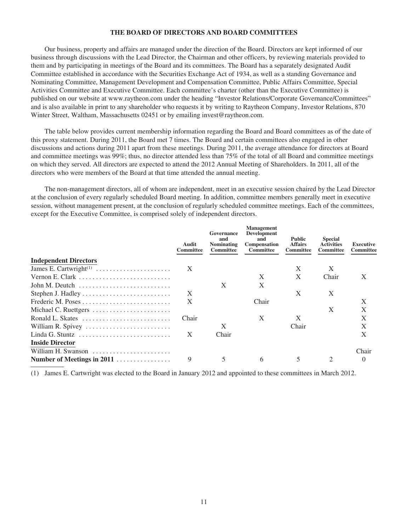## **THE BOARD OF DIRECTORS AND BOARD COMMITTEES**

Our business, property and affairs are managed under the direction of the Board. Directors are kept informed of our business through discussions with the Lead Director, the Chairman and other officers, by reviewing materials provided to them and by participating in meetings of the Board and its committees. The Board has a separately designated Audit Committee established in accordance with the Securities Exchange Act of 1934, as well as a standing Governance and Nominating Committee, Management Development and Compensation Committee, Public Affairs Committee, Special Activities Committee and Executive Committee. Each committee's charter (other than the Executive Committee) is published on our website at www.raytheon.com under the heading "Investor Relations/Corporate Governance/Committees" and is also available in print to any shareholder who requests it by writing to Raytheon Company, Investor Relations, 870 Winter Street, Waltham, Massachusetts 02451 or by emailing invest@raytheon.com.

The table below provides current membership information regarding the Board and Board committees as of the date of this proxy statement. During 2011, the Board met 7 times. The Board and certain committees also engaged in other discussions and actions during 2011 apart from these meetings. During 2011, the average attendance for directors at Board and committee meetings was 99%; thus, no director attended less than 75% of the total of all Board and committee meetings on which they served. All directors are expected to attend the 2012 Annual Meeting of Shareholders. In 2011, all of the directors who were members of the Board at that time attended the annual meeting.

The non-management directors, all of whom are independent, meet in an executive session chaired by the Lead Director at the conclusion of every regularly scheduled Board meeting. In addition, committee members generally meet in executive session, without management present, at the conclusion of regularly scheduled committee meetings. Each of the committees, except for the Executive Committee, is comprised solely of independent directors.

|                                                                          | Audit<br>Committee | Governance<br>and<br><b>Nominating</b><br><b>Committee</b> | <b>Management</b><br><b>Development</b><br>and<br><b>Compensation</b><br><b>Committee</b> | <b>Public</b><br><b>Affairs</b><br><b>Committee</b> | <b>Special</b><br><b>Activities</b><br><b>Committee</b> | Executive<br>Committee |
|--------------------------------------------------------------------------|--------------------|------------------------------------------------------------|-------------------------------------------------------------------------------------------|-----------------------------------------------------|---------------------------------------------------------|------------------------|
| <b>Independent Directors</b>                                             |                    |                                                            |                                                                                           |                                                     |                                                         |                        |
| James E. Cartwright <sup>(1)</sup>                                       | X                  |                                                            |                                                                                           | X                                                   | X                                                       |                        |
| Vernon E. Clark                                                          |                    |                                                            | X                                                                                         | X                                                   | Chair                                                   | X                      |
| John M. Deutch $\dots\dots\dots\dots\dots\dots\dots\dots\dots\dots\dots$ |                    | X                                                          | X                                                                                         |                                                     |                                                         |                        |
|                                                                          | X                  |                                                            |                                                                                           | X                                                   | X                                                       |                        |
|                                                                          | X                  |                                                            | Chair                                                                                     |                                                     |                                                         | X                      |
| Michael C. Ruettgers                                                     |                    |                                                            |                                                                                           |                                                     | X                                                       | X                      |
| Ronald L. Skates                                                         | Chair              |                                                            | $\mathbf{X}$                                                                              | X                                                   |                                                         | X                      |
| William R. Spivey                                                        |                    | X                                                          |                                                                                           | Chair                                               |                                                         | X                      |
| Linda G. Stuntz $\dots \dots \dots \dots \dots \dots \dots \dots \dots$  | X                  | Chair                                                      |                                                                                           |                                                     |                                                         | X                      |
| <b>Inside Director</b>                                                   |                    |                                                            |                                                                                           |                                                     |                                                         |                        |
| William H. Swanson                                                       |                    |                                                            |                                                                                           |                                                     |                                                         | Chair                  |
| Number of Meetings in 2011                                               | 9                  | 5                                                          | 6                                                                                         | 5                                                   | 2                                                       | $\theta$               |

(1) James E. Cartwright was elected to the Board in January 2012 and appointed to these committees in March 2012.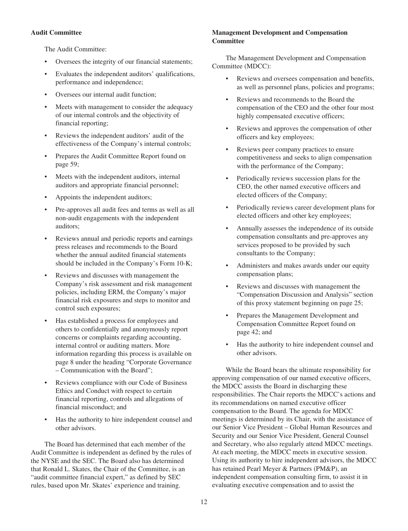# **Audit Committee**

The Audit Committee:

- Oversees the integrity of our financial statements;
- Evaluates the independent auditors' qualifications, performance and independence;
- Oversees our internal audit function;
- Meets with management to consider the adequacy of our internal controls and the objectivity of financial reporting;
- Reviews the independent auditors' audit of the effectiveness of the Company's internal controls;
- Prepares the Audit Committee Report found on page 59;
- Meets with the independent auditors, internal auditors and appropriate financial personnel;
- Appoints the independent auditors;
- Pre-approves all audit fees and terms as well as all non-audit engagements with the independent auditors;
- Reviews annual and periodic reports and earnings press releases and recommends to the Board whether the annual audited financial statements should be included in the Company's Form 10-K;
- Reviews and discusses with management the Company's risk assessment and risk management policies, including ERM, the Company's major financial risk exposures and steps to monitor and control such exposures;
- Has established a process for employees and others to confidentially and anonymously report concerns or complaints regarding accounting, internal control or auditing matters. More information regarding this process is available on page 8 under the heading "Corporate Governance – Communication with the Board";
- Reviews compliance with our Code of Business Ethics and Conduct with respect to certain financial reporting, controls and allegations of financial misconduct; and
- Has the authority to hire independent counsel and other advisors.

The Board has determined that each member of the Audit Committee is independent as defined by the rules of the NYSE and the SEC. The Board also has determined that Ronald L. Skates, the Chair of the Committee, is an "audit committee financial expert," as defined by SEC rules, based upon Mr. Skates' experience and training.

# **Management Development and Compensation Committee**

The Management Development and Compensation Committee (MDCC):

- Reviews and oversees compensation and benefits, as well as personnel plans, policies and programs;
- Reviews and recommends to the Board the compensation of the CEO and the other four most highly compensated executive officers;
- Reviews and approves the compensation of other officers and key employees;
- Reviews peer company practices to ensure competitiveness and seeks to align compensation with the performance of the Company;
- Periodically reviews succession plans for the CEO, the other named executive officers and elected officers of the Company;
- Periodically reviews career development plans for elected officers and other key employees;
- Annually assesses the independence of its outside compensation consultants and pre-approves any services proposed to be provided by such consultants to the Company;
- Administers and makes awards under our equity compensation plans;
- Reviews and discusses with management the "Compensation Discussion and Analysis" section of this proxy statement beginning on page 25;
- Prepares the Management Development and Compensation Committee Report found on page 42; and
- Has the authority to hire independent counsel and other advisors.

While the Board bears the ultimate responsibility for approving compensation of our named executive officers, the MDCC assists the Board in discharging these responsibilities. The Chair reports the MDCC's actions and its recommendations on named executive officer compensation to the Board. The agenda for MDCC meetings is determined by its Chair, with the assistance of our Senior Vice President – Global Human Resources and Security and our Senior Vice President, General Counsel and Secretary, who also regularly attend MDCC meetings. At each meeting, the MDCC meets in executive session. Using its authority to hire independent advisors, the MDCC has retained Pearl Meyer & Partners (PM&P), an independent compensation consulting firm, to assist it in evaluating executive compensation and to assist the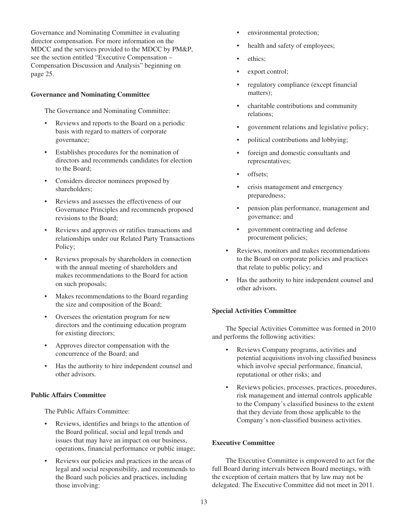Governance and Nominating Committee in evaluating director compensation. For more information on the MDCC and the services provided to the MDCC by PM&P, see the section entitled "Executive Compensation – Compensation Discussion and Analysis" beginning on page 25.

# **Governance and Nominating Committee**

The Governance and Nominating Committee:

- Reviews and reports to the Board on a periodic basis with regard to matters of corporate governance;
- Establishes procedures for the nomination of directors and recommends candidates for election to the Board;
- Considers director nominees proposed by shareholders;
- Reviews and assesses the effectiveness of our Governance Principles and recommends proposed revisions to the Board;
- Reviews and approves or ratifies transactions and relationships under our Related Party Transactions Policy;
- Reviews proposals by shareholders in connection with the annual meeting of shareholders and makes recommendations to the Board for action on such proposals;
- Makes recommendations to the Board regarding the size and composition of the Board;
- Oversees the orientation program for new directors and the continuing education program for existing directors;
- Approves director compensation with the concurrence of the Board; and
- Has the authority to hire independent counsel and other advisors.

## **Public Affairs Committee**

The Public Affairs Committee:

- Reviews, identifies and brings to the attention of the Board political, social and legal trends and issues that may have an impact on our business, operations, financial performance or public image;
- Reviews our policies and practices in the areas of legal and social responsibility, and recommends to the Board such policies and practices, including those involving:
- environmental protection;
- health and safety of employees;
- ethics:
- export control;
- regulatory compliance (except financial matters);
- charitable contributions and community relations;
- government relations and legislative policy;
- political contributions and lobbying;
- foreign and domestic consultants and representatives;
- offsets;
- crisis management and emergency preparedness;
- pension plan performance, management and governance; and
- government contracting and defense procurement policies;
- Reviews, monitors and makes recommendations to the Board on corporate policies and practices that relate to public policy; and
- Has the authority to hire independent counsel and other advisors.

# **Special Activities Committee**

The Special Activities Committee was formed in 2010 and performs the following activities:

- Reviews Company programs, activities and potential acquisitions involving classified business which involve special performance, financial, reputational or other risks; and
- Reviews policies, processes, practices, procedures, risk management and internal controls applicable to the Company's classified business to the extent that they deviate from those applicable to the Company's non-classified business activities.

# **Executive Committee**

The Executive Committee is empowered to act for the full Board during intervals between Board meetings, with the exception of certain matters that by law may not be delegated. The Executive Committee did not meet in 2011.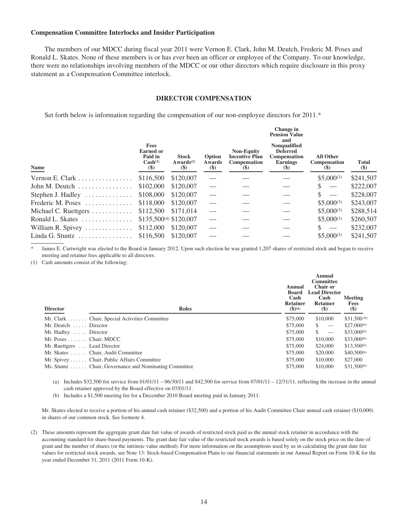### **Compensation Committee Interlocks and Insider Participation**

The members of our MDCC during fiscal year 2011 were Vernon E. Clark, John M. Deutch, Frederic M. Poses and Ronald L. Skates. None of these members is or has ever been an officer or employee of the Company. To our knowledge, there were no relationships involving members of the MDCC or our other directors which require disclosure in this proxy statement as a Compensation Committee interlock.

## **DIRECTOR COMPENSATION**

Set forth below is information regarding the compensation of our non-employee directors for 2011.<sup>\*</sup>

| Name                                          | <b>Fees</b><br><b>Earned or</b><br>Paid in<br>Cash <sup>(1)</sup><br>$(\$)$ | <b>Stock</b><br>Awards <sup>(2)</sup><br>$\left( \text{\$}\right)$ | Option<br>Awards<br>$(\$)$ | <b>Non-Equity</b><br><b>Incentive Plan</b><br><b>Compensation</b><br>$(\$)$ | Change in<br><b>Pension Value</b><br>and<br>Nonqualified<br><b>Deferred</b><br>Compensation<br><b>Earnings</b><br>$\left( \mathbf{S} \right)$ | <b>All Other</b><br><b>Compensation</b><br>$(\$)$ | <b>Total</b><br>$(\$)$ |
|-----------------------------------------------|-----------------------------------------------------------------------------|--------------------------------------------------------------------|----------------------------|-----------------------------------------------------------------------------|-----------------------------------------------------------------------------------------------------------------------------------------------|---------------------------------------------------|------------------------|
| Vernon E. Clark                               | \$116,500                                                                   | \$120,007                                                          |                            |                                                                             |                                                                                                                                               | $$5,000^{(3)}$                                    | \$241,507              |
| John M. Deutch $\ldots \ldots \ldots \ldots$  | \$102,000                                                                   | \$120,007                                                          |                            |                                                                             |                                                                                                                                               |                                                   | \$222,007              |
| Stephen J. Hadley $\dots\dots\dots\dots\dots$ | \$108,000                                                                   | \$120,007                                                          |                            |                                                                             |                                                                                                                                               | $\overline{\phantom{0}}$                          | \$228,007              |
| Frederic M. Poses                             | \$118,000                                                                   | \$120,007                                                          |                            |                                                                             |                                                                                                                                               | $$5,000^{(3)}$                                    | \$243,007              |
| Michael C. Ruettgers                          | \$112,500                                                                   | \$171,014                                                          |                            |                                                                             |                                                                                                                                               | $$5,000^{(3)}$                                    | \$288,514              |
| Ronald L. Skates                              | $$135,500^{(4)} $120,007$                                                   |                                                                    |                            |                                                                             |                                                                                                                                               | $$5,000^{(3)}$                                    | \$260,507              |
| William R. Spivey $\dots \dots \dots$         | \$112,000                                                                   | \$120,007                                                          |                            |                                                                             |                                                                                                                                               |                                                   | \$232,007              |
| Linda G. Stuntz                               | \$116,500                                                                   | \$120,007                                                          |                            |                                                                             |                                                                                                                                               | $$5,000^{(3)}$                                    | \$241,507              |

James E. Cartwright was elected to the Board in January 2012. Upon such election he was granted 1,207 shares of restricted stock and began to receive meeting and retainer fees applicable to all directors.

(1) Cash amounts consist of the following:

| <b>Director</b>                          | <b>Roles</b>                                           | Annual<br><b>Board</b><br>Cash<br><b>Retainer</b><br>$($ \$ $)$ <sup>(a)</sup> | Annual<br><b>Committee</b><br>Chair or<br><b>Lead Director</b><br>Cash<br>Retainer<br>(S) | Meeting<br><b>Fees</b><br>$(\$)$ |
|------------------------------------------|--------------------------------------------------------|--------------------------------------------------------------------------------|-------------------------------------------------------------------------------------------|----------------------------------|
|                                          | Mr. Clark Chair, Special Activities Committee          | \$75,000                                                                       | \$10,000                                                                                  | $$31,500^{(b)}$                  |
| Mr. Deutch  Director                     |                                                        | \$75,000                                                                       | S.<br>$\overline{\phantom{m}}$                                                            | $$27,000^{(b)}$$                 |
| Mr. Hadley  Director                     |                                                        | \$75,000                                                                       | \$.<br>$\overline{\phantom{m}}$                                                           | \$33,000 <sup>(b)</sup>          |
| Mr. Poses $\dots$ . $\ldots$ Chair, MDCC |                                                        | \$75,000                                                                       | \$10,000                                                                                  | $$33,000^{(b)}$$                 |
| Mr. Ruettgers  Lead Director             |                                                        | \$75,000                                                                       | \$24,000                                                                                  | $$13,500^{(b)}$                  |
|                                          | Mr. Skates Chair, Audit Committee                      | \$75,000                                                                       | \$20,000                                                                                  | $$40,500^{(b)}$$                 |
|                                          | Mr. Spivey  Chair, Public Affairs Committee            | \$75,000                                                                       | \$10,000                                                                                  | \$27,000                         |
|                                          | Ms. Stuntz  Chair, Governance and Nominating Committee | \$75,000                                                                       | \$10,000                                                                                  | $$31,500^{(b)}$                  |

(a) Includes \$32,500 for service from  $01/01/11 - 06/30/11$  and \$42,500 for service from  $07/01/11 - 12/31/11$ , reflecting the increase in the annual cash retainer approved by the Board effective on 07/01/11.

(b) Includes a \$1,500 meeting fee for a December 2010 Board meeting paid in January 2011.

Mr. Skates elected to receive a portion of his annual cash retainer (\$32,500) and a portion of his Audit Committee Chair annual cash retainer (\$10,000) in shares of our common stock. See footnote 4.

(2) These amounts represent the aggregate grant date fair value of awards of restricted stock paid as the annual stock retainer in accordance with the accounting standard for share-based payments. The grant date fair value of the restricted stock awards is based solely on the stock price on the date of grant and the number of shares (or the intrinsic value method). For more information on the assumptions used by us in calculating the grant date fair values for restricted stock awards, see Note 13: Stock-based Compensation Plans to our financial statements in our Annual Report on Form 10-K for the year ended December 31, 2011 (2011 Form 10-K).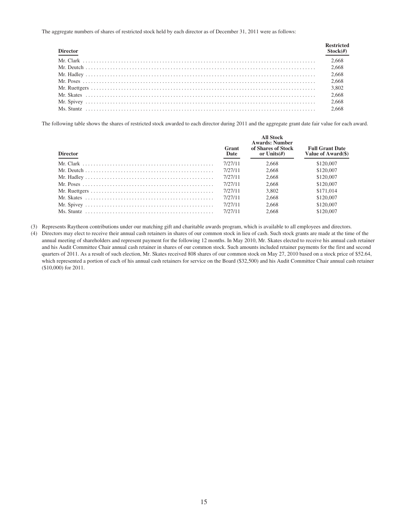The aggregate numbers of shares of restricted stock held by each director as of December 31, 2011 were as follows:

| <b>Director</b> | <b>Restricted</b><br>Stock( <i>#</i> ) |
|-----------------|----------------------------------------|
|                 | 2,668                                  |
|                 | 2,668                                  |
|                 | 2,668                                  |
|                 | 2,668                                  |
|                 | 3,802                                  |
|                 | 2,668                                  |
|                 | 2,668                                  |
|                 | 2.668                                  |

The following table shows the shares of restricted stock awarded to each director during 2011 and the aggregate grant date fair value for each award.

| <b>Director</b>                                                                                               | Grant<br>Date | <b>All Stock</b><br><b>Awards: Number</b><br>of Shares of Stock<br>or Units $(H)$ | <b>Full Grant Date</b><br>Value of Award(\$) |
|---------------------------------------------------------------------------------------------------------------|---------------|-----------------------------------------------------------------------------------|----------------------------------------------|
|                                                                                                               | 7/27/11       | 2.668                                                                             | \$120,007                                    |
|                                                                                                               | 7/27/11       | 2.668                                                                             | \$120,007                                    |
|                                                                                                               | 7/27/11       | 2.668                                                                             | \$120,007                                    |
| Mr. Poses $\dots \dots \dots \dots \dots \dots \dots \dots \dots \dots \dots \dots \dots \dots \dots \dots$   | 7/27/11       | 2.668                                                                             | \$120,007                                    |
|                                                                                                               | 7/27/11       | 3.802                                                                             | \$171,014                                    |
| Mr. Skates $\ldots$ $\ldots$ $\ldots$ $\ldots$ $\ldots$ $\ldots$ $\ldots$ $\ldots$ $\ldots$ $\ldots$ $\ldots$ | 7/27/11       | 2.668                                                                             | \$120,007                                    |
|                                                                                                               | 7/27/11       | 2.668                                                                             | \$120,007                                    |
|                                                                                                               | 7/27/11       | 2.668                                                                             | \$120,007                                    |

(3) Represents Raytheon contributions under our matching gift and charitable awards program, which is available to all employees and directors.

(4) Directors may elect to receive their annual cash retainers in shares of our common stock in lieu of cash. Such stock grants are made at the time of the annual meeting of shareholders and represent payment for the following 12 months. In May 2010, Mr. Skates elected to receive his annual cash retainer and his Audit Committee Chair annual cash retainer in shares of our common stock. Such amounts included retainer payments for the first and second quarters of 2011. As a result of such election, Mr. Skates received 808 shares of our common stock on May 27, 2010 based on a stock price of \$52.64, which represented a portion of each of his annual cash retainers for service on the Board (\$32,500) and his Audit Committee Chair annual cash retainer (\$10,000) for 2011.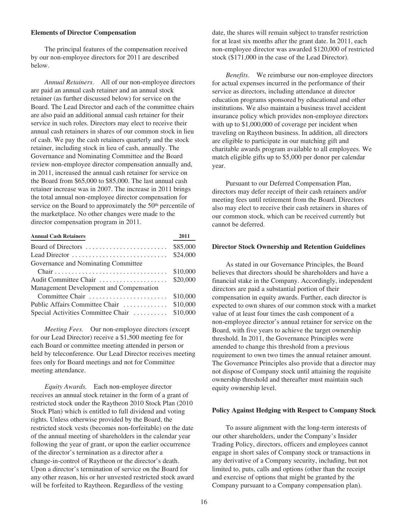#### **Elements of Director Compensation**

The principal features of the compensation received by our non-employee directors for 2011 are described below.

*Annual Retainers*. All of our non-employee directors are paid an annual cash retainer and an annual stock retainer (as further discussed below) for service on the Board. The Lead Director and each of the committee chairs are also paid an additional annual cash retainer for their service in such roles. Directors may elect to receive their annual cash retainers in shares of our common stock in lieu of cash. We pay the cash retainers quarterly and the stock retainer, including stock in lieu of cash, annually. The Governance and Nominating Committee and the Board review non-employee director compensation annually and, in 2011, increased the annual cash retainer for service on the Board from \$65,000 to \$85,000. The last annual cash retainer increase was in 2007. The increase in 2011 brings the total annual non-employee director compensation for service on the Board to approximately the 50<sup>th</sup> percentile of the marketplace. No other changes were made to the director compensation program in 2011.

| <b>Annual Cash Retainers</b>            | 2011     |
|-----------------------------------------|----------|
| Board of Directors                      | \$85,000 |
| Lead Director                           | \$24,000 |
| Governance and Nominating Committee     |          |
|                                         | \$10,000 |
| Audit Committee Chair                   | \$20,000 |
| Management Development and Compensation |          |
| Committee Chair                         | \$10,000 |
| Public Affairs Committee Chair          | \$10,000 |
| Special Activities Committee Chair      | \$10,000 |

*Meeting Fees.* Our non-employee directors (except for our Lead Director) receive a \$1,500 meeting fee for each Board or committee meeting attended in person or held by teleconference. Our Lead Director receives meeting fees only for Board meetings and not for Committee meeting attendance.

*Equity Awards.* Each non-employee director receives an annual stock retainer in the form of a grant of restricted stock under the Raytheon 2010 Stock Plan (2010 Stock Plan) which is entitled to full dividend and voting rights. Unless otherwise provided by the Board, the restricted stock vests (becomes non-forfeitable) on the date of the annual meeting of shareholders in the calendar year following the year of grant, or upon the earlier occurrence of the director's termination as a director after a change-in-control of Raytheon or the director's death. Upon a director's termination of service on the Board for any other reason, his or her unvested restricted stock award will be forfeited to Raytheon. Regardless of the vesting

date, the shares will remain subject to transfer restriction for at least six months after the grant date. In 2011, each non-employee director was awarded \$120,000 of restricted stock (\$171,000 in the case of the Lead Director).

*Benefits*. We reimburse our non-employee directors for actual expenses incurred in the performance of their service as directors, including attendance at director education programs sponsored by educational and other institutions. We also maintain a business travel accident insurance policy which provides non-employee directors with up to \$1,000,000 of coverage per incident when traveling on Raytheon business. In addition, all directors are eligible to participate in our matching gift and charitable awards program available to all employees. We match eligible gifts up to \$5,000 per donor per calendar year.

Pursuant to our Deferred Compensation Plan, directors may defer receipt of their cash retainers and/or meeting fees until retirement from the Board. Directors also may elect to receive their cash retainers in shares of our common stock, which can be received currently but cannot be deferred.

#### **Director Stock Ownership and Retention Guidelines**

As stated in our Governance Principles, the Board believes that directors should be shareholders and have a financial stake in the Company. Accordingly, independent directors are paid a substantial portion of their compensation in equity awards. Further, each director is expected to own shares of our common stock with a market value of at least four times the cash component of a non-employee director's annual retainer for service on the Board, with five years to achieve the target ownership threshold. In 2011, the Governance Principles were amended to change this threshold from a previous requirement to own two times the annual retainer amount. The Governance Principles also provide that a director may not dispose of Company stock until attaining the requisite ownership threshold and thereafter must maintain such equity ownership level.

#### **Policy Against Hedging with Respect to Company Stock**

To assure alignment with the long-term interests of our other shareholders, under the Company's Insider Trading Policy, directors, officers and employees cannot engage in short sales of Company stock or transactions in any derivative of a Company security, including, but not limited to, puts, calls and options (other than the receipt and exercise of options that might be granted by the Company pursuant to a Company compensation plan).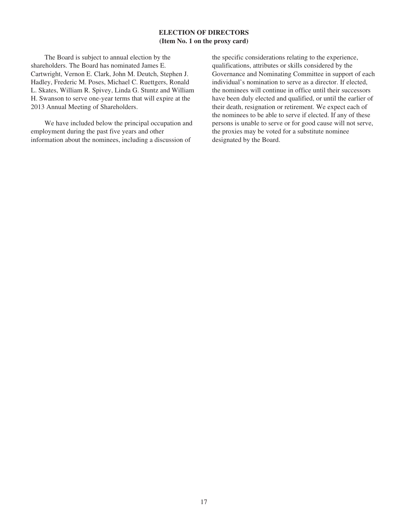# **ELECTION OF DIRECTORS (Item No. 1 on the proxy card)**

The Board is subject to annual election by the shareholders. The Board has nominated James E. Cartwright, Vernon E. Clark, John M. Deutch, Stephen J. Hadley, Frederic M. Poses, Michael C. Ruettgers, Ronald L. Skates, William R. Spivey, Linda G. Stuntz and William H. Swanson to serve one-year terms that will expire at the 2013 Annual Meeting of Shareholders.

We have included below the principal occupation and employment during the past five years and other information about the nominees, including a discussion of

the specific considerations relating to the experience, qualifications, attributes or skills considered by the Governance and Nominating Committee in support of each individual's nomination to serve as a director. If elected, the nominees will continue in office until their successors have been duly elected and qualified, or until the earlier of their death, resignation or retirement. We expect each of the nominees to be able to serve if elected. If any of these persons is unable to serve or for good cause will not serve, the proxies may be voted for a substitute nominee designated by the Board.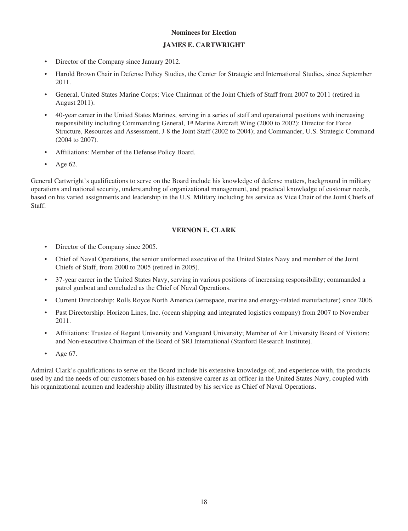# **Nominees for Election**

# **JAMES E. CARTWRIGHT**

- Director of the Company since January 2012.
- Harold Brown Chair in Defense Policy Studies, the Center for Strategic and International Studies, since September 2011.
- General, United States Marine Corps; Vice Chairman of the Joint Chiefs of Staff from 2007 to 2011 (retired in August 2011).
- 40-year career in the United States Marines, serving in a series of staff and operational positions with increasing responsibility including Commanding General, 1st Marine Aircraft Wing (2000 to 2002); Director for Force Structure, Resources and Assessment, J-8 the Joint Staff (2002 to 2004); and Commander, U.S. Strategic Command (2004 to 2007).
- Affiliations: Member of the Defense Policy Board.
- Age 62.

General Cartwright's qualifications to serve on the Board include his knowledge of defense matters, background in military operations and national security, understanding of organizational management, and practical knowledge of customer needs, based on his varied assignments and leadership in the U.S. Military including his service as Vice Chair of the Joint Chiefs of Staff.

# **VERNON E. CLARK**

- Director of the Company since 2005.
- Chief of Naval Operations, the senior uniformed executive of the United States Navy and member of the Joint Chiefs of Staff, from 2000 to 2005 (retired in 2005).
- 37-year career in the United States Navy, serving in various positions of increasing responsibility; commanded a patrol gunboat and concluded as the Chief of Naval Operations.
- Current Directorship: Rolls Royce North America (aerospace, marine and energy-related manufacturer) since 2006.
- Past Directorship: Horizon Lines, Inc. (ocean shipping and integrated logistics company) from 2007 to November 2011.
- Affiliations: Trustee of Regent University and Vanguard University; Member of Air University Board of Visitors; and Non-executive Chairman of the Board of SRI International (Stanford Research Institute).
- Age 67.

Admiral Clark's qualifications to serve on the Board include his extensive knowledge of, and experience with, the products used by and the needs of our customers based on his extensive career as an officer in the United States Navy, coupled with his organizational acumen and leadership ability illustrated by his service as Chief of Naval Operations.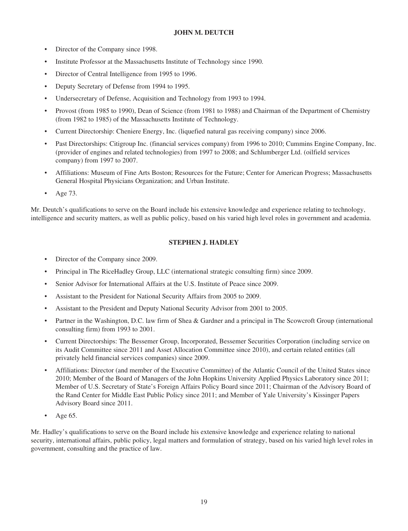# **JOHN M. DEUTCH**

- Director of the Company since 1998.
- Institute Professor at the Massachusetts Institute of Technology since 1990.
- Director of Central Intelligence from 1995 to 1996.
- Deputy Secretary of Defense from 1994 to 1995.
- Undersecretary of Defense, Acquisition and Technology from 1993 to 1994.
- Provost (from 1985 to 1990), Dean of Science (from 1981 to 1988) and Chairman of the Department of Chemistry (from 1982 to 1985) of the Massachusetts Institute of Technology.
- Current Directorship: Cheniere Energy, Inc. (liquefied natural gas receiving company) since 2006.
- Past Directorships: Citigroup Inc. (financial services company) from 1996 to 2010; Cummins Engine Company, Inc. (provider of engines and related technologies) from 1997 to 2008; and Schlumberger Ltd. (oilfield services company) from 1997 to 2007.
- Affiliations: Museum of Fine Arts Boston; Resources for the Future; Center for American Progress; Massachusetts General Hospital Physicians Organization; and Urban Institute.
- Age 73.

Mr. Deutch's qualifications to serve on the Board include his extensive knowledge and experience relating to technology, intelligence and security matters, as well as public policy, based on his varied high level roles in government and academia.

# **STEPHEN J. HADLEY**

- Director of the Company since 2009.
- Principal in The RiceHadley Group, LLC (international strategic consulting firm) since 2009.
- Senior Advisor for International Affairs at the U.S. Institute of Peace since 2009.
- Assistant to the President for National Security Affairs from 2005 to 2009.
- Assistant to the President and Deputy National Security Advisor from 2001 to 2005.
- Partner in the Washington, D.C. law firm of Shea & Gardner and a principal in The Scowcroft Group (international consulting firm) from 1993 to 2001.
- Current Directorships: The Bessemer Group, Incorporated, Bessemer Securities Corporation (including service on its Audit Committee since 2011 and Asset Allocation Committee since 2010), and certain related entities (all privately held financial services companies) since 2009.
- Affiliations: Director (and member of the Executive Committee) of the Atlantic Council of the United States since 2010; Member of the Board of Managers of the John Hopkins University Applied Physics Laboratory since 2011; Member of U.S. Secretary of State's Foreign Affairs Policy Board since 2011; Chairman of the Advisory Board of the Rand Center for Middle East Public Policy since 2011; and Member of Yale University's Kissinger Papers Advisory Board since 2011.
- Age 65.

Mr. Hadley's qualifications to serve on the Board include his extensive knowledge and experience relating to national security, international affairs, public policy, legal matters and formulation of strategy, based on his varied high level roles in government, consulting and the practice of law.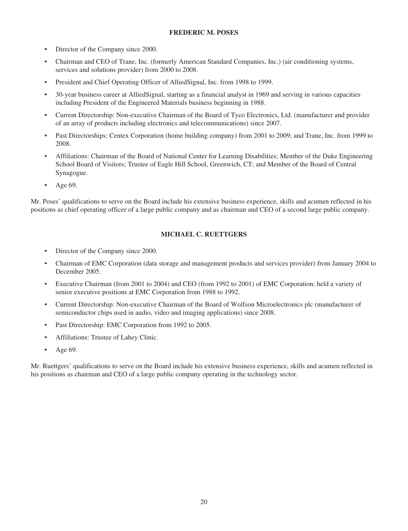# **FREDERIC M. POSES**

- Director of the Company since 2000.
- Chairman and CEO of Trane, Inc. (formerly American Standard Companies, Inc.) (air conditioning systems, services and solutions provider) from 2000 to 2008.
- President and Chief Operating Officer of AlliedSignal, Inc. from 1998 to 1999.
- 30-year business career at AlliedSignal, starting as a financial analyst in 1969 and serving in various capacities including President of the Engineered Materials business beginning in 1988.
- Current Directorship: Non-executive Chairman of the Board of Tyco Electronics, Ltd. (manufacturer and provider of an array of products including electronics and telecommunications) since 2007.
- Past Directorships: Centex Corporation (home building company) from 2001 to 2009; and Trane, Inc. from 1999 to 2008.
- Affiliations: Chairman of the Board of National Center for Learning Disabilities; Member of the Duke Engineering School Board of Visitors; Trustee of Eagle Hill School, Greenwich, CT; and Member of the Board of Central Synagogue.
- Age 69.

Mr. Poses' qualifications to serve on the Board include his extensive business experience, skills and acumen reflected in his positions as chief operating officer of a large public company and as chairman and CEO of a second large public company.

# **MICHAEL C. RUETTGERS**

- Director of the Company since 2000.
- Chairman of EMC Corporation (data storage and management products and services provider) from January 2004 to December 2005.
- Executive Chairman (from 2001 to 2004) and CEO (from 1992 to 2001) of EMC Corporation; held a variety of senior executive positions at EMC Corporation from 1988 to 1992.
- Current Directorship: Non-executive Chairman of the Board of Wolfson Microelectronics plc (manufacturer of semiconductor chips used in audio, video and imaging applications) since 2008.
- Past Directorship: EMC Corporation from 1992 to 2005.
- Affiliations: Trustee of Lahey Clinic.
- Age 69.

Mr. Ruettgers' qualifications to serve on the Board include his extensive business experience, skills and acumen reflected in his positions as chairman and CEO of a large public company operating in the technology sector.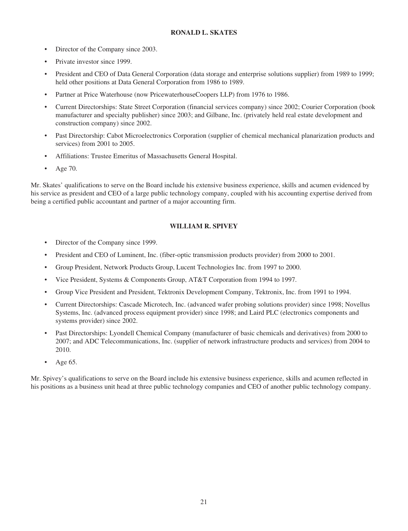# **RONALD L. SKATES**

- Director of the Company since 2003.
- Private investor since 1999.
- President and CEO of Data General Corporation (data storage and enterprise solutions supplier) from 1989 to 1999; held other positions at Data General Corporation from 1986 to 1989.
- Partner at Price Waterhouse (now PricewaterhouseCoopers LLP) from 1976 to 1986.
- Current Directorships: State Street Corporation (financial services company) since 2002; Courier Corporation (book manufacturer and specialty publisher) since 2003; and Gilbane, Inc. (privately held real estate development and construction company) since 2002.
- Past Directorship: Cabot Microelectronics Corporation (supplier of chemical mechanical planarization products and services) from 2001 to 2005.
- Affiliations: Trustee Emeritus of Massachusetts General Hospital.
- Age 70.

Mr. Skates' qualifications to serve on the Board include his extensive business experience, skills and acumen evidenced by his service as president and CEO of a large public technology company, coupled with his accounting expertise derived from being a certified public accountant and partner of a major accounting firm.

# **WILLIAM R. SPIVEY**

- Director of the Company since 1999.
- President and CEO of Luminent, Inc. (fiber-optic transmission products provider) from 2000 to 2001.
- Group President, Network Products Group, Lucent Technologies Inc. from 1997 to 2000.
- Vice President, Systems & Components Group, AT&T Corporation from 1994 to 1997.
- Group Vice President and President, Tektronix Development Company, Tektronix, Inc. from 1991 to 1994.
- Current Directorships: Cascade Microtech, Inc. (advanced wafer probing solutions provider) since 1998; Novellus Systems, Inc. (advanced process equipment provider) since 1998; and Laird PLC (electronics components and systems provider) since 2002.
- Past Directorships: Lyondell Chemical Company (manufacturer of basic chemicals and derivatives) from 2000 to 2007; and ADC Telecommunications, Inc. (supplier of network infrastructure products and services) from 2004 to 2010.
- Age 65.

Mr. Spivey's qualifications to serve on the Board include his extensive business experience, skills and acumen reflected in his positions as a business unit head at three public technology companies and CEO of another public technology company.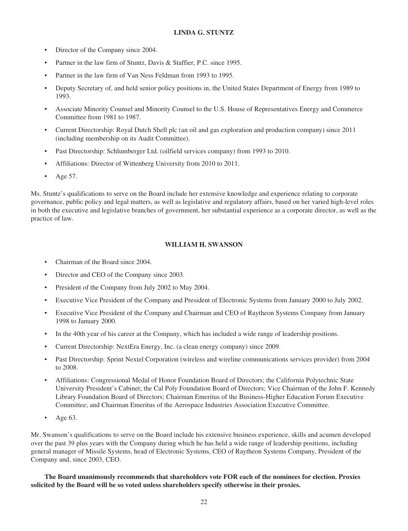# **LINDA G. STUNTZ**

- Director of the Company since 2004.
- Partner in the law firm of Stuntz, Davis & Staffier, P.C. since 1995.
- Partner in the law firm of Van Ness Feldman from 1993 to 1995.
- Deputy Secretary of, and held senior policy positions in, the United States Department of Energy from 1989 to 1993.
- Associate Minority Counsel and Minority Counsel to the U.S. House of Representatives Energy and Commerce Committee from 1981 to 1987.
- Current Directorship: Royal Dutch Shell plc (an oil and gas exploration and production company) since 2011 (including membership on its Audit Committee).
- Past Directorship: Schlumberger Ltd. (oilfield services company) from 1993 to 2010.
- Affiliations: Director of Wittenberg University from 2010 to 2011.
- Age 57.

Ms. Stuntz's qualifications to serve on the Board include her extensive knowledge and experience relating to corporate governance, public policy and legal matters, as well as legislative and regulatory affairs, based on her varied high-level roles in both the executive and legislative branches of government, her substantial experience as a corporate director, as well as the practice of law.

# **WILLIAM H. SWANSON**

- Chairman of the Board since 2004.
- Director and CEO of the Company since 2003.
- President of the Company from July 2002 to May 2004.
- Executive Vice President of the Company and President of Electronic Systems from January 2000 to July 2002.
- Executive Vice President of the Company and Chairman and CEO of Raytheon Systems Company from January 1998 to January 2000.
- In the 40th year of his career at the Company, which has included a wide range of leadership positions.
- Current Directorship: NextEra Energy, Inc. (a clean energy company) since 2009.
- Past Directorship: Sprint Nextel Corporation (wireless and wireline communications services provider) from 2004 to 2008.
- Affiliations: Congressional Medal of Honor Foundation Board of Directors; the California Polytechnic State University President's Cabinet; the Cal Poly Foundation Board of Directors; Vice Chairman of the John F. Kennedy Library Foundation Board of Directors; Chairman Emeritus of the Business-Higher Education Forum Executive Committee; and Chairman Emeritus of the Aerospace Industries Association Executive Committee.
- Age 63.

Mr. Swanson's qualifications to serve on the Board include his extensive business experience, skills and acumen developed over the past 39 plus years with the Company during which he has held a wide range of leadership positions, including general manager of Missile Systems, head of Electronic Systems, CEO of Raytheon Systems Company, President of the Company and, since 2003, CEO.

**The Board unanimously recommends that shareholders vote FOR each of the nominees for election. Proxies solicited by the Board will be so voted unless shareholders specify otherwise in their proxies.**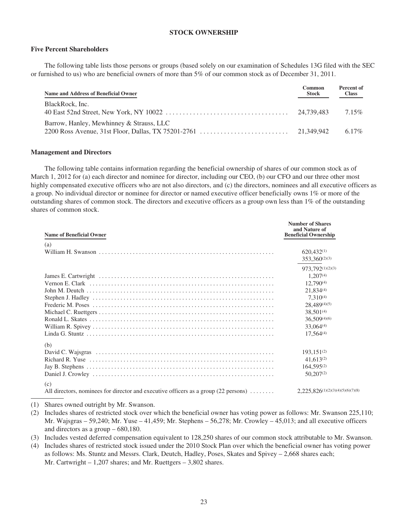### **STOCK OWNERSHIP**

#### **Five Percent Shareholders**

The following table lists those persons or groups (based solely on our examination of Schedules 13G filed with the SEC or furnished to us) who are beneficial owners of more than 5% of our common stock as of December 31, 2011.

| Name and Address of Beneficial Owner     | Common<br><b>Stock</b> | Percent of<br><b>Class</b> |
|------------------------------------------|------------------------|----------------------------|
| BlackRock, Inc.                          |                        | $7.15\%$                   |
| Barrow, Hanley, Mewhinney & Strauss, LLC |                        | $6.17\%$                   |

#### **Management and Directors**

The following table contains information regarding the beneficial ownership of shares of our common stock as of March 1, 2012 for (a) each director and nominee for director, including our CEO, (b) our CFO and our three other most highly compensated executive officers who are not also directors, and (c) the directors, nominees and all executive officers as a group. No individual director or nominee for director or named executive officer beneficially owns 1% or more of the outstanding shares of common stock. The directors and executive officers as a group own less than 1% of the outstanding shares of common stock.

| <b>Name of Beneficial Owner</b>                                                                                  | <b>Number of Shares</b><br>and Nature of<br><b>Beneficial Ownership</b>                                                                                                 |
|------------------------------------------------------------------------------------------------------------------|-------------------------------------------------------------------------------------------------------------------------------------------------------------------------|
| (a)                                                                                                              | $620,432^{(1)}$<br>$353,360^{(2)(3)}$                                                                                                                                   |
|                                                                                                                  | 973,792(1)(2)(3)<br>$1,207^{(4)}$<br>$12,790^{(4)}$<br>21.834(4)<br>$7.310^{(4)}$<br>28,489(4)(5)<br>$38,501^{(4)}$<br>$36,509^{(4)(6)}$<br>33,064(4)<br>$17,564^{(4)}$ |
| (b)                                                                                                              | $193.151^{(2)}$<br>$41,613^{(2)}$<br>$164,595^{(2)}$<br>$50,207^{(2)}$                                                                                                  |
| (c)<br>All directors, nominees for director and executive officers as a group $(22 \text{ persons}) \dots \dots$ | $2,225,826^{(1)(2)(3)(4)(5)(6)(7)(8)}$                                                                                                                                  |

(1) Shares owned outright by Mr. Swanson.

- (2) Includes shares of restricted stock over which the beneficial owner has voting power as follows: Mr. Swanson 225,110; Mr. Wajsgras – 59,240; Mr. Yuse – 41,459; Mr. Stephens – 56,278; Mr. Crowley – 45,013; and all executive officers and directors as a group – 680,180.
- (3) Includes vested deferred compensation equivalent to 128,250 shares of our common stock attributable to Mr. Swanson.
- (4) Includes shares of restricted stock issued under the 2010 Stock Plan over which the beneficial owner has voting power as follows: Ms. Stuntz and Messrs. Clark, Deutch, Hadley, Poses, Skates and Spivey – 2,668 shares each; Mr. Cartwright – 1,207 shares; and Mr. Ruettgers – 3,802 shares.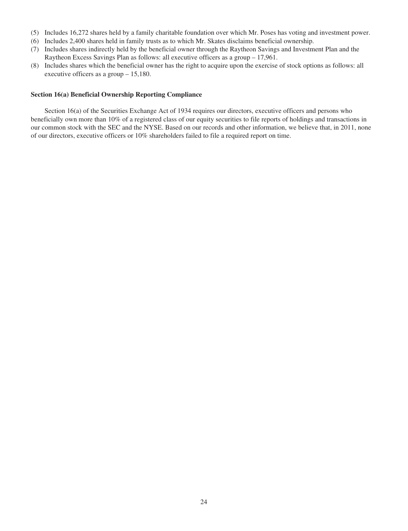- (5) Includes 16,272 shares held by a family charitable foundation over which Mr. Poses has voting and investment power.
- (6) Includes 2,400 shares held in family trusts as to which Mr. Skates disclaims beneficial ownership.
- (7) Includes shares indirectly held by the beneficial owner through the Raytheon Savings and Investment Plan and the Raytheon Excess Savings Plan as follows: all executive officers as a group – 17,961.
- (8) Includes shares which the beneficial owner has the right to acquire upon the exercise of stock options as follows: all executive officers as a group – 15,180.

#### **Section 16(a) Beneficial Ownership Reporting Compliance**

Section 16(a) of the Securities Exchange Act of 1934 requires our directors, executive officers and persons who beneficially own more than 10% of a registered class of our equity securities to file reports of holdings and transactions in our common stock with the SEC and the NYSE. Based on our records and other information, we believe that, in 2011, none of our directors, executive officers or 10% shareholders failed to file a required report on time.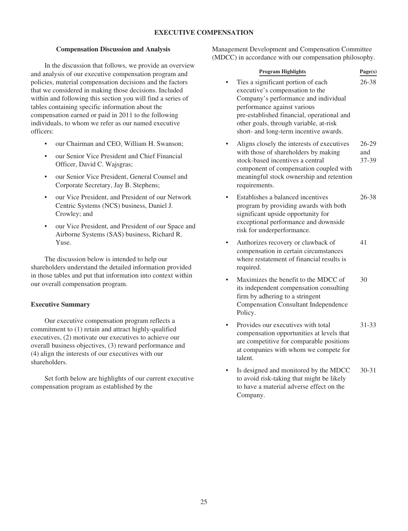# **EXECUTIVE COMPENSATION**

### **Compensation Discussion and Analysis**

In the discussion that follows, we provide an overview and analysis of our executive compensation program and policies, material compensation decisions and the factors that we considered in making those decisions. Included within and following this section you will find a series of tables containing specific information about the compensation earned or paid in 2011 to the following individuals, to whom we refer as our named executive officers:

- our Chairman and CEO, William H. Swanson;
- our Senior Vice President and Chief Financial Officer, David C. Wajsgras;
- our Senior Vice President, General Counsel and Corporate Secretary, Jay B. Stephens;
- our Vice President, and President of our Network Centric Systems (NCS) business, Daniel J. Crowley; and
- our Vice President, and President of our Space and Airborne Systems (SAS) business, Richard R. Yuse.

The discussion below is intended to help our shareholders understand the detailed information provided in those tables and put that information into context within our overall compensation program.

# **Executive Summary**

Our executive compensation program reflects a commitment to (1) retain and attract highly-qualified executives, (2) motivate our executives to achieve our overall business objectives, (3) reward performance and (4) align the interests of our executives with our shareholders.

Set forth below are highlights of our current executive compensation program as established by the

Management Development and Compensation Committee (MDCC) in accordance with our compensation philosophy.

# **Program Highlights Page(s)**

- Ties a significant portion of each executive's compensation to the Company's performance and individual performance against various pre-established financial, operational and other goals, through variable, at-risk short- and long-term incentive awards. 26-38
- Aligns closely the interests of executives with those of shareholders by making stock-based incentives a central component of compensation coupled with meaningful stock ownership and retention requirements. 26-29 and 37-39
- Establishes a balanced incentives program by providing awards with both significant upside opportunity for exceptional performance and downside risk for underperformance. 26-38
- Authorizes recovery or clawback of compensation in certain circumstances where restatement of financial results is required. 41
- Maximizes the benefit to the MDCC of its independent compensation consulting firm by adhering to a stringent Compensation Consultant Independence Policy. 30
- Provides our executives with total compensation opportunities at levels that are competitive for comparable positions at companies with whom we compete for talent. 31-33
- Is designed and monitored by the MDCC to avoid risk-taking that might be likely to have a material adverse effect on the Company. 30-31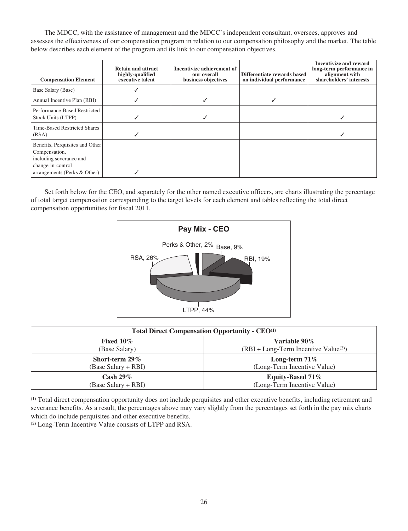The MDCC, with the assistance of management and the MDCC's independent consultant, oversees, approves and assesses the effectiveness of our compensation program in relation to our compensation philosophy and the market. The table below describes each element of the program and its link to our compensation objectives.

| <b>Compensation Element</b>                                                                                                      | <b>Retain and attract</b><br>highly-qualified<br>executive talent | Incentivize achievement of<br>our overall<br>business objectives | Differentiate rewards based<br>on individual performance | <b>Incentivize and reward</b><br>long-term performance in<br>alignment with<br>shareholders' interests |
|----------------------------------------------------------------------------------------------------------------------------------|-------------------------------------------------------------------|------------------------------------------------------------------|----------------------------------------------------------|--------------------------------------------------------------------------------------------------------|
| Base Salary (Base)                                                                                                               |                                                                   |                                                                  |                                                          |                                                                                                        |
| Annual Incentive Plan (RBI)                                                                                                      |                                                                   |                                                                  |                                                          |                                                                                                        |
| Performance-Based Restricted<br>Stock Units (LTPP)                                                                               |                                                                   |                                                                  |                                                          |                                                                                                        |
| Time-Based Restricted Shares<br>(RSA)                                                                                            |                                                                   |                                                                  |                                                          |                                                                                                        |
| Benefits, Perquisites and Other<br>Compensation,<br>including severance and<br>change-in-control<br>arrangements (Perks & Other) |                                                                   |                                                                  |                                                          |                                                                                                        |

Set forth below for the CEO, and separately for the other named executive officers, are charts illustrating the percentage of total target compensation corresponding to the target levels for each element and tables reflecting the total direct compensation opportunities for fiscal 2011.



| <b>Total Direct Compensation Opportunity - CEO</b> <sup>(1)</sup> |                                        |  |
|-------------------------------------------------------------------|----------------------------------------|--|
| Fixed $10\%$                                                      | Variable $90\%$                        |  |
| (Base Salary)                                                     | $(RBI + Long-Term Incentive Value(2))$ |  |
| Short-term 29%                                                    | Long-term $71\%$                       |  |
| (Base Salary + RBI)                                               | (Long-Term Incentive Value)            |  |
| $\mathrm{Cash}\ 29\%$                                             | Equity-Based 71%                       |  |
| (Base Salary + RBI)                                               | (Long-Term Incentive Value)            |  |

(1) Total direct compensation opportunity does not include perquisites and other executive benefits, including retirement and severance benefits. As a result, the percentages above may vary slightly from the percentages set forth in the pay mix charts which do include perquisites and other executive benefits.

(2) Long-Term Incentive Value consists of LTPP and RSA.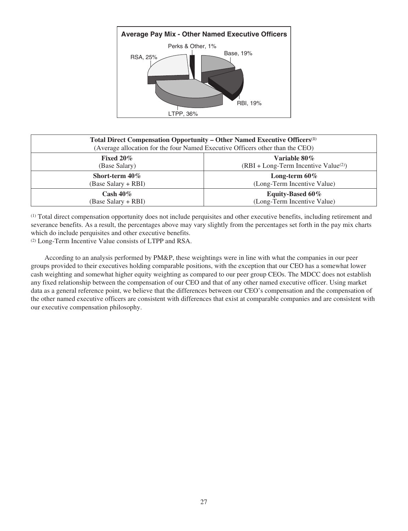

| Total Direct Compensation Opportunity - Other Named Executive Officers <sup>(1)</sup><br>(Average allocation for the four Named Executive Officers other than the CEO) |                                                        |  |
|------------------------------------------------------------------------------------------------------------------------------------------------------------------------|--------------------------------------------------------|--|
| Fixed $20\%$<br>Variable 80%<br>$(RBI + Long-Term Incentive Value(2))$<br>(Base Salary)                                                                                |                                                        |  |
| Short-term 40%<br>(Base Salary + RBI)                                                                                                                                  | Long-term $60\%$<br>(Long-Term Incentive Value)        |  |
| Cash $40\%$<br>(Base Salary + RBI)                                                                                                                                     | <b>Equity-Based 60%</b><br>(Long-Term Incentive Value) |  |

(1) Total direct compensation opportunity does not include perquisites and other executive benefits, including retirement and severance benefits. As a result, the percentages above may vary slightly from the percentages set forth in the pay mix charts which do include perquisites and other executive benefits.

(2) Long-Term Incentive Value consists of LTPP and RSA.

According to an analysis performed by PM&P, these weightings were in line with what the companies in our peer groups provided to their executives holding comparable positions, with the exception that our CEO has a somewhat lower cash weighting and somewhat higher equity weighting as compared to our peer group CEOs. The MDCC does not establish any fixed relationship between the compensation of our CEO and that of any other named executive officer. Using market data as a general reference point, we believe that the differences between our CEO's compensation and the compensation of the other named executive officers are consistent with differences that exist at comparable companies and are consistent with our executive compensation philosophy.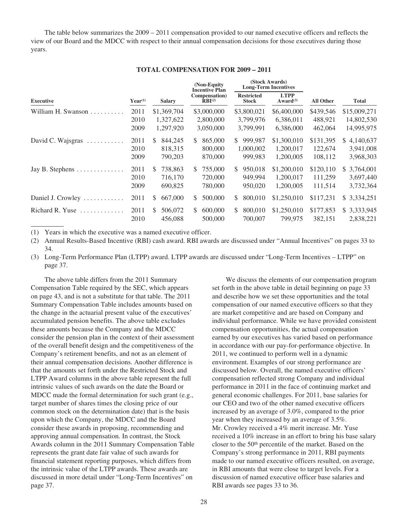The table below summarizes the 2009 – 2011 compensation provided to our named executive officers and reflects the view of our Board and the MDCC with respect to their annual compensation decisions for those executives during those years.

| TOTAL COMPENSATION FOR 2009 – 2011 |  |  |
|------------------------------------|--|--|
|                                    |  |  |

|                        |                               |                | (Non-Equity)<br><b>Incentive Plan</b>        | (Stock Awards)<br><b>Long-Term Incentives</b> |                               | <b>All Other</b> | <b>Total</b>     |
|------------------------|-------------------------------|----------------|----------------------------------------------|-----------------------------------------------|-------------------------------|------------------|------------------|
| <b>Executive</b>       | $Year^{(1)}$<br><b>Salary</b> |                | Compensation)<br>$\bar{R}$ BI <sup>(2)</sup> | <b>Restricted</b><br>Stock                    | <b>LTPP</b><br>Award $^{(3)}$ |                  |                  |
| William H. Swanson     | 2011                          | \$1,369,704    | \$3,000,000                                  | \$3,800,021                                   | \$6,400,000                   | \$439,546        | \$15,009,271     |
|                        | 2010                          | 1,327,622      | 2,800,000                                    | 3,799,976                                     | 6,386,011                     | 488,921          | 14,802,530       |
|                        | 2009                          | 1,297,920      | 3,050,000                                    | 3,799,991                                     | 6,386,000                     | 462,064          | 14,995,975       |
| David C. Wajsgras<br>. | 2011                          | \$.<br>844,245 | 865,000<br>S.                                | 999.987<br>S.                                 | \$1,300,010                   | \$131,395        | \$4,140,637      |
|                        | 2010                          | 818,315        | 800,000                                      | 1,000,002                                     | 1,200,017                     | 122,674          | 3,941,008        |
|                        | 2009                          | 790,203        | 870,000                                      | 999,983                                       | 1,200,005                     | 108,112          | 3,968,303        |
| Jay B. Stephens        | 2011                          | 738.863<br>S.  | 755,000<br>\$.                               | 950.018<br>S.                                 | \$1,200,010                   | \$120,110        | 3,764,001<br>\$. |
|                        | 2010                          | 716,170        | 720,000                                      | 949,994                                       | 1,200,017                     | 111,259          | 3,697,440        |
|                        | 2009                          | 690,825        | 780,000                                      | 950,020                                       | 1,200,005                     | 111,514          | 3,732,364        |
| Daniel J. Crowley<br>. | 2011                          | 667,000<br>S.  | 500,000<br>S                                 | 800,010<br>S.                                 | \$1,250,010                   | \$117,231        | \$ 3,334,251     |
| Richard R. Yuse<br>.   | 2011                          | 506,072<br>S   | 600,000<br>S                                 | 800,010<br>S.                                 | \$1,250,010                   | \$177,853        | 3,333,945<br>\$. |
|                        | 2010                          | 456,088        | 500,000                                      | 700,007                                       | 799,975                       | 382,151          | 2,838,221        |

(1) Years in which the executive was a named executive officer.

(2) Annual Results-Based Incentive (RBI) cash award. RBI awards are discussed under "Annual Incentives" on pages 33 to 34.

(3) Long-Term Performance Plan (LTPP) award. LTPP awards are discussed under "Long-Term Incentives – LTPP" on page 37.

The above table differs from the 2011 Summary Compensation Table required by the SEC, which appears on page 43, and is not a substitute for that table. The 2011 Summary Compensation Table includes amounts based on the change in the actuarial present value of the executives' accumulated pension benefits. The above table excludes these amounts because the Company and the MDCC consider the pension plan in the context of their assessment of the overall benefit design and the competitiveness of the Company's retirement benefits, and not as an element of their annual compensation decisions. Another difference is that the amounts set forth under the Restricted Stock and LTPP Award columns in the above table represent the full intrinsic values of such awards on the date the Board or MDCC made the formal determination for such grant (e.g., target number of shares times the closing price of our common stock on the determination date) that is the basis upon which the Company, the MDCC and the Board consider these awards in proposing, recommending and approving annual compensation. In contrast, the Stock Awards column in the 2011 Summary Compensation Table represents the grant date fair value of such awards for financial statement reporting purposes, which differs from the intrinsic value of the LTPP awards. These awards are discussed in more detail under "Long-Term Incentives" on page 37.

We discuss the elements of our compensation program set forth in the above table in detail beginning on page 33 and describe how we set these opportunities and the total compensation of our named executive officers so that they are market competitive and are based on Company and individual performance. While we have provided consistent compensation opportunities, the actual compensation earned by our executives has varied based on performance in accordance with our pay-for-performance objective. In 2011, we continued to perform well in a dynamic environment. Examples of our strong performance are discussed below. Overall, the named executive officers' compensation reflected strong Company and individual performance in 2011 in the face of continuing market and general economic challenges. For 2011, base salaries for our CEO and two of the other named executive officers increased by an average of 3.0%, compared to the prior year when they increased by an average of 3.5%. Mr. Crowley received a 4% merit increase. Mr. Yuse received a 10% increase in an effort to bring his base salary closer to the 50th percentile of the market. Based on the Company's strong performance in 2011, RBI payments made to our named executive officers resulted, on average, in RBI amounts that were close to target levels. For a discussion of named executive officer base salaries and RBI awards see pages 33 to 36.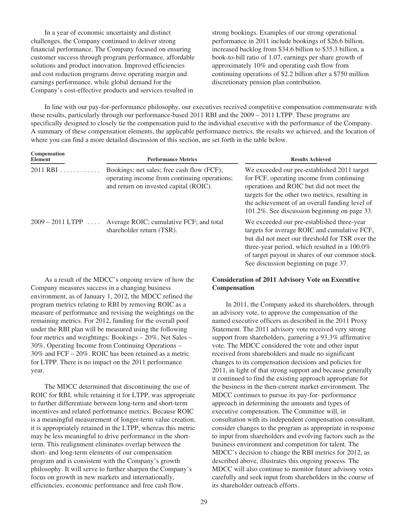In a year of economic uncertainty and distinct challenges, the Company continued to deliver strong financial performance. The Company focused on ensuring customer success through program performance, affordable solutions and product innovation. Improved efficiencies and cost reduction programs drove operating margin and earnings performance, while global demand for the Company's cost-effective products and services resulted in

strong bookings. Examples of our strong operational performance in 2011 include bookings of \$26.6 billion, increased backlog from \$34.6 billion to \$35.3 billion, a book-to-bill ratio of 1.07, earnings per share growth of approximately 10% and operating cash flow from continuing operations of \$2.2 billion after a \$750 million discretionary pension plan contribution.

In line with our pay-for-performance philosophy, our executives received competitive compensation commensurate with these results, particularly through our performance-based 2011 RBI and the 2009 – 2011 LTPP. These programs are specifically designed to closely tie the compensation paid to the individual executive with the performance of the Company. A summary of these compensation elements, the applicable performance metrics, the results we achieved, and the location of where you can find a more detailed discussion of this section, are set forth in the table below.

| Compensation<br>Element | <b>Performance Metrics</b>                                                                                                           | <b>Results Achieved</b>                                                                                                                                                                                                                                                                      |  |  |
|-------------------------|--------------------------------------------------------------------------------------------------------------------------------------|----------------------------------------------------------------------------------------------------------------------------------------------------------------------------------------------------------------------------------------------------------------------------------------------|--|--|
| $2011$ RBI              | Bookings; net sales; free cash flow (FCF);<br>operating income from continuing operations;<br>and return on invested capital (ROIC). | We exceeded our pre-established 2011 target<br>for FCF, operating income from continuing<br>operations and ROIC but did not meet the<br>targets for the other two metrics, resulting in<br>the achievement of an overall funding level of<br>101.2%. See discussion beginning on page 33.    |  |  |
| $2009 - 2011$ LTPP      | Average ROIC; cumulative FCF; and total<br>shareholder return (TSR).                                                                 | We exceeded our pre-established three-year<br>targets for average ROIC and cumulative FCF,<br>but did not meet our threshold for TSR over the<br>three-year period, which resulted in a $100.0\%$<br>of target payout in shares of our common stock.<br>See discussion beginning on page 37. |  |  |

As a result of the MDCC's ongoing review of how the Company measures success in a changing business environment, as of January 1, 2012, the MDCC refined the program metrics relating to RBI by removing ROIC as a measure of performance and revising the weightings on the remaining metrics. For 2012, funding for the overall pool under the RBI plan will be measured using the following four metrics and weightings: Bookings – 20%, Net Sales – 30%, Operating Income from Continuing Operations – 30% and FCF – 20%. ROIC has been retained as a metric for LTPP. There is no impact on the 2011 performance year.

The MDCC determined that discontinuing the use of ROIC for RBI, while retaining it for LTPP, was appropriate to further differentiate between long-term and short-term incentives and related performance metrics. Because ROIC is a meaningful measurement of longer-term value creation, it is appropriately retained in the LTPP, whereas this metric may be less meaningful to drive performance in the shortterm. This realignment eliminates overlap between the short- and long-term elements of our compensation program and is consistent with the Company's growth philosophy. It will serve to further sharpen the Company's focus on growth in new markets and internationally, efficiencies, economic performance and free cash flow.

### **Consideration of 2011 Advisory Vote on Executive Compensation**

In 2011, the Company asked its shareholders, through an advisory vote, to approve the compensation of the named executive officers as described in the 2011 Proxy Statement. The 2011 advisory vote received very strong support from shareholders, garnering a 93.3% affirmative vote. The MDCC considered the vote and other input received from shareholders and made no significant changes to its compensation decisions and policies for 2011, in light of that strong support and because generally it continued to find the existing approach appropriate for the business in the then-current market environment. The MDCC continues to pursue its pay-for- performance approach in determining the amounts and types of executive compensation. The Committee will, in consultation with its independent compensation consultant, consider changes to the program as appropriate in response to input from shareholders and evolving factors such as the business environment and competition for talent. The MDCC's decision to change the RBI metrics for 2012, as described above, illustrates this ongoing process. The MDCC will also continue to monitor future advisory votes carefully and seek input from shareholders in the course of its shareholder outreach efforts.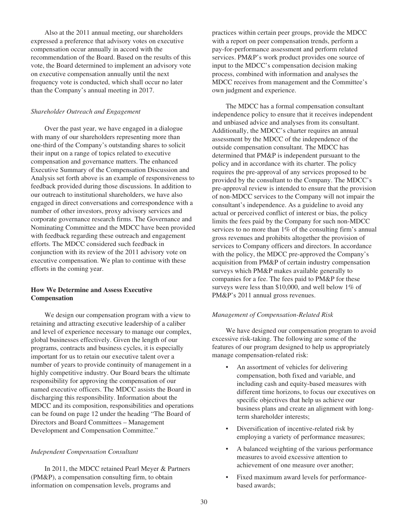Also at the 2011 annual meeting, our shareholders expressed a preference that advisory votes on executive compensation occur annually in accord with the recommendation of the Board. Based on the results of this vote, the Board determined to implement an advisory vote on executive compensation annually until the next frequency vote is conducted, which shall occur no later than the Company's annual meeting in 2017.

#### *Shareholder Outreach and Engagement*

Over the past year, we have engaged in a dialogue with many of our shareholders representing more than one-third of the Company's outstanding shares to solicit their input on a range of topics related to executive compensation and governance matters. The enhanced Executive Summary of the Compensation Discussion and Analysis set forth above is an example of responsiveness to feedback provided during those discussions. In addition to our outreach to institutional shareholders, we have also engaged in direct conversations and correspondence with a number of other investors, proxy advisory services and corporate governance research firms. The Governance and Nominating Committee and the MDCC have been provided with feedback regarding these outreach and engagement efforts. The MDCC considered such feedback in conjunction with its review of the 2011 advisory vote on executive compensation. We plan to continue with these efforts in the coming year.

# **How We Determine and Assess Executive Compensation**

We design our compensation program with a view to retaining and attracting executive leadership of a caliber and level of experience necessary to manage our complex, global businesses effectively. Given the length of our programs, contracts and business cycles, it is especially important for us to retain our executive talent over a number of years to provide continuity of management in a highly competitive industry. Our Board bears the ultimate responsibility for approving the compensation of our named executive officers. The MDCC assists the Board in discharging this responsibility. Information about the MDCC and its composition, responsibilities and operations can be found on page 12 under the heading "The Board of Directors and Board Committees – Management Development and Compensation Committee."

## *Independent Compensation Consultant*

In 2011, the MDCC retained Pearl Meyer & Partners (PM&P), a compensation consulting firm, to obtain information on compensation levels, programs and

practices within certain peer groups, provide the MDCC with a report on peer compensation trends, perform a pay-for-performance assessment and perform related services. PM&P's work product provides one source of input to the MDCC's compensation decision making process, combined with information and analyses the MDCC receives from management and the Committee's own judgment and experience.

The MDCC has a formal compensation consultant independence policy to ensure that it receives independent and unbiased advice and analyses from its consultant. Additionally, the MDCC's charter requires an annual assessment by the MDCC of the independence of the outside compensation consultant. The MDCC has determined that PM&P is independent pursuant to the policy and in accordance with its charter. The policy requires the pre-approval of any services proposed to be provided by the consultant to the Company. The MDCC's pre-approval review is intended to ensure that the provision of non-MDCC services to the Company will not impair the consultant's independence. As a guideline to avoid any actual or perceived conflict of interest or bias, the policy limits the fees paid by the Company for such non-MDCC services to no more than 1% of the consulting firm's annual gross revenues and prohibits altogether the provision of services to Company officers and directors. In accordance with the policy, the MDCC pre-approved the Company's acquisition from PM&P of certain industry compensation surveys which PM&P makes available generally to companies for a fee. The fees paid to PM&P for these surveys were less than \$10,000, and well below 1% of PM&P's 2011 annual gross revenues.

#### *Management of Compensation-Related Risk*

We have designed our compensation program to avoid excessive risk-taking. The following are some of the features of our program designed to help us appropriately manage compensation-related risk:

- An assortment of vehicles for delivering compensation, both fixed and variable, and including cash and equity-based measures with different time horizons, to focus our executives on specific objectives that help us achieve our business plans and create an alignment with longterm shareholder interests;
- Diversification of incentive-related risk by employing a variety of performance measures;
- A balanced weighting of the various performance measures to avoid excessive attention to achievement of one measure over another;
- Fixed maximum award levels for performancebased awards;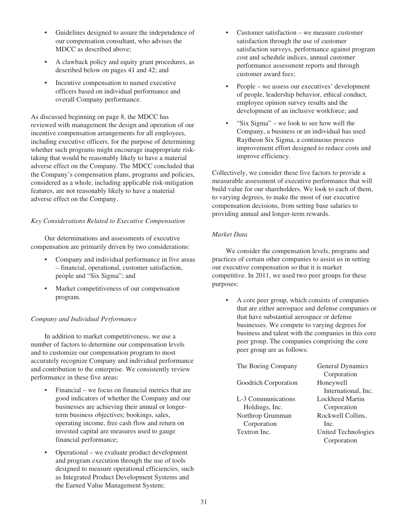- Guidelines designed to assure the independence of our compensation consultant, who advises the MDCC as described above;
- A clawback policy and equity grant procedures, as described below on pages 41 and 42; and
- Incentive compensation to named executive officers based on individual performance and overall Company performance.

As discussed beginning on page 8, the MDCC has reviewed with management the design and operation of our incentive compensation arrangements for all employees, including executive officers, for the purpose of determining whether such programs might encourage inappropriate risktaking that would be reasonably likely to have a material adverse effect on the Company. The MDCC concluded that the Company's compensation plans, programs and policies, considered as a whole, including applicable risk-mitigation features, are not reasonably likely to have a material adverse effect on the Company.

## *Key Considerations Related to Executive Compensation*

Our determinations and assessments of executive compensation are primarily driven by two considerations:

- Company and individual performance in five areas – financial, operational, customer satisfaction, people and "Six Sigma"; and
- Market competitiveness of our compensation program.

## *Company and Individual Performance*

In addition to market competitiveness, we use a number of factors to determine our compensation levels and to customize our compensation program to most accurately recognize Company and individual performance and contribution to the enterprise. We consistently review performance in these five areas:

- Financial we focus on financial metrics that are good indicators of whether the Company and our businesses are achieving their annual or longerterm business objectives; bookings, sales, operating income, free cash flow and return on invested capital are measures used to gauge financial performance;
- Operational we evaluate product development and program execution through the use of tools designed to measure operational efficiencies, such as Integrated Product Development Systems and the Earned Value Management System;
- Customer satisfaction we measure customer satisfaction through the use of customer satisfaction surveys, performance against program cost and schedule indices, annual customer performance assessment reports and through customer award fees;
- People we assess our executives' development of people, leadership behavior, ethical conduct, employee opinion survey results and the development of an inclusive workforce; and
- "Six Sigma" we look to see how well the Company, a business or an individual has used Raytheon Six Sigma, a continuous process improvement effort designed to reduce costs and improve efficiency.

Collectively, we consider these five factors to provide a measurable assessment of executive performance that will build value for our shareholders. We look to each of them, to varying degrees, to make the most of our executive compensation decisions, from setting base salaries to providing annual and longer-term rewards.

## *Market Data*

We consider the compensation levels, programs and practices of certain other companies to assist us in setting our executive compensation so that it is market competitive. In 2011, we used two peer groups for these purposes:

• A core peer group, which consists of companies that are either aerospace and defense companies or that have substantial aerospace or defense businesses. We compete to varying degrees for business and talent with the companies in this core peer group. The companies comprising the core peer group are as follows:

| The Boeing Company   | General Dynamics    |
|----------------------|---------------------|
|                      | Corporation         |
| Goodrich Corporation | Honeywell           |
|                      | International, Inc. |
| L-3 Communications   | Lockheed Martin     |
| Holdings, Inc.       | Corporation         |
| Northrop Grumman     | Rockwell Collins,   |
| Corporation          | Inc.                |
| Textron Inc.         | United Technologies |
|                      | Corporation         |
|                      |                     |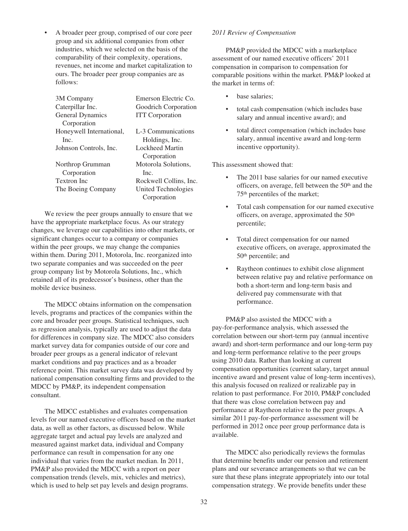• A broader peer group, comprised of our core peer group and six additional companies from other industries, which we selected on the basis of the comparability of their complexity, operations, revenues, net income and market capitalization to ours. The broader peer group companies are as follows:

| 3M Company               | Emerson Electric Co.   |
|--------------------------|------------------------|
| Caterpillar Inc.         | Goodrich Corporation   |
| <b>General Dynamics</b>  | <b>ITT</b> Corporation |
| Corporation              |                        |
| Honeywell International, | L-3 Communications     |
| Inc.                     | Holdings, Inc.         |
| Johnson Controls, Inc.   | Lockheed Martin        |
|                          | Corporation            |
| Northrop Grumman         | Motorola Solutions,    |
| Corporation              | Inc.                   |
| Textron Inc              | Rockwell Collins, Inc. |
| The Boeing Company       | United Technologies    |
|                          | Corporation            |

We review the peer groups annually to ensure that we have the appropriate marketplace focus. As our strategy changes, we leverage our capabilities into other markets, or significant changes occur to a company or companies within the peer groups, we may change the companies within them. During 2011, Motorola, Inc. reorganized into two separate companies and was succeeded on the peer group company list by Motorola Solutions, Inc., which retained all of its predecessor's business, other than the mobile device business.

The MDCC obtains information on the compensation levels, programs and practices of the companies within the core and broader peer groups. Statistical techniques, such as regression analysis, typically are used to adjust the data for differences in company size. The MDCC also considers market survey data for companies outside of our core and broader peer groups as a general indicator of relevant market conditions and pay practices and as a broader reference point. This market survey data was developed by national compensation consulting firms and provided to the MDCC by PM&P, its independent compensation consultant.

The MDCC establishes and evaluates compensation levels for our named executive officers based on the market data, as well as other factors, as discussed below. While aggregate target and actual pay levels are analyzed and measured against market data, individual and Company performance can result in compensation for any one individual that varies from the market median. In 2011, PM&P also provided the MDCC with a report on peer compensation trends (levels, mix, vehicles and metrics), which is used to help set pay levels and design programs.

#### *2011 Review of Compensation*

PM&P provided the MDCC with a marketplace assessment of our named executive officers' 2011 compensation in comparison to compensation for comparable positions within the market. PM&P looked at the market in terms of:

- base salaries;
- total cash compensation (which includes base salary and annual incentive award); and
- total direct compensation (which includes base salary, annual incentive award and long-term incentive opportunity).

This assessment showed that:

- The 2011 base salaries for our named executive officers, on average, fell between the 50th and the 75th percentiles of the market;
- Total cash compensation for our named executive officers, on average, approximated the 50th percentile;
- Total direct compensation for our named executive officers, on average, approximated the 50th percentile; and
- Raytheon continues to exhibit close alignment between relative pay and relative performance on both a short-term and long-term basis and delivered pay commensurate with that performance.

PM&P also assisted the MDCC with a pay-for-performance analysis, which assessed the correlation between our short-term pay (annual incentive award) and short-term performance and our long-term pay and long-term performance relative to the peer groups using 2010 data. Rather than looking at current compensation opportunities (current salary, target annual incentive award and present value of long-term incentives), this analysis focused on realized or realizable pay in relation to past performance. For 2010, PM&P concluded that there was close correlation between pay and performance at Raytheon relative to the peer groups. A similar 2011 pay-for-performance assessment will be performed in 2012 once peer group performance data is available.

The MDCC also periodically reviews the formulas that determine benefits under our pension and retirement plans and our severance arrangements so that we can be sure that these plans integrate appropriately into our total compensation strategy. We provide benefits under these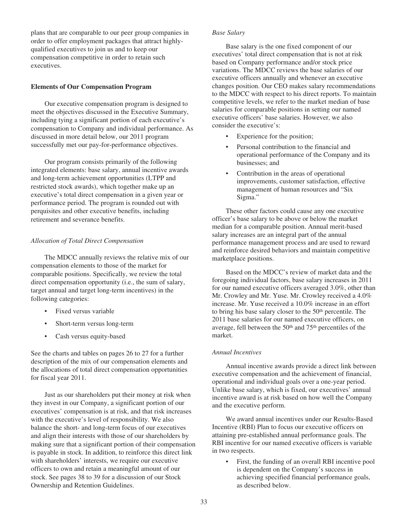plans that are comparable to our peer group companies in order to offer employment packages that attract highlyqualified executives to join us and to keep our compensation competitive in order to retain such executives.

# **Elements of Our Compensation Program**

Our executive compensation program is designed to meet the objectives discussed in the Executive Summary, including tying a significant portion of each executive's compensation to Company and individual performance. As discussed in more detail below, our 2011 program successfully met our pay-for-performance objectives.

Our program consists primarily of the following integrated elements: base salary, annual incentive awards and long-term achievement opportunities (LTPP and restricted stock awards), which together make up an executive's total direct compensation in a given year or performance period. The program is rounded out with perquisites and other executive benefits, including retirement and severance benefits.

# *Allocation of Total Direct Compensation*

The MDCC annually reviews the relative mix of our compensation elements to those of the market for comparable positions. Specifically, we review the total direct compensation opportunity (i.e., the sum of salary, target annual and target long-term incentives) in the following categories:

- Fixed versus variable
- Short-term versus long-term
- Cash versus equity-based

See the charts and tables on pages 26 to 27 for a further description of the mix of our compensation elements and the allocations of total direct compensation opportunities for fiscal year 2011.

Just as our shareholders put their money at risk when they invest in our Company, a significant portion of our executives' compensation is at risk, and that risk increases with the executive's level of responsibility. We also balance the short- and long-term focus of our executives and align their interests with those of our shareholders by making sure that a significant portion of their compensation is payable in stock. In addition, to reinforce this direct link with shareholders' interests, we require our executive officers to own and retain a meaningful amount of our stock. See pages 38 to 39 for a discussion of our Stock Ownership and Retention Guidelines.

# *Base Salary*

Base salary is the one fixed component of our executives' total direct compensation that is not at risk based on Company performance and/or stock price variations. The MDCC reviews the base salaries of our executive officers annually and whenever an executive changes position. Our CEO makes salary recommendations to the MDCC with respect to his direct reports. To maintain competitive levels, we refer to the market median of base salaries for comparable positions in setting our named executive officers' base salaries. However, we also consider the executive's:

- Experience for the position;
- Personal contribution to the financial and operational performance of the Company and its businesses; and
- Contribution in the areas of operational improvements, customer satisfaction, effective management of human resources and "Six Sigma."

These other factors could cause any one executive officer's base salary to be above or below the market median for a comparable position. Annual merit-based salary increases are an integral part of the annual performance management process and are used to reward and reinforce desired behaviors and maintain competitive marketplace positions.

Based on the MDCC's review of market data and the foregoing individual factors, base salary increases in 2011 for our named executive officers averaged 3.0%, other than Mr. Crowley and Mr. Yuse. Mr. Crowley received a 4.0% increase. Mr. Yuse received a 10.0% increase in an effort to bring his base salary closer to the 50th percentile. The 2011 base salaries for our named executive officers, on average, fell between the 50<sup>th</sup> and 75<sup>th</sup> percentiles of the market.

# *Annual Incentives*

Annual incentive awards provide a direct link between executive compensation and the achievement of financial, operational and individual goals over a one-year period. Unlike base salary, which is fixed, our executives' annual incentive award is at risk based on how well the Company and the executive perform.

We award annual incentives under our Results-Based Incentive (RBI) Plan to focus our executive officers on attaining pre-established annual performance goals. The RBI incentive for our named executive officers is variable in two respects.

• First, the funding of an overall RBI incentive pool is dependent on the Company's success in achieving specified financial performance goals, as described below.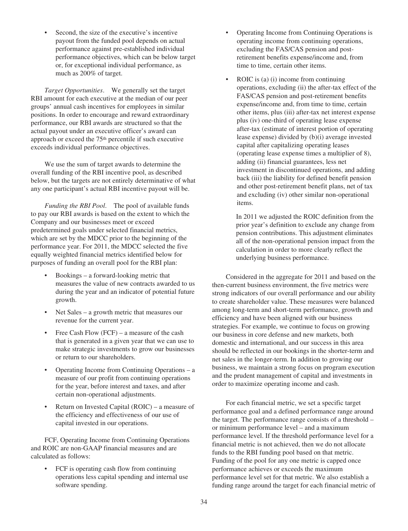Second, the size of the executive's incentive payout from the funded pool depends on actual performance against pre-established individual performance objectives, which can be below target or, for exceptional individual performance, as much as 200% of target.

*Target Opportunities*. We generally set the target RBI amount for each executive at the median of our peer groups' annual cash incentives for employees in similar positions. In order to encourage and reward extraordinary performance, our RBI awards are structured so that the actual payout under an executive officer's award can approach or exceed the 75th percentile if such executive exceeds individual performance objectives.

We use the sum of target awards to determine the overall funding of the RBI incentive pool, as described below, but the targets are not entirely determinative of what any one participant's actual RBI incentive payout will be.

*Funding the RBI Pool*. The pool of available funds to pay our RBI awards is based on the extent to which the Company and our businesses meet or exceed predetermined goals under selected financial metrics, which are set by the MDCC prior to the beginning of the performance year. For 2011, the MDCC selected the five equally weighted financial metrics identified below for purposes of funding an overall pool for the RBI plan:

- Bookings a forward-looking metric that measures the value of new contracts awarded to us during the year and an indicator of potential future growth.
- Net Sales a growth metric that measures our revenue for the current year.
- Free Cash Flow (FCF) a measure of the cash that is generated in a given year that we can use to make strategic investments to grow our businesses or return to our shareholders.
- Operating Income from Continuing Operations a measure of our profit from continuing operations for the year, before interest and taxes, and after certain non-operational adjustments.
- Return on Invested Capital (ROIC) a measure of the efficiency and effectiveness of our use of capital invested in our operations.

FCF, Operating Income from Continuing Operations and ROIC are non-GAAP financial measures and are calculated as follows:

• FCF is operating cash flow from continuing operations less capital spending and internal use software spending.

- Operating Income from Continuing Operations is operating income from continuing operations, excluding the FAS/CAS pension and postretirement benefits expense/income and, from time to time, certain other items.
- ROIC is (a) (i) income from continuing operations, excluding (ii) the after-tax effect of the FAS/CAS pension and post-retirement benefits expense/income and, from time to time, certain other items, plus (iii) after-tax net interest expense plus (iv) one-third of operating lease expense after-tax (estimate of interest portion of operating lease expense) divided by (b)(i) average invested capital after capitalizing operating leases (operating lease expense times a multiplier of 8), adding (ii) financial guarantees, less net investment in discontinued operations, and adding back (iii) the liability for defined benefit pension and other post-retirement benefit plans, net of tax and excluding (iv) other similar non-operational items.

In 2011 we adjusted the ROIC definition from the prior year's definition to exclude any change from pension contributions. This adjustment eliminates all of the non-operational pension impact from the calculation in order to more clearly reflect the underlying business performance.

Considered in the aggregate for 2011 and based on the then-current business environment, the five metrics were strong indicators of our overall performance and our ability to create shareholder value. These measures were balanced among long-term and short-term performance, growth and efficiency and have been aligned with our business strategies. For example, we continue to focus on growing our business in core defense and new markets, both domestic and international, and our success in this area should be reflected in our bookings in the shorter-term and net sales in the longer-term. In addition to growing our business, we maintain a strong focus on program execution and the prudent management of capital and investments in order to maximize operating income and cash.

For each financial metric, we set a specific target performance goal and a defined performance range around the target. The performance range consists of a threshold – or minimum performance level – and a maximum performance level. If the threshold performance level for a financial metric is not achieved, then we do not allocate funds to the RBI funding pool based on that metric. Funding of the pool for any one metric is capped once performance achieves or exceeds the maximum performance level set for that metric. We also establish a funding range around the target for each financial metric of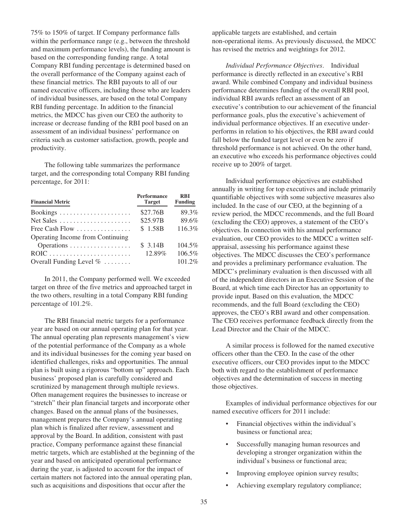75% to 150% of target. If Company performance falls within the performance range (e.g., between the threshold and maximum performance levels), the funding amount is based on the corresponding funding range. A total Company RBI funding percentage is determined based on the overall performance of the Company against each of these financial metrics. The RBI payouts to all of our named executive officers, including those who are leaders of individual businesses, are based on the total Company RBI funding percentage. In addition to the financial metrics, the MDCC has given our CEO the authority to increase or decrease funding of the RBI pool based on an assessment of an individual business' performance on criteria such as customer satisfaction, growth, people and productivity.

The following table summarizes the performance target, and the corresponding total Company RBI funding percentage, for 2011:

| <b>Financial Metric</b>                              | <b>Performance</b><br><b>Target</b> | <b>RBI</b><br><b>Funding</b> |
|------------------------------------------------------|-------------------------------------|------------------------------|
|                                                      | \$27.76B                            | 89.3%                        |
| Net Sales $\dots\dots\dots\dots\dots\dots\dots\dots$ | \$25.97B                            | 89.6%                        |
| Free Cash Flow $\dots\dots\dots\dots\dots\dots$      | \$1.58B                             | 116.3%                       |
| Operating Income from Continuing                     |                                     |                              |
| Operations                                           | \$3.14B                             | 104.5%                       |
|                                                      | 12.89%                              | 106.5%                       |
| Overall Funding Level $\% \dots \dots$               |                                     | 101.2%                       |

In 2011, the Company performed well. We exceeded target on three of the five metrics and approached target in the two others, resulting in a total Company RBI funding percentage of 101.2%.

The RBI financial metric targets for a performance year are based on our annual operating plan for that year. The annual operating plan represents management's view of the potential performance of the Company as a whole and its individual businesses for the coming year based on identified challenges, risks and opportunities. The annual plan is built using a rigorous "bottom up" approach. Each business' proposed plan is carefully considered and scrutinized by management through multiple reviews. Often management requires the businesses to increase or "stretch" their plan financial targets and incorporate other changes. Based on the annual plans of the businesses, management prepares the Company's annual operating plan which is finalized after review, assessment and approval by the Board. In addition, consistent with past practice, Company performance against these financial metric targets, which are established at the beginning of the year and based on anticipated operational performance during the year, is adjusted to account for the impact of certain matters not factored into the annual operating plan, such as acquisitions and dispositions that occur after the

applicable targets are established, and certain non-operational items. As previously discussed, the MDCC has revised the metrics and weightings for 2012.

*Individual Performance Objectives*. Individual performance is directly reflected in an executive's RBI award. While combined Company and individual business performance determines funding of the overall RBI pool, individual RBI awards reflect an assessment of an executive's contribution to our achievement of the financial performance goals, plus the executive's achievement of individual performance objectives. If an executive underperforms in relation to his objectives, the RBI award could fall below the funded target level or even be zero if threshold performance is not achieved. On the other hand, an executive who exceeds his performance objectives could receive up to 200% of target.

Individual performance objectives are established annually in writing for top executives and include primarily quantifiable objectives with some subjective measures also included. In the case of our CEO, at the beginning of a review period, the MDCC recommends, and the full Board (excluding the CEO) approves, a statement of the CEO's objectives. In connection with his annual performance evaluation, our CEO provides to the MDCC a written selfappraisal, assessing his performance against these objectives. The MDCC discusses the CEO's performance and provides a preliminary performance evaluation. The MDCC's preliminary evaluation is then discussed with all of the independent directors in an Executive Session of the Board, at which time each Director has an opportunity to provide input. Based on this evaluation, the MDCC recommends, and the full Board (excluding the CEO) approves, the CEO's RBI award and other compensation. The CEO receives performance feedback directly from the Lead Director and the Chair of the MDCC.

A similar process is followed for the named executive officers other than the CEO. In the case of the other executive officers, our CEO provides input to the MDCC both with regard to the establishment of performance objectives and the determination of success in meeting those objectives.

Examples of individual performance objectives for our named executive officers for 2011 include:

- Financial objectives within the individual's business or functional area;
- Successfully managing human resources and developing a stronger organization within the individual's business or functional area;
- Improving employee opinion survey results;
- Achieving exemplary regulatory compliance;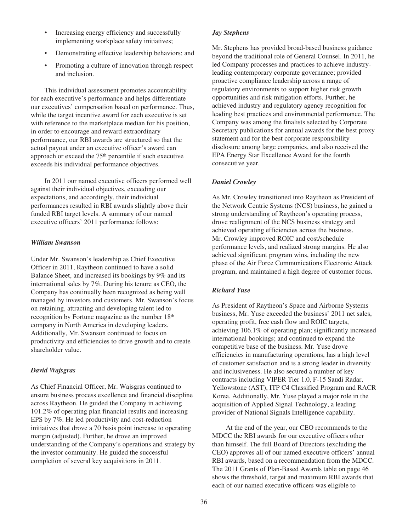- Increasing energy efficiency and successfully implementing workplace safety initiatives;
- Demonstrating effective leadership behaviors; and
- Promoting a culture of innovation through respect and inclusion.

This individual assessment promotes accountability for each executive's performance and helps differentiate our executives' compensation based on performance. Thus, while the target incentive award for each executive is set with reference to the marketplace median for his position, in order to encourage and reward extraordinary performance, our RBI awards are structured so that the actual payout under an executive officer's award can approach or exceed the 75th percentile if such executive exceeds his individual performance objectives.

In 2011 our named executive officers performed well against their individual objectives, exceeding our expectations, and accordingly, their individual performances resulted in RBI awards slightly above their funded RBI target levels. A summary of our named executive officers' 2011 performance follows:

# *William Swanson*

Under Mr. Swanson's leadership as Chief Executive Officer in 2011, Raytheon continued to have a solid Balance Sheet, and increased its bookings by 9% and its international sales by 7%. During his tenure as CEO, the Company has continually been recognized as being well managed by investors and customers. Mr. Swanson's focus on retaining, attracting and developing talent led to recognition by Fortune magazine as the number 18th company in North America in developing leaders. Additionally, Mr. Swanson continued to focus on productivity and efficiencies to drive growth and to create shareholder value.

# *David Wajsgras*

As Chief Financial Officer, Mr. Wajsgras continued to ensure business process excellence and financial discipline across Raytheon. He guided the Company in achieving 101.2% of operating plan financial results and increasing EPS by 7%. He led productivity and cost-reduction initiatives that drove a 70 basis point increase to operating margin (adjusted). Further, he drove an improved understanding of the Company's operations and strategy by the investor community. He guided the successful completion of several key acquisitions in 2011.

### *Jay Stephens*

Mr. Stephens has provided broad-based business guidance beyond the traditional role of General Counsel. In 2011, he led Company processes and practices to achieve industryleading contemporary corporate governance; provided proactive compliance leadership across a range of regulatory environments to support higher risk growth opportunities and risk mitigation efforts. Further, he achieved industry and regulatory agency recognition for leading best practices and environmental performance. The Company was among the finalists selected by Corporate Secretary publications for annual awards for the best proxy statement and for the best corporate responsibility disclosure among large companies, and also received the EPA Energy Star Excellence Award for the fourth consecutive year.

# *Daniel Crowley*

As Mr. Crowley transitioned into Raytheon as President of the Network Centric Systems (NCS) business, he gained a strong understanding of Raytheon's operating process, drove realignment of the NCS business strategy and achieved operating efficiencies across the business. Mr. Crowley improved ROIC and cost/schedule performance levels, and realized strong margins. He also achieved significant program wins, including the new phase of the Air Force Communications Electronic Attack program, and maintained a high degree of customer focus.

### *Richard Yuse*

As President of Raytheon's Space and Airborne Systems business, Mr. Yuse exceeded the business' 2011 net sales, operating profit, free cash flow and ROIC targets, achieving 106.1% of operating plan; significantly increased international bookings; and continued to expand the competitive base of the business. Mr. Yuse drove efficiencies in manufacturing operations, has a high level of customer satisfaction and is a strong leader in diversity and inclusiveness. He also secured a number of key contracts including VIPER Tier 1.0, F-15 Saudi Radar, Yellowstone (AST), ITP C4 Classified Program and RACR Korea. Additionally, Mr. Yuse played a major role in the acquisition of Applied Signal Technology, a leading provider of National Signals Intelligence capability.

At the end of the year, our CEO recommends to the MDCC the RBI awards for our executive officers other than himself. The full Board of Directors (excluding the CEO) approves all of our named executive officers' annual RBI awards, based on a recommendation from the MDCC. The 2011 Grants of Plan-Based Awards table on page 46 shows the threshold, target and maximum RBI awards that each of our named executive officers was eligible to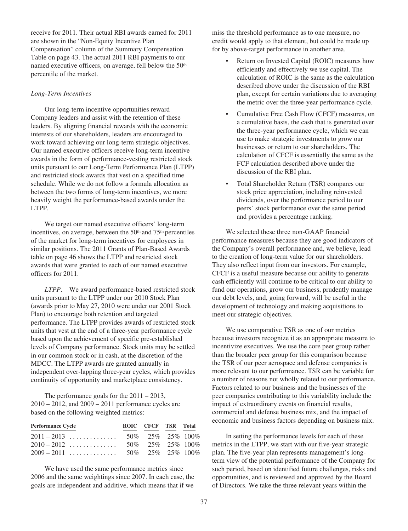receive for 2011. Their actual RBI awards earned for 2011 are shown in the "Non-Equity Incentive Plan Compensation" column of the Summary Compensation Table on page 43. The actual 2011 RBI payments to our named executive officers, on average, fell below the 50<sup>th</sup> percentile of the market.

### *Long-Term Incentives*

Our long-term incentive opportunities reward Company leaders and assist with the retention of these leaders. By aligning financial rewards with the economic interests of our shareholders, leaders are encouraged to work toward achieving our long-term strategic objectives. Our named executive officers receive long-term incentive awards in the form of performance-vesting restricted stock units pursuant to our Long-Term Performance Plan (LTPP) and restricted stock awards that vest on a specified time schedule. While we do not follow a formula allocation as between the two forms of long-term incentives, we more heavily weight the performance-based awards under the LTPP.

We target our named executive officers' long-term incentives, on average, between the  $50<sup>th</sup>$  and  $75<sup>th</sup>$  percentiles of the market for long-term incentives for employees in similar positions. The 2011 Grants of Plan-Based Awards table on page 46 shows the LTPP and restricted stock awards that were granted to each of our named executive officers for 2011.

*LTPP*. We award performance-based restricted stock units pursuant to the LTPP under our 2010 Stock Plan (awards prior to May 27, 2010 were under our 2001 Stock Plan) to encourage both retention and targeted performance. The LTPP provides awards of restricted stock units that vest at the end of a three-year performance cycle based upon the achievement of specific pre-established levels of Company performance. Stock units may be settled in our common stock or in cash, at the discretion of the MDCC. The LTPP awards are granted annually in independent over-lapping three-year cycles, which provides continuity of opportunity and marketplace consistency.

The performance goals for the 2011 – 2013, 2010 – 2012, and 2009 – 2011 performance cycles are based on the following weighted metrics:

| <b>Performance Cycle</b> | ROIC CFCF TSR Total  |  |
|--------------------------|----------------------|--|
|                          |                      |  |
| $2010 - 2012$            | 50\% 25\% 25\% 100\% |  |
|                          |                      |  |

We have used the same performance metrics since 2006 and the same weightings since 2007. In each case, the goals are independent and additive, which means that if we

miss the threshold performance as to one measure, no credit would apply to that element, but could be made up for by above-target performance in another area.

- Return on Invested Capital (ROIC) measures how efficiently and effectively we use capital. The calculation of ROIC is the same as the calculation described above under the discussion of the RBI plan, except for certain variations due to averaging the metric over the three-year performance cycle.
- Cumulative Free Cash Flow (CFCF) measures, on a cumulative basis, the cash that is generated over the three-year performance cycle, which we can use to make strategic investments to grow our businesses or return to our shareholders. The calculation of CFCF is essentially the same as the FCF calculation described above under the discussion of the RBI plan.
- Total Shareholder Return (TSR) compares our stock price appreciation, including reinvested dividends, over the performance period to our peers' stock performance over the same period and provides a percentage ranking.

We selected these three non-GAAP financial performance measures because they are good indicators of the Company's overall performance and, we believe, lead to the creation of long-term value for our shareholders. They also reflect input from our investors. For example, CFCF is a useful measure because our ability to generate cash efficiently will continue to be critical to our ability to fund our operations, grow our business, prudently manage our debt levels, and, going forward, will be useful in the development of technology and making acquisitions to meet our strategic objectives.

We use comparative TSR as one of our metrics because investors recognize it as an appropriate measure to incentivize executives. We use the core peer group rather than the broader peer group for this comparison because the TSR of our peer aerospace and defense companies is more relevant to our performance. TSR can be variable for a number of reasons not wholly related to our performance. Factors related to our business and the businesses of the peer companies contributing to this variability include the impact of extraordinary events on financial results, commercial and defense business mix, and the impact of economic and business factors depending on business mix.

In setting the performance levels for each of these metrics in the LTPP, we start with our five-year strategic plan. The five-year plan represents management's longterm view of the potential performance of the Company for such period, based on identified future challenges, risks and opportunities, and is reviewed and approved by the Board of Directors. We take the three relevant years within the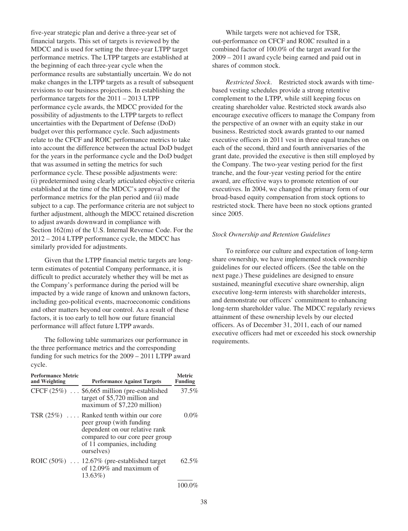five-year strategic plan and derive a three-year set of financial targets. This set of targets is reviewed by the MDCC and is used for setting the three-year LTPP target performance metrics. The LTPP targets are established at the beginning of each three-year cycle when the performance results are substantially uncertain. We do not make changes in the LTPP targets as a result of subsequent revisions to our business projections. In establishing the performance targets for the 2011 – 2013 LTPP performance cycle awards, the MDCC provided for the possibility of adjustments to the LTPP targets to reflect uncertainties with the Department of Defense (DoD) budget over this performance cycle. Such adjustments relate to the CFCF and ROIC performance metrics to take into account the difference between the actual DoD budget for the years in the performance cycle and the DoD budget that was assumed in setting the metrics for such performance cycle. These possible adjustments were: (i) predetermined using clearly articulated objective criteria established at the time of the MDCC's approval of the performance metrics for the plan period and (ii) made subject to a cap. The performance criteria are not subject to further adjustment, although the MDCC retained discretion to adjust awards downward in compliance with Section 162(m) of the U.S. Internal Revenue Code. For the 2012 – 2014 LTPP performance cycle, the MDCC has similarly provided for adjustments.

Given that the LTPP financial metric targets are longterm estimates of potential Company performance, it is difficult to predict accurately whether they will be met as the Company's performance during the period will be impacted by a wide range of known and unknown factors, including geo-political events, macroeconomic conditions and other matters beyond our control. As a result of these factors, it is too early to tell how our future financial performance will affect future LTPP awards.

The following table summarizes our performance in the three performance metrics and the corresponding funding for such metrics for the 2009 – 2011 LTPP award cycle.

| <b>Performance Metric</b><br>and Weighting | <b>Performance Against Targets</b>                                                                                                                                                     | Metric<br>Funding |
|--------------------------------------------|----------------------------------------------------------------------------------------------------------------------------------------------------------------------------------------|-------------------|
|                                            | CFCF (25%)  \$6,665 million (pre-established<br>target of \$5,720 million and<br>maximum of \$7,220 million)                                                                           | 37.5%             |
|                                            | TSR $(25\%)$ Ranked tenth within our core<br>peer group (with funding<br>dependent on our relative rank<br>compared to our core peer group<br>of 11 companies, including<br>ourselves) | $0.0\%$           |
|                                            | ROIC $(50\%)$ 12.67% (pre-established target<br>of 12.09% and maximum of<br>13.63%)                                                                                                    | $62.5\%$          |
|                                            |                                                                                                                                                                                        | 100.0%            |

While targets were not achieved for TSR, out-performance on CFCF and ROIC resulted in a combined factor of 100.0% of the target award for the 2009 – 2011 award cycle being earned and paid out in shares of common stock.

*Restricted Stock*. Restricted stock awards with timebased vesting schedules provide a strong retentive complement to the LTPP, while still keeping focus on creating shareholder value. Restricted stock awards also encourage executive officers to manage the Company from the perspective of an owner with an equity stake in our business. Restricted stock awards granted to our named executive officers in 2011 vest in three equal tranches on each of the second, third and fourth anniversaries of the grant date, provided the executive is then still employed by the Company. The two-year vesting period for the first tranche, and the four-year vesting period for the entire award, are effective ways to promote retention of our executives. In 2004, we changed the primary form of our broad-based equity compensation from stock options to restricted stock. There have been no stock options granted since 2005.

#### *Stock Ownership and Retention Guidelines*

To reinforce our culture and expectation of long-term share ownership, we have implemented stock ownership guidelines for our elected officers. (See the table on the next page.) These guidelines are designed to ensure sustained, meaningful executive share ownership, align executive long-term interests with shareholder interests, and demonstrate our officers' commitment to enhancing long-term shareholder value. The MDCC regularly reviews attainment of these ownership levels by our elected officers. As of December 31, 2011, each of our named executive officers had met or exceeded his stock ownership requirements.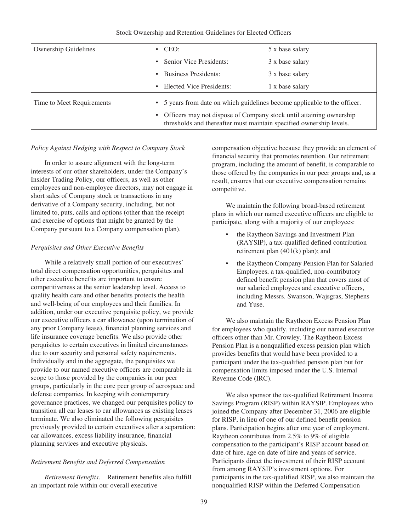#### Stock Ownership and Retention Guidelines for Elected Officers

| <b>Ownership Guidelines</b> | $\cdot$ CEO:                                                                                                                                 | 5 x base salary |
|-----------------------------|----------------------------------------------------------------------------------------------------------------------------------------------|-----------------|
|                             | • Senior Vice Presidents:                                                                                                                    | 3 x base salary |
|                             | <b>Business Presidents:</b><br>$\bullet$                                                                                                     | 3 x base salary |
|                             | Elected Vice Presidents:<br>٠                                                                                                                | 1 x base salary |
| Time to Meet Requirements   | • 5 years from date on which guidelines become applicable to the officer.                                                                    |                 |
|                             | • Officers may not dispose of Company stock until attaining ownership<br>thresholds and thereafter must maintain specified ownership levels. |                 |

#### *Policy Against Hedging with Respect to Company Stock*

In order to assure alignment with the long-term interests of our other shareholders, under the Company's Insider Trading Policy, our officers, as well as other employees and non-employee directors, may not engage in short sales of Company stock or transactions in any derivative of a Company security, including, but not limited to, puts, calls and options (other than the receipt and exercise of options that might be granted by the Company pursuant to a Company compensation plan).

### *Perquisites and Other Executive Benefits*

While a relatively small portion of our executives' total direct compensation opportunities, perquisites and other executive benefits are important to ensure competitiveness at the senior leadership level. Access to quality health care and other benefits protects the health and well-being of our employees and their families. In addition, under our executive perquisite policy, we provide our executive officers a car allowance (upon termination of any prior Company lease), financial planning services and life insurance coverage benefits. We also provide other perquisites to certain executives in limited circumstances due to our security and personal safety requirements. Individually and in the aggregate, the perquisites we provide to our named executive officers are comparable in scope to those provided by the companies in our peer groups, particularly in the core peer group of aerospace and defense companies. In keeping with contemporary governance practices, we changed our perquisites policy to transition all car leases to car allowances as existing leases terminate. We also eliminated the following perquisites previously provided to certain executives after a separation: car allowances, excess liability insurance, financial planning services and executive physicals.

### *Retirement Benefits and Deferred Compensation*

*Retirement Benefits*. Retirement benefits also fulfill an important role within our overall executive

compensation objective because they provide an element of financial security that promotes retention. Our retirement program, including the amount of benefit, is comparable to those offered by the companies in our peer groups and, as a result, ensures that our executive compensation remains competitive.

We maintain the following broad-based retirement plans in which our named executive officers are eligible to participate, along with a majority of our employees:

- the Raytheon Savings and Investment Plan (RAYSIP), a tax-qualified defined contribution retirement plan (401(k) plan); and
- the Raytheon Company Pension Plan for Salaried Employees, a tax-qualified, non-contributory defined benefit pension plan that covers most of our salaried employees and executive officers, including Messrs. Swanson, Wajsgras, Stephens and Yuse.

We also maintain the Raytheon Excess Pension Plan for employees who qualify, including our named executive officers other than Mr. Crowley. The Raytheon Excess Pension Plan is a nonqualified excess pension plan which provides benefits that would have been provided to a participant under the tax-qualified pension plan but for compensation limits imposed under the U.S. Internal Revenue Code (IRC).

We also sponsor the tax-qualified Retirement Income Savings Program (RISP) within RAYSIP. Employees who joined the Company after December 31, 2006 are eligible for RISP, in lieu of one of our defined benefit pension plans. Participation begins after one year of employment. Raytheon contributes from 2.5% to 9% of eligible compensation to the participant's RISP account based on date of hire, age on date of hire and years of service. Participants direct the investment of their RISP account from among RAYSIP's investment options. For participants in the tax-qualified RISP, we also maintain the nonqualified RISP within the Deferred Compensation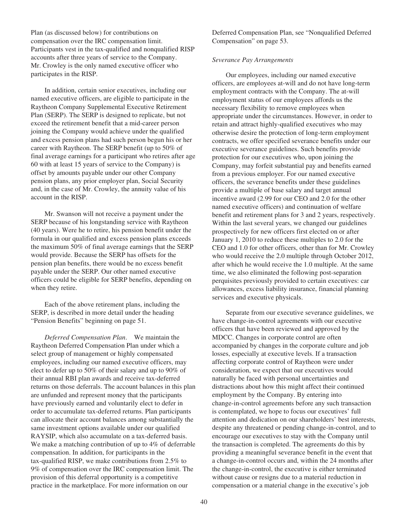Plan (as discussed below) for contributions on compensation over the IRC compensation limit. Participants vest in the tax-qualified and nonqualified RISP accounts after three years of service to the Company. Mr. Crowley is the only named executive officer who participates in the RISP.

In addition, certain senior executives, including our named executive officers, are eligible to participate in the Raytheon Company Supplemental Executive Retirement Plan (SERP). The SERP is designed to replicate, but not exceed the retirement benefit that a mid-career person joining the Company would achieve under the qualified and excess pension plans had such person begun his or her career with Raytheon. The SERP benefit (up to 50% of final average earnings for a participant who retires after age 60 with at least 15 years of service to the Company) is offset by amounts payable under our other Company pension plans, any prior employer plan, Social Security and, in the case of Mr. Crowley, the annuity value of his account in the RISP.

Mr. Swanson will not receive a payment under the SERP because of his longstanding service with Raytheon (40 years). Were he to retire, his pension benefit under the formula in our qualified and excess pension plans exceeds the maximum 50% of final average earnings that the SERP would provide. Because the SERP has offsets for the pension plan benefits, there would be no excess benefit payable under the SERP. Our other named executive officers could be eligible for SERP benefits, depending on when they retire.

Each of the above retirement plans, including the SERP, is described in more detail under the heading "Pension Benefits" beginning on page 51.

*Deferred Compensation Plan*. We maintain the Raytheon Deferred Compensation Plan under which a select group of management or highly compensated employees, including our named executive officers, may elect to defer up to 50% of their salary and up to 90% of their annual RBI plan awards and receive tax-deferred returns on those deferrals. The account balances in this plan are unfunded and represent money that the participants have previously earned and voluntarily elect to defer in order to accumulate tax-deferred returns. Plan participants can allocate their account balances among substantially the same investment options available under our qualified RAYSIP, which also accumulate on a tax-deferred basis. We make a matching contribution of up to 4% of deferrable compensation. In addition, for participants in the tax-qualified RISP, we make contributions from 2.5% to 9% of compensation over the IRC compensation limit. The provision of this deferral opportunity is a competitive practice in the marketplace. For more information on our

Deferred Compensation Plan, see "Nonqualified Deferred Compensation" on page 53.

### *Severance Pay Arrangements*

Our employees, including our named executive officers, are employees at-will and do not have long-term employment contracts with the Company. The at-will employment status of our employees affords us the necessary flexibility to remove employees when appropriate under the circumstances. However, in order to retain and attract highly-qualified executives who may otherwise desire the protection of long-term employment contracts, we offer specified severance benefits under our executive severance guidelines. Such benefits provide protection for our executives who, upon joining the Company, may forfeit substantial pay and benefits earned from a previous employer. For our named executive officers, the severance benefits under these guidelines provide a multiple of base salary and target annual incentive award (2.99 for our CEO and 2.0 for the other named executive officers) and continuation of welfare benefit and retirement plans for 3 and 2 years, respectively. Within the last several years, we changed our guidelines prospectively for new officers first elected on or after January 1, 2010 to reduce these multiples to 2.0 for the CEO and 1.0 for other officers, other than for Mr. Crowley who would receive the 2.0 multiple through October 2012, after which he would receive the 1.0 multiple. At the same time, we also eliminated the following post-separation perquisites previously provided to certain executives: car allowances, excess liability insurance, financial planning services and executive physicals.

Separate from our executive severance guidelines, we have change-in-control agreements with our executive officers that have been reviewed and approved by the MDCC. Changes in corporate control are often accompanied by changes in the corporate culture and job losses, especially at executive levels. If a transaction affecting corporate control of Raytheon were under consideration, we expect that our executives would naturally be faced with personal uncertainties and distractions about how this might affect their continued employment by the Company. By entering into change-in-control agreements before any such transaction is contemplated, we hope to focus our executives' full attention and dedication on our shareholders' best interests, despite any threatened or pending change-in-control, and to encourage our executives to stay with the Company until the transaction is completed. The agreements do this by providing a meaningful severance benefit in the event that a change-in-control occurs and, within the 24 months after the change-in-control, the executive is either terminated without cause or resigns due to a material reduction in compensation or a material change in the executive's job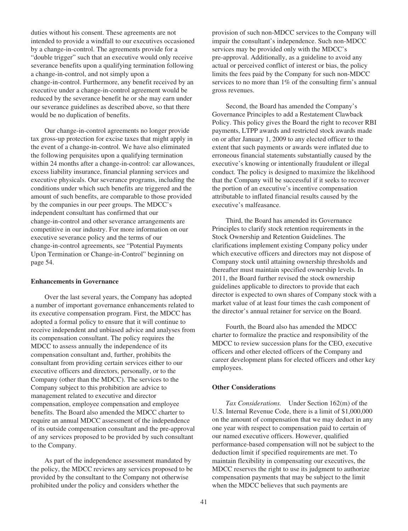duties without his consent. These agreements are not intended to provide a windfall to our executives occasioned by a change-in-control. The agreements provide for a "double trigger" such that an executive would only receive severance benefits upon a qualifying termination following a change-in-control, and not simply upon a change-in-control. Furthermore, any benefit received by an executive under a change-in-control agreement would be reduced by the severance benefit he or she may earn under our severance guidelines as described above, so that there would be no duplication of benefits.

Our change-in-control agreements no longer provide tax gross-up protection for excise taxes that might apply in the event of a change-in-control. We have also eliminated the following perquisites upon a qualifying termination within 24 months after a change-in-control: car allowances, excess liability insurance, financial planning services and executive physicals. Our severance programs, including the conditions under which such benefits are triggered and the amount of such benefits, are comparable to those provided by the companies in our peer groups. The MDCC's independent consultant has confirmed that our change-in-control and other severance arrangements are competitive in our industry. For more information on our executive severance policy and the terms of our change-in-control agreements, see "Potential Payments Upon Termination or Change-in-Control" beginning on page 54.

#### **Enhancements in Governance**

Over the last several years, the Company has adopted a number of important governance enhancements related to its executive compensation program. First, the MDCC has adopted a formal policy to ensure that it will continue to receive independent and unbiased advice and analyses from its compensation consultant. The policy requires the MDCC to assess annually the independence of its compensation consultant and, further, prohibits the consultant from providing certain services either to our executive officers and directors, personally, or to the Company (other than the MDCC). The services to the Company subject to this prohibition are advice to management related to executive and director compensation, employee compensation and employee benefits. The Board also amended the MDCC charter to require an annual MDCC assessment of the independence of its outside compensation consultant and the pre-approval of any services proposed to be provided by such consultant to the Company.

As part of the independence assessment mandated by the policy, the MDCC reviews any services proposed to be provided by the consultant to the Company not otherwise prohibited under the policy and considers whether the

provision of such non-MDCC services to the Company will impair the consultant's independence. Such non-MDCC services may be provided only with the MDCC's pre-approval. Additionally, as a guideline to avoid any actual or perceived conflict of interest or bias, the policy limits the fees paid by the Company for such non-MDCC services to no more than 1% of the consulting firm's annual gross revenues.

Second, the Board has amended the Company's Governance Principles to add a Restatement Clawback Policy. This policy gives the Board the right to recover RBI payments, LTPP awards and restricted stock awards made on or after January 1, 2009 to any elected officer to the extent that such payments or awards were inflated due to erroneous financial statements substantially caused by the executive's knowing or intentionally fraudulent or illegal conduct. The policy is designed to maximize the likelihood that the Company will be successful if it seeks to recover the portion of an executive's incentive compensation attributable to inflated financial results caused by the executive's malfeasance.

Third, the Board has amended its Governance Principles to clarify stock retention requirements in the Stock Ownership and Retention Guidelines. The clarifications implement existing Company policy under which executive officers and directors may not dispose of Company stock until attaining ownership thresholds and thereafter must maintain specified ownership levels. In 2011, the Board further revised the stock ownership guidelines applicable to directors to provide that each director is expected to own shares of Company stock with a market value of at least four times the cash component of the director's annual retainer for service on the Board.

Fourth, the Board also has amended the MDCC charter to formalize the practice and responsibility of the MDCC to review succession plans for the CEO, executive officers and other elected officers of the Company and career development plans for elected officers and other key employees.

#### **Other Considerations**

*Tax Considerations.* Under Section 162(m) of the U.S. Internal Revenue Code, there is a limit of \$1,000,000 on the amount of compensation that we may deduct in any one year with respect to compensation paid to certain of our named executive officers. However, qualified performance-based compensation will not be subject to the deduction limit if specified requirements are met. To maintain flexibility in compensating our executives, the MDCC reserves the right to use its judgment to authorize compensation payments that may be subject to the limit when the MDCC believes that such payments are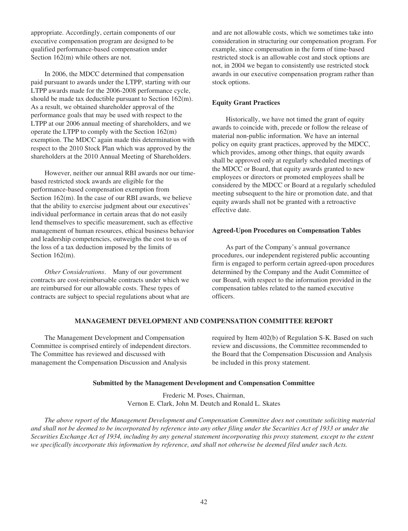appropriate. Accordingly, certain components of our executive compensation program are designed to be qualified performance-based compensation under Section 162(m) while others are not.

In 2006, the MDCC determined that compensation paid pursuant to awards under the LTPP, starting with our LTPP awards made for the 2006-2008 performance cycle, should be made tax deductible pursuant to Section 162(m). As a result, we obtained shareholder approval of the performance goals that may be used with respect to the LTPP at our 2006 annual meeting of shareholders, and we operate the LTPP to comply with the Section 162(m) exemption. The MDCC again made this determination with respect to the 2010 Stock Plan which was approved by the shareholders at the 2010 Annual Meeting of Shareholders.

However, neither our annual RBI awards nor our timebased restricted stock awards are eligible for the performance-based compensation exemption from Section 162(m). In the case of our RBI awards, we believe that the ability to exercise judgment about our executives' individual performance in certain areas that do not easily lend themselves to specific measurement, such as effective management of human resources, ethical business behavior and leadership competencies, outweighs the cost to us of the loss of a tax deduction imposed by the limits of Section 162(m).

*Other Considerations*. Many of our government contracts are cost-reimbursable contracts under which we are reimbursed for our allowable costs. These types of contracts are subject to special regulations about what are and are not allowable costs, which we sometimes take into consideration in structuring our compensation program. For example, since compensation in the form of time-based restricted stock is an allowable cost and stock options are not, in 2004 we began to consistently use restricted stock awards in our executive compensation program rather than stock options.

# **Equity Grant Practices**

Historically, we have not timed the grant of equity awards to coincide with, precede or follow the release of material non-public information. We have an internal policy on equity grant practices, approved by the MDCC, which provides, among other things, that equity awards shall be approved only at regularly scheduled meetings of the MDCC or Board, that equity awards granted to new employees or directors or promoted employees shall be considered by the MDCC or Board at a regularly scheduled meeting subsequent to the hire or promotion date, and that equity awards shall not be granted with a retroactive effective date.

## **Agreed-Upon Procedures on Compensation Tables**

As part of the Company's annual governance procedures, our independent registered public accounting firm is engaged to perform certain agreed-upon procedures determined by the Company and the Audit Committee of our Board, with respect to the information provided in the compensation tables related to the named executive officers.

# **MANAGEMENT DEVELOPMENT AND COMPENSATION COMMITTEE REPORT**

The Management Development and Compensation Committee is comprised entirely of independent directors. The Committee has reviewed and discussed with management the Compensation Discussion and Analysis

required by Item 402(b) of Regulation S-K. Based on such review and discussions, the Committee recommended to the Board that the Compensation Discussion and Analysis be included in this proxy statement.

### **Submitted by the Management Development and Compensation Committee**

Frederic M. Poses, Chairman, Vernon E. Clark, John M. Deutch and Ronald L. Skates

*The above report of the Management Development and Compensation Committee does not constitute soliciting material and shall not be deemed to be incorporated by reference into any other filing under the Securities Act of 1933 or under the Securities Exchange Act of 1934, including by any general statement incorporating this proxy statement, except to the extent we specifically incorporate this information by reference, and shall not otherwise be deemed filed under such Acts.*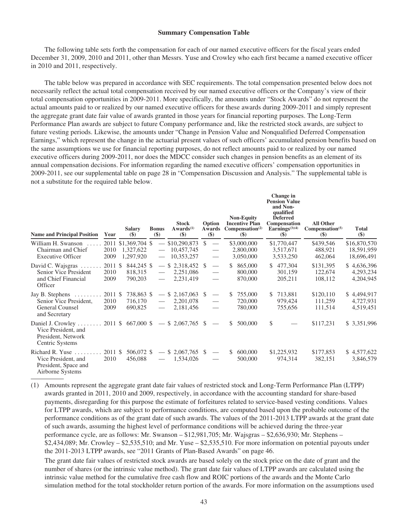#### **Summary Compensation Table**

The following table sets forth the compensation for each of our named executive officers for the fiscal years ended December 31, 2009, 2010 and 2011, other than Messrs. Yuse and Crowley who each first became a named executive officer in 2010 and 2011, respectively.

The table below was prepared in accordance with SEC requirements. The total compensation presented below does not necessarily reflect the actual total compensation received by our named executive officers or the Company's view of their total compensation opportunities in 2009-2011. More specifically, the amounts under "Stock Awards" do not represent the actual amounts paid to or realized by our named executive officers for these awards during 2009-2011 and simply represent the aggregate grant date fair value of awards granted in those years for financial reporting purposes. The Long-Term Performance Plan awards are subject to future Company performance and, like the restricted stock awards, are subject to future vesting periods. Likewise, the amounts under "Change in Pension Value and Nonqualified Deferred Compensation Earnings," which represent the change in the actuarial present values of such officers' accumulated pension benefits based on the same assumptions we use for financial reporting purposes, do not reflect amounts paid to or realized by our named executive officers during 2009-2011, nor does the MDCC consider such changes in pension benefits as an element of its annual compensation decisions. For information regarding the named executive officers' compensation opportunities in 2009-2011, see our supplemental table on page 28 in "Compensation Discussion and Analysis." The supplemental table is not a substitute for the required table below.

| <b>Name and Principal Position</b>                                                          | Year                    | <b>Salary</b><br>$\left( \mathbf{\$}\right)$  | <b>Bonus</b><br>$($)$ | <b>Stock</b><br>Awards <sup>(1)</sup><br>$\left( \text{\$}\right)$ | Option<br>Awards<br>$($)$                                                        | <b>Non-Equity</b><br><b>Incentive Plan</b><br>Compensation <sup>(2)</sup><br>$(\$)$ | Change in<br><b>Pension Value</b><br>and Non-<br>qualified<br><b>Deferred</b><br>Compensation<br>Earnings $(3)(4)$<br>$\left( \mathbf{\$}\right)$ | <b>All Other</b><br>Compensation <sup>(5)</sup><br>$(\$)$ | <b>Total</b><br>$($ \$)                  |
|---------------------------------------------------------------------------------------------|-------------------------|-----------------------------------------------|-----------------------|--------------------------------------------------------------------|----------------------------------------------------------------------------------|-------------------------------------------------------------------------------------|---------------------------------------------------------------------------------------------------------------------------------------------------|-----------------------------------------------------------|------------------------------------------|
| William H. Swanson<br>Chairman and Chief<br><b>Executive Officer</b>                        | 2010<br>2009            | 2011 \$1,369,704 \$<br>1,327,622<br>1,297,920 |                       | \$10,290,873<br>10,457,745<br>10,353,257                           | <sup>\$</sup><br>$\overline{\phantom{m}}$                                        | \$3,000,000<br>2,800,000<br>3,050,000                                               | \$1,770,447<br>3,517,671<br>3,533,250                                                                                                             | \$439,546<br>488,921<br>462,064                           | \$16,870,570<br>18,591,959<br>18,696,491 |
| David C. Wajsgras<br>Senior Vice President<br>and Chief Financial<br>Officer                | 2011 \$<br>2010<br>2009 | 844,245 \$<br>818,315<br>790,203              |                       | $-$ \$ 2,318,452 \$<br>2,251,086<br>2,231,419                      | $\overline{\phantom{0}}$<br>$\overline{\phantom{m}}$<br>$\overline{\phantom{0}}$ | 865,000<br>\$<br>800,000<br>870,000                                                 | \$477,304<br>301,159<br>205,211                                                                                                                   | \$131,395<br>122,674<br>108,112                           | \$4,636,396<br>4,293,234<br>4,204,945    |
| Jay B. Stephens<br>Senior Vice President,<br><b>General Counsel</b><br>and Secretary        | 2011 \$<br>2010<br>2009 | 738,863 \$<br>716,170<br>690,825              |                       | $-$ \$ 2,167,063 \$<br>2,201,078<br>2,181,456                      |                                                                                  | 755,000<br>S<br>720,000<br>780,000                                                  | \$713,881<br>979,424<br>755,656                                                                                                                   | \$120,110<br>111,259<br>111,514                           | \$4,494,917<br>4,727,931<br>4,519,451    |
| Daniel J. Crowley<br>Vice President, and<br>President, Network<br>Centric Systems           |                         |                                               |                       | $2011 \text{ }$ \$667,000 \$ - \$2,067,765                         | \$.                                                                              | \$<br>500,000                                                                       | \$                                                                                                                                                | \$117,231                                                 | \$ 3,351,996                             |
| Richard R. Yuse $\ldots$<br>Vice President, and<br>President, Space and<br>Airborne Systems | 2011 \$<br>2010         | 506,072 \$<br>456,088                         | $\qquad \qquad -$     | $$2,067,765$ \;<br>1,534,026                                       |                                                                                  | 600,000<br>S<br>500,000                                                             | \$1,225,932<br>974,314                                                                                                                            | \$177,853<br>382,151                                      | \$4,577,622<br>3,846,579                 |

(1) Amounts represent the aggregate grant date fair values of restricted stock and Long-Term Performance Plan (LTPP) awards granted in 2011, 2010 and 2009, respectively, in accordance with the accounting standard for share-based payments, disregarding for this purpose the estimate of forfeitures related to service-based vesting conditions. Values for LTPP awards, which are subject to performance conditions, are computed based upon the probable outcome of the performance conditions as of the grant date of such awards. The values of the 2011-2013 LTPP awards at the grant date of such awards, assuming the highest level of performance conditions will be achieved during the three-year performance cycle, are as follows: Mr. Swanson – \$12,981,705; Mr. Wajsgras – \$2,636,930; Mr. Stephens – \$2,434,089; Mr. Crowley – \$2,535,510; and Mr. Yuse – \$2,535,510. For more information on potential payouts under the 2011-2013 LTPP awards, see "2011 Grants of Plan-Based Awards" on page 46.

The grant date fair values of restricted stock awards are based solely on the stock price on the date of grant and the number of shares (or the intrinsic value method). The grant date fair values of LTPP awards are calculated using the intrinsic value method for the cumulative free cash flow and ROIC portions of the awards and the Monte Carlo simulation method for the total stockholder return portion of the awards. For more information on the assumptions used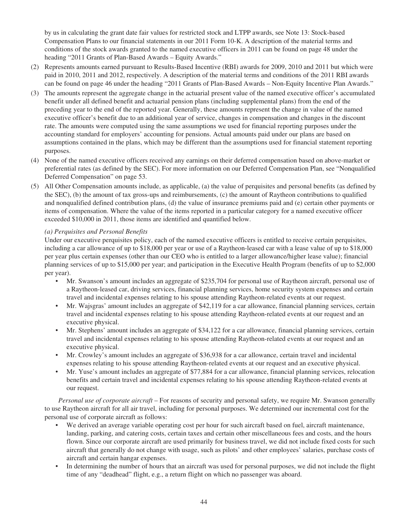by us in calculating the grant date fair values for restricted stock and LTPP awards, see Note 13: Stock-based Compensation Plans to our financial statements in our 2011 Form 10-K. A description of the material terms and conditions of the stock awards granted to the named executive officers in 2011 can be found on page 48 under the heading "2011 Grants of Plan-Based Awards – Equity Awards."

- (2) Represents amounts earned pursuant to Results-Based Incentive (RBI) awards for 2009, 2010 and 2011 but which were paid in 2010, 2011 and 2012, respectively. A description of the material terms and conditions of the 2011 RBI awards can be found on page 46 under the heading "2011 Grants of Plan-Based Awards – Non-Equity Incentive Plan Awards."
- (3) The amounts represent the aggregate change in the actuarial present value of the named executive officer's accumulated benefit under all defined benefit and actuarial pension plans (including supplemental plans) from the end of the preceding year to the end of the reported year. Generally, these amounts represent the change in value of the named executive officer's benefit due to an additional year of service, changes in compensation and changes in the discount rate. The amounts were computed using the same assumptions we used for financial reporting purposes under the accounting standard for employers' accounting for pensions. Actual amounts paid under our plans are based on assumptions contained in the plans, which may be different than the assumptions used for financial statement reporting purposes.
- (4) None of the named executive officers received any earnings on their deferred compensation based on above-market or preferential rates (as defined by the SEC). For more information on our Deferred Compensation Plan, see "Nonqualified Deferred Compensation" on page 53.
- (5) All Other Compensation amounts include, as applicable, (a) the value of perquisites and personal benefits (as defined by the SEC), (b) the amount of tax gross-ups and reimbursements, (c) the amount of Raytheon contributions to qualified and nonqualified defined contribution plans, (d) the value of insurance premiums paid and (e) certain other payments or items of compensation. Where the value of the items reported in a particular category for a named executive officer exceeded \$10,000 in 2011, those items are identified and quantified below.

# *(a) Perquisites and Personal Benefits*

Under our executive perquisites policy, each of the named executive officers is entitled to receive certain perquisites, including a car allowance of up to \$18,000 per year or use of a Raytheon-leased car with a lease value of up to \$18,000 per year plus certain expenses (other than our CEO who is entitled to a larger allowance/higher lease value); financial planning services of up to \$15,000 per year; and participation in the Executive Health Program (benefits of up to \$2,000 per year).

- Mr. Swanson's amount includes an aggregate of \$235,704 for personal use of Raytheon aircraft, personal use of a Raytheon-leased car, driving services, financial planning services, home security system expenses and certain travel and incidental expenses relating to his spouse attending Raytheon-related events at our request.
- Mr. Wajsgras' amount includes an aggregate of \$42,119 for a car allowance, financial planning services, certain travel and incidental expenses relating to his spouse attending Raytheon-related events at our request and an executive physical.
- Mr. Stephens' amount includes an aggregate of \$34,122 for a car allowance, financial planning services, certain travel and incidental expenses relating to his spouse attending Raytheon-related events at our request and an executive physical.
- Mr. Crowley's amount includes an aggregate of \$36,938 for a car allowance, certain travel and incidental expenses relating to his spouse attending Raytheon-related events at our request and an executive physical.
- Mr. Yuse's amount includes an aggregate of \$77,884 for a car allowance, financial planning services, relocation benefits and certain travel and incidental expenses relating to his spouse attending Raytheon-related events at our request.

*Personal use of corporate aircraft* – For reasons of security and personal safety, we require Mr. Swanson generally to use Raytheon aircraft for all air travel, including for personal purposes. We determined our incremental cost for the personal use of corporate aircraft as follows:

- We derived an average variable operating cost per hour for such aircraft based on fuel, aircraft maintenance, landing, parking, and catering costs, certain taxes and certain other miscellaneous fees and costs, and the hours flown. Since our corporate aircraft are used primarily for business travel, we did not include fixed costs for such aircraft that generally do not change with usage, such as pilots' and other employees' salaries, purchase costs of aircraft and certain hangar expenses.
- In determining the number of hours that an aircraft was used for personal purposes, we did not include the flight time of any "deadhead" flight, e.g., a return flight on which no passenger was aboard.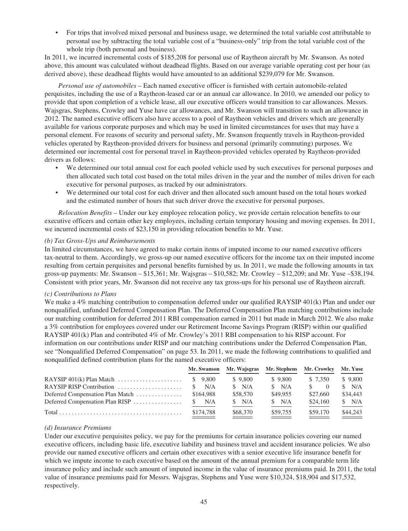• For trips that involved mixed personal and business usage, we determined the total variable cost attributable to personal use by subtracting the total variable cost of a "business-only" trip from the total variable cost of the whole trip (both personal and business).

In 2011, we incurred incremental costs of \$185,208 for personal use of Raytheon aircraft by Mr. Swanson. As noted above, this amount was calculated without deadhead flights. Based on our average variable operating cost per hour (as derived above), these deadhead flights would have amounted to an additional \$239,079 for Mr. Swanson.

*Personal use of automobiles* – Each named executive officer is furnished with certain automobile-related perquisites, including the use of a Raytheon-leased car or an annual car allowance. In 2010, we amended our policy to provide that upon completion of a vehicle lease, all our executive officers would transition to car allowances. Messrs. Wajsgras, Stephens, Crowley and Yuse have car allowances, and Mr. Swanson will transition to such an allowance in 2012. The named executive officers also have access to a pool of Raytheon vehicles and drivers which are generally available for various corporate purposes and which may be used in limited circumstances for uses that may have a personal element. For reasons of security and personal safety, Mr. Swanson frequently travels in Raytheon-provided vehicles operated by Raytheon-provided drivers for business and personal (primarily commuting) purposes. We determined our incremental cost for personal travel in Raytheon-provided vehicles operated by Raytheon-provided drivers as follows:

- We determined our total annual cost for each pooled vehicle used by such executives for personal purposes and then allocated such total cost based on the total miles driven in the year and the number of miles driven for each executive for personal purposes, as tracked by our administrators.
- We determined our total cost for each driver and then allocated such amount based on the total hours worked and the estimated number of hours that such driver drove the executive for personal purposes.

*Relocation Benefits* – Under our key employee relocation policy, we provide certain relocation benefits to our executive officers and certain other key employees, including certain temporary housing and moving expenses. In 2011, we incurred incremental costs of \$23,150 in providing relocation benefits to Mr. Yuse.

# *(b) Tax Gross-Ups and Reimbursements*

In limited circumstances, we have agreed to make certain items of imputed income to our named executive officers tax-neutral to them. Accordingly, we gross-up our named executive officers for the income tax on their imputed income resulting from certain perquisites and personal benefits furnished by us. In 2011, we made the following amounts in tax gross-up payments: Mr. Swanson – \$15,361; Mr. Wajsgras – \$10,582; Mr. Crowley – \$12,209; and Mr. Yuse –\$38,194. Consistent with prior years, Mr. Swanson did not receive any tax gross-ups for his personal use of Raytheon aircraft.

# *(c) Contributions to Plans*

We make a 4% matching contribution to compensation deferred under our qualified RAYSIP 401(k) Plan and under our nonqualified, unfunded Deferred Compensation Plan. The Deferred Compensation Plan matching contributions include our matching contribution for deferred 2011 RBI compensation earned in 2011 but made in March 2012. We also make a 3% contribution for employees covered under our Retirement Income Savings Program (RISP) within our qualified RAYSIP 401(k) Plan and contributed 4% of Mr. Crowley's 2011 RBI compensation to his RISP account. For information on our contributions under RISP and our matching contributions under the Deferred Compensation Plan, see "Nonqualified Deferred Compensation" on page 53. In 2011, we made the following contributions to qualified and nonqualified defined contribution plans for the named executive officers:

|                                                                   | Mr. Swanson | Mr. Wajsgras Mr. Stephens Mr. Crowley |          |          | Mr. Yuse |
|-------------------------------------------------------------------|-------------|---------------------------------------|----------|----------|----------|
|                                                                   |             | \$9,800                               | \$9,800  | \$ 7.350 | \$9,800  |
| RAYSIP RISP Contribution $\ldots, \ldots, \ldots, \ldots, \ldots$ | N/A<br>S.   | N/A                                   | N/A      | $\sim 0$ | N/A      |
| Deferred Compensation Plan Match                                  | \$164,988   | \$58,570                              | \$49.955 | \$27,660 | \$34,443 |
|                                                                   |             | N/A                                   | \$ N/A   | \$24,160 | N/A      |
|                                                                   | \$174.788   | \$68,370                              | \$59,755 | \$59,170 | \$44,243 |

# *(d) Insurance Premiums*

Under our executive perquisites policy, we pay for the premiums for certain insurance policies covering our named executive officers, including basic life, executive liability and business travel and accident insurance policies. We also provide our named executive officers and certain other executives with a senior executive life insurance benefit for which we impute income to each executive based on the amount of the annual premium for a comparable term life insurance policy and include such amount of imputed income in the value of insurance premiums paid. In 2011, the total value of insurance premiums paid for Messrs. Wajsgras, Stephens and Yuse were \$10,324, \$18,904 and \$17,532, respectively.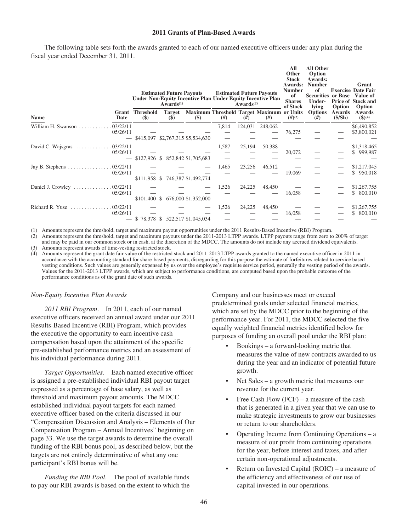## **2011 Grants of Plan-Based Awards**

The following table sets forth the awards granted to each of our named executive officers under any plan during the fiscal year ended December 31, 2011.

|                                                     |                       |                            | <b>Estimated Future Payouts</b><br>$Awards^{(1)}$ | Under Non-Equity Incentive Plan Under Equity Incentive Plan |       | Awards $(2)$ | <b>Estimated Future Payouts</b> | All<br>Other<br><b>Stock</b><br>Awards:<br><b>Number</b><br>of<br><b>Shares</b><br>of Stock | <b>All Other</b><br>Option<br>Awards:<br><b>Number</b><br>of<br><b>Securities or Base</b><br>Under-<br><b>lying</b> | Option           | Grant<br><b>Exercise Date Fair</b><br>Value of<br>Price of Stock and<br>Option |
|-----------------------------------------------------|-----------------------|----------------------------|---------------------------------------------------|-------------------------------------------------------------|-------|--------------|---------------------------------|---------------------------------------------------------------------------------------------|---------------------------------------------------------------------------------------------------------------------|------------------|--------------------------------------------------------------------------------|
| <b>Name</b>                                         | Grant<br>Date         | <b>Threshold</b><br>$(\$)$ | <b>Target</b><br>$(\$)$                           | Maximum Threshold Target Maximum or Units<br>$(\$)$         | #)    | #)           | #)                              | $(H^{(3)}$                                                                                  | <b>Options</b><br>#)                                                                                                | Awards<br>(S/Sh) | Awards<br>$$^{(4)}$$                                                           |
| William H. Swanson                                  | 03/22/11<br>05/26/11  |                            |                                                   | \$415,097 \$2,767,315 \$5,534,630                           | 7,814 | 124,031      | 248,062                         | 76,275                                                                                      |                                                                                                                     |                  | \$6,490,852<br>\$3,800,021                                                     |
| David C. Wajsgras                                   | 03/22/11<br>05/26/11  | $$127,926$ \$              |                                                   | 852,842 \$1,705,683                                         | 1,587 | 25,194       | 50,388                          | 20,072                                                                                      |                                                                                                                     |                  | \$1,318,465<br>\$999,987                                                       |
|                                                     | 05/26/11              | $$111,958$ \$              |                                                   | 746,387 \$1,492,774                                         | 1,465 | 23,256       | 46,512                          | 19,069                                                                                      |                                                                                                                     |                  | \$1,217,045<br>\$950,018                                                       |
| Daniel J. Crowley  03/22/11                         | 05/26/11              | $-$ \$101,400 \$           |                                                   | 676,000 \$1,352,000                                         | 1,526 | 24,225       | 48,450                          | 16,058                                                                                      |                                                                                                                     |                  | \$1,267,755<br>\$ 800,010                                                      |
| Richard R. Yuse<br>and a straightful and a straight | .03/22/11<br>05/26/11 |                            |                                                   | \$78,378 \$522,517 \$1,045,034                              | 1,526 | 24,225       | 48,450                          | 16,058                                                                                      |                                                                                                                     |                  | \$1,267,755<br>\$<br>800,010                                                   |

(1) Amounts represent the threshold, target and maximum payout opportunities under the 2011 Results-Based Incentive (RBI) Program.

(2) Amounts represent the threshold, target and maximum payouts under the 2011-2013 LTPP awards. LTPP payouts range from zero to 200% of target and may be paid in our common stock or in cash, at the discretion of the MDCC. The amounts do not include any accrued dividend equivalents. (3) Amounts represent awards of time-vesting restricted stock.

(4) Amounts represent the grant date fair value of the restricted stock and 2011-2013 LTPP awards granted to the named executive officer in 2011 in accordance with the accounting standard for share-based payments, disregarding for this purpose the estimate of forfeitures related to service based vesting conditions. Such values are generally expensed by us over the employee's requisite service period, generally the vesting period of the awards. Values for the 2011-2013 LTPP awards, which are subject to performance conditions, are computed based upon the probable outcome of the performance conditions as of the grant date of such awards.

#### *Non-Equity Incentive Plan Awards*

*2011 RBI Program*. In 2011, each of our named executive officers received an annual award under our 2011 Results-Based Incentive (RBI) Program, which provides the executive the opportunity to earn incentive cash compensation based upon the attainment of the specific pre-established performance metrics and an assessment of his individual performance during 2011.

*Target Opportunities*. Each named executive officer is assigned a pre-established individual RBI payout target expressed as a percentage of base salary, as well as threshold and maximum payout amounts. The MDCC established individual payout targets for each named executive officer based on the criteria discussed in our "Compensation Discussion and Analysis – Elements of Our Compensation Program – Annual Incentives" beginning on page 33. We use the target awards to determine the overall funding of the RBI bonus pool, as described below, but the targets are not entirely determinative of what any one participant's RBI bonus will be.

*Funding the RBI Pool*. The pool of available funds to pay our RBI awards is based on the extent to which the Company and our businesses meet or exceed predetermined goals under selected financial metrics, which are set by the MDCC prior to the beginning of the performance year. For 2011, the MDCC selected the five equally weighted financial metrics identified below for purposes of funding an overall pool under the RBI plan:

- Bookings a forward-looking metric that measures the value of new contracts awarded to us during the year and an indicator of potential future growth.
- Net Sales a growth metric that measures our revenue for the current year.
- Free Cash Flow (FCF) a measure of the cash that is generated in a given year that we can use to make strategic investments to grow our businesses or return to our shareholders.
- Operating Income from Continuing Operations a measure of our profit from continuing operations for the year, before interest and taxes, and after certain non-operational adjustments.
- Return on Invested Capital (ROIC) a measure of the efficiency and effectiveness of our use of capital invested in our operations.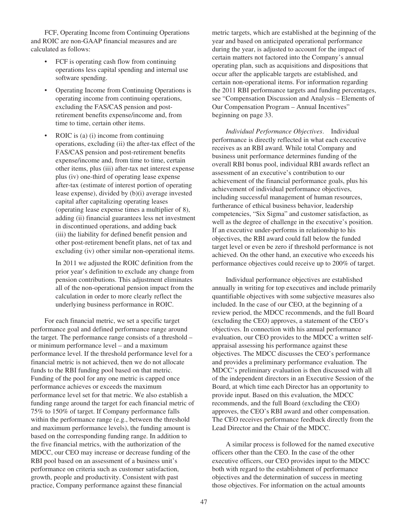FCF, Operating Income from Continuing Operations and ROIC are non-GAAP financial measures and are calculated as follows:

- FCF is operating cash flow from continuing operations less capital spending and internal use software spending.
- Operating Income from Continuing Operations is operating income from continuing operations, excluding the FAS/CAS pension and postretirement benefits expense/income and, from time to time, certain other items.
- ROIC is (a) (i) income from continuing operations, excluding (ii) the after-tax effect of the FAS/CAS pension and post-retirement benefits expense/income and, from time to time, certain other items, plus (iii) after-tax net interest expense plus (iv) one-third of operating lease expense after-tax (estimate of interest portion of operating lease expense), divided by (b)(i) average invested capital after capitalizing operating leases (operating lease expense times a multiplier of 8), adding (ii) financial guarantees less net investment in discontinued operations, and adding back (iii) the liability for defined benefit pension and other post-retirement benefit plans, net of tax and excluding (iv) other similar non-operational items.

In 2011 we adjusted the ROIC definition from the prior year's definition to exclude any change from pension contributions. This adjustment eliminates all of the non-operational pension impact from the calculation in order to more clearly reflect the underlying business performance in ROIC.

For each financial metric, we set a specific target performance goal and defined performance range around the target. The performance range consists of a threshold – or minimum performance level – and a maximum performance level. If the threshold performance level for a financial metric is not achieved, then we do not allocate funds to the RBI funding pool based on that metric. Funding of the pool for any one metric is capped once performance achieves or exceeds the maximum performance level set for that metric. We also establish a funding range around the target for each financial metric of 75% to 150% of target. If Company performance falls within the performance range (e.g., between the threshold and maximum performance levels), the funding amount is based on the corresponding funding range. In addition to the five financial metrics, with the authorization of the MDCC, our CEO may increase or decrease funding of the RBI pool based on an assessment of a business unit's performance on criteria such as customer satisfaction, growth, people and productivity. Consistent with past practice, Company performance against these financial

metric targets, which are established at the beginning of the year and based on anticipated operational performance during the year, is adjusted to account for the impact of certain matters not factored into the Company's annual operating plan, such as acquisitions and dispositions that occur after the applicable targets are established, and certain non-operational items. For information regarding the 2011 RBI performance targets and funding percentages, see "Compensation Discussion and Analysis – Elements of Our Compensation Program – Annual Incentives" beginning on page 33.

*Individual Performance Objectives*. Individual performance is directly reflected in what each executive receives as an RBI award. While total Company and business unit performance determines funding of the overall RBI bonus pool, individual RBI awards reflect an assessment of an executive's contribution to our achievement of the financial performance goals, plus his achievement of individual performance objectives, including successful management of human resources, furtherance of ethical business behavior, leadership competencies, "Six Sigma" and customer satisfaction, as well as the degree of challenge in the executive's position. If an executive under-performs in relationship to his objectives, the RBI award could fall below the funded target level or even be zero if threshold performance is not achieved. On the other hand, an executive who exceeds his performance objectives could receive up to 200% of target.

Individual performance objectives are established annually in writing for top executives and include primarily quantifiable objectives with some subjective measures also included. In the case of our CEO, at the beginning of a review period, the MDCC recommends, and the full Board (excluding the CEO) approves, a statement of the CEO's objectives. In connection with his annual performance evaluation, our CEO provides to the MDCC a written selfappraisal assessing his performance against these objectives. The MDCC discusses the CEO's performance and provides a preliminary performance evaluation. The MDCC's preliminary evaluation is then discussed with all of the independent directors in an Executive Session of the Board, at which time each Director has an opportunity to provide input. Based on this evaluation, the MDCC recommends, and the full Board (excluding the CEO) approves, the CEO's RBI award and other compensation. The CEO receives performance feedback directly from the Lead Director and the Chair of the MDCC.

A similar process is followed for the named executive officers other than the CEO. In the case of the other executive officers, our CEO provides input to the MDCC both with regard to the establishment of performance objectives and the determination of success in meeting those objectives. For information on the actual amounts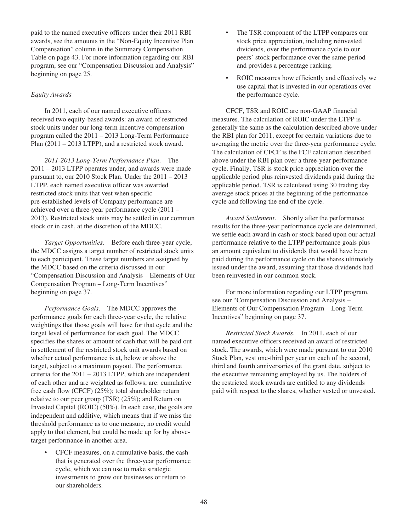paid to the named executive officers under their 2011 RBI awards, see the amounts in the "Non-Equity Incentive Plan Compensation" column in the Summary Compensation Table on page 43. For more information regarding our RBI program, see our "Compensation Discussion and Analysis" beginning on page 25.

# *Equity Awards*

In 2011, each of our named executive officers received two equity-based awards: an award of restricted stock units under our long-term incentive compensation program called the 2011 – 2013 Long-Term Performance Plan (2011 – 2013 LTPP), and a restricted stock award.

*2011-2013 Long-Term Performance Plan*. The 2011 – 2013 LTPP operates under, and awards were made pursuant to, our 2010 Stock Plan. Under the 2011 – 2013 LTPP, each named executive officer was awarded restricted stock units that vest when specific pre-established levels of Company performance are achieved over a three-year performance cycle (2011 – 2013). Restricted stock units may be settled in our common stock or in cash, at the discretion of the MDCC.

*Target Opportunities*. Before each three-year cycle, the MDCC assigns a target number of restricted stock units to each participant. These target numbers are assigned by the MDCC based on the criteria discussed in our "Compensation Discussion and Analysis – Elements of Our Compensation Program – Long-Term Incentives" beginning on page 37.

*Performance Goals*. The MDCC approves the performance goals for each three-year cycle, the relative weightings that those goals will have for that cycle and the target level of performance for each goal. The MDCC specifies the shares or amount of cash that will be paid out in settlement of the restricted stock unit awards based on whether actual performance is at, below or above the target, subject to a maximum payout. The performance criteria for the 2011 – 2013 LTPP, which are independent of each other and are weighted as follows, are: cumulative free cash flow (CFCF) (25%); total shareholder return relative to our peer group (TSR) (25%); and Return on Invested Capital (ROIC) (50%). In each case, the goals are independent and additive, which means that if we miss the threshold performance as to one measure, no credit would apply to that element, but could be made up for by abovetarget performance in another area.

• CFCF measures, on a cumulative basis, the cash that is generated over the three-year performance cycle, which we can use to make strategic investments to grow our businesses or return to our shareholders.

- The TSR component of the LTPP compares our stock price appreciation, including reinvested dividends, over the performance cycle to our peers' stock performance over the same period and provides a percentage ranking.
- ROIC measures how efficiently and effectively we use capital that is invested in our operations over the performance cycle.

CFCF, TSR and ROIC are non-GAAP financial measures. The calculation of ROIC under the LTPP is generally the same as the calculation described above under the RBI plan for 2011, except for certain variations due to averaging the metric over the three-year performance cycle. The calculation of CFCF is the FCF calculation described above under the RBI plan over a three-year performance cycle. Finally, TSR is stock price appreciation over the applicable period plus reinvested dividends paid during the applicable period. TSR is calculated using 30 trading day average stock prices at the beginning of the performance cycle and following the end of the cycle.

*Award Settlement*. Shortly after the performance results for the three-year performance cycle are determined, we settle each award in cash or stock based upon our actual performance relative to the LTPP performance goals plus an amount equivalent to dividends that would have been paid during the performance cycle on the shares ultimately issued under the award, assuming that those dividends had been reinvested in our common stock.

For more information regarding our LTPP program, see our "Compensation Discussion and Analysis – Elements of Our Compensation Program – Long-Term Incentives" beginning on page 37.

*Restricted Stock Awards*. In 2011, each of our named executive officers received an award of restricted stock. The awards, which were made pursuant to our 2010 Stock Plan, vest one-third per year on each of the second, third and fourth anniversaries of the grant date, subject to the executive remaining employed by us. The holders of the restricted stock awards are entitled to any dividends paid with respect to the shares, whether vested or unvested.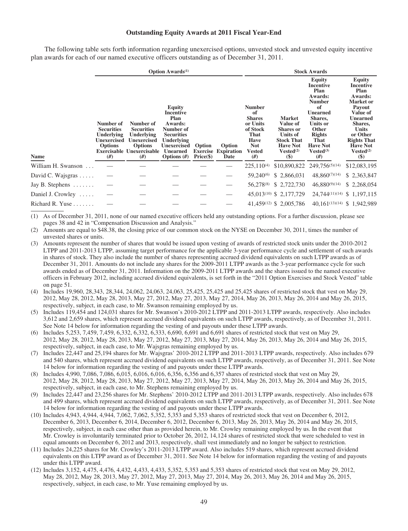## **Outstanding Equity Awards at 2011 Fiscal Year-End**

The following table sets forth information regarding unexercised options, unvested stock and unvested equity incentive plan awards for each of our named executive officers outstanding as of December 31, 2011.

|                            |                                                                                     |                                                                                                                                | <b>Option Awards</b> <sup>(1)</sup>                                                                                                               |                      |                                              |                                                                                                                          |                                                                                                                                             | <b>Stock Awards</b>                                                                                                                                                                         |                                                                                                                                                                                                                                                  |
|----------------------------|-------------------------------------------------------------------------------------|--------------------------------------------------------------------------------------------------------------------------------|---------------------------------------------------------------------------------------------------------------------------------------------------|----------------------|----------------------------------------------|--------------------------------------------------------------------------------------------------------------------------|---------------------------------------------------------------------------------------------------------------------------------------------|---------------------------------------------------------------------------------------------------------------------------------------------------------------------------------------------|--------------------------------------------------------------------------------------------------------------------------------------------------------------------------------------------------------------------------------------------------|
| <b>Name</b>                | Number of<br><b>Securities</b><br>Underlying<br>Unexercised<br><b>Options</b><br>#) | Number of<br><b>Securities</b><br>Underlying<br><b>Unexercised</b><br><b>Options</b><br><b>Exercisable Unexercisable</b><br>#) | Equity<br>Incentive<br>Plan<br>Awards:<br>Number of<br><b>Securities</b><br>Underlying<br><b>Unexercised</b><br><b>Unearned</b><br>Options $(\#)$ | Option<br>Price (\$) | Option<br><b>Exercise Expiration</b><br>Date | <b>Number</b><br>of<br><b>Shares</b><br>or Units<br>of Stock<br>That<br><b>Have</b><br><b>Not</b><br><b>Vested</b><br>#) | <b>Market</b><br>Value of<br><b>Shares</b> or<br><b>Units of</b><br><b>Stock That</b><br><b>Have Not</b><br>Vested <sup>(2)</sup><br>$(\$)$ | Equity<br>Incentive<br>Plan<br>Awards:<br><b>Number</b><br>of<br><b>Unearned</b><br>Shares,<br>Units or<br><b>Other</b><br><b>Rights</b><br>That<br><b>Have Not</b><br>$Vested^{(3)}$<br>#) | <b>Equity</b><br>Incentive<br>Plan<br>Awards:<br><b>Market</b> or<br>Payout<br>Value of<br><b>Unearned</b><br>Shares,<br><b>Units</b><br>or Other<br><b>Rights That</b><br><b>Have Not</b><br>Vested <sup>(2)</sup><br>$\left( \text{\$}\right)$ |
| William H. Swanson         |                                                                                     |                                                                                                                                |                                                                                                                                                   |                      |                                              | $225.110^{(4)}$                                                                                                          |                                                                                                                                             | \$10,890,822 249,756(5)(14)                                                                                                                                                                 | \$12,083,195                                                                                                                                                                                                                                     |
| David C. Wajsgras          |                                                                                     |                                                                                                                                |                                                                                                                                                   |                      |                                              | 59,240 <sup>(6)</sup>                                                                                                    | \$2,866,031                                                                                                                                 | 48,860(7)(14)                                                                                                                                                                               | \$2,363,847                                                                                                                                                                                                                                      |
| Jay B. Stephens            |                                                                                     |                                                                                                                                |                                                                                                                                                   |                      |                                              | 56,278(8)                                                                                                                | \$2,722,730                                                                                                                                 | $46,880^{(9)(14)}$                                                                                                                                                                          | \$2,268,054                                                                                                                                                                                                                                      |
| Daniel J. Crowley          |                                                                                     |                                                                                                                                |                                                                                                                                                   |                      |                                              |                                                                                                                          | 45,013 <sup>(10)</sup> \$ 2,177,729                                                                                                         | 24,744(11)(14) \$ 1,197,115                                                                                                                                                                 |                                                                                                                                                                                                                                                  |
| Richard R. Yuse $\ldots$ . |                                                                                     |                                                                                                                                |                                                                                                                                                   |                      |                                              |                                                                                                                          | 41,459(12) \$ 2,005,786                                                                                                                     | 40,161(13)(14) \$ 1,942,989                                                                                                                                                                 |                                                                                                                                                                                                                                                  |

(1) As of December 31, 2011, none of our named executive officers held any outstanding options. For a further discussion, please see pages 38 and 42 in "Compensation Discussion and Analysis."

- (2) Amounts are equal to \$48.38, the closing price of our common stock on the NYSE on December 30, 2011, times the number of unvested shares or units.
- (3) Amounts represent the number of shares that would be issued upon vesting of awards of restricted stock units under the 2010-2012 LTPP and 2011-2013 LTPP, assuming target performance for the applicable 3-year performance cycle and settlement of such awards in shares of stock. They also include the number of shares representing accrued dividend equivalents on such LTPP awards as of December 31, 2011. Amounts do not include any shares for the 2009-2011 LTPP awards as the 3-year performance cycle for such awards ended as of December 31, 2011. Information on the 2009-2011 LTPP awards and the shares issued to the named executive officers in February 2012, including accrued dividend equivalents, is set forth in the "2011 Option Exercises and Stock Vested" table on page 51.
- (4) Includes 19,960, 28,343, 28,344, 24,062, 24,063, 24,063, 25,425, 25,425 and 25,425 shares of restricted stock that vest on May 29, 2012, May 28, 2012, May 28, 2013, May 27, 2012, May 27, 2013, May 27, 2014, May 26, 2013, May 26, 2014 and May 26, 2015, respectively, subject, in each case, to Mr. Swanson remaining employed by us.
- (5) Includes 119,454 and 124,031 shares for Mr. Swanson's 2010-2012 LTPP and 2011-2013 LTPP awards, respectively. Also includes 3,612 and 2,659 shares, which represent accrued dividend equivalents on such LTPP awards, respectively, as of December 31, 2011. See Note 14 below for information regarding the vesting of and payouts under these LTPP awards.
- (6) Includes 5,253, 7,459, 7,459, 6,332, 6,332, 6,333, 6,690, 6,691 and 6,691 shares of restricted stock that vest on May 29, 2012, May 28, 2012, May 28, 2013, May 27, 2012, May 27, 2013, May 27, 2014, May 26, 2013, May 26, 2014 and May 26, 2015, respectively, subject, in each case, to Mr. Wajsgras remaining employed by us.
- (7) Includes 22,447 and 25,194 shares for Mr. Wajsgras' 2010-2012 LTPP and 2011-2013 LTPP awards, respectively. Also includes 679 and 540 shares, which represent accrued dividend equivalents on such LTPP awards, respectively, as of December 31, 2011. See Note 14 below for information regarding the vesting of and payouts under these LTPP awards.
- (8) Includes 4,990, 7,086, 7,086, 6,015, 6,016, 6,016, 6,356, 6,356 and 6,357 shares of restricted stock that vest on May 29, 2012, May 28, 2012, May 28, 2013, May 27, 2012, May 27, 2013, May 27, 2014, May 26, 2013, May 26, 2014 and May 26, 2015, respectively, subject, in each case, to Mr. Stephens remaining employed by us.
- (9) Includes 22,447 and 23,256 shares for Mr. Stephens' 2010-2012 LTPP and 2011-2013 LTPP awards, respectively. Also includes 678 and 499 shares, which represent accrued dividend equivalents on such LTPP awards, respectively, as of December 31, 2011. See Note 14 below for information regarding the vesting of and payouts under these LTPP awards.
- (10) Includes 4,943, 4,944, 4,944, 7,062, 7,062, 5,352, 5,353 and 5,353 shares of restricted stock that vest on December 6, 2012, December 6, 2013, December 6, 2014, December 6, 2012, December 6, 2013, May 26, 2013, May 26, 2014 and May 26, 2015, respectively, subject, in each case other than as provided herein, to Mr. Crowley remaining employed by us. In the event that Mr. Crowley is involuntarily terminated prior to October 26, 2012, 14,124 shares of restricted stock that were scheduled to vest in equal amounts on December 6, 2012 and 2013, respectively, shall vest immediately and no longer be subject to restriction.
- (11) Includes 24,225 shares for Mr. Crowley's 2011-2013 LTPP award. Also includes 519 shares, which represent accrued dividend equivalents on this LTPP award as of December 31, 2011. See Note 14 below for information regarding the vesting of and payouts under this LTPP award.
- (12) Includes 3,152, 4,475, 4,476, 4,432, 4,433, 4,433, 5,352, 5,353 and 5,353 shares of restricted stock that vest on May 29, 2012, May 28, 2012, May 28, 2013, May 27, 2012, May 27, 2013, May 27, 2014, May 26, 2013, May 26, 2014 and May 26, 2015, respectively, subject, in each case, to Mr. Yuse remaining employed by us.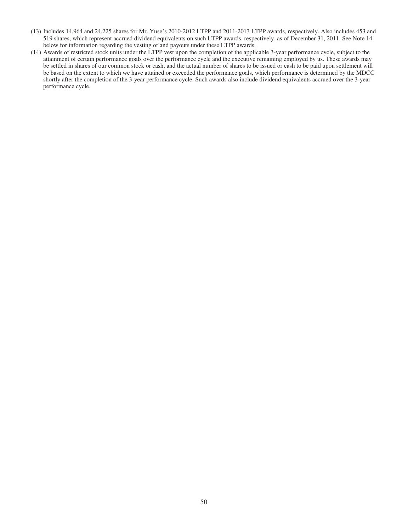- (13) Includes 14,964 and 24,225 shares for Mr. Yuse's 2010-2012 LTPP and 2011-2013 LTPP awards, respectively. Also includes 453 and 519 shares, which represent accrued dividend equivalents on such LTPP awards, respectively, as of December 31, 2011. See Note 14 below for information regarding the vesting of and payouts under these LTPP awards.
- (14) Awards of restricted stock units under the LTPP vest upon the completion of the applicable 3-year performance cycle, subject to the attainment of certain performance goals over the performance cycle and the executive remaining employed by us. These awards may be settled in shares of our common stock or cash, and the actual number of shares to be issued or cash to be paid upon settlement will be based on the extent to which we have attained or exceeded the performance goals, which performance is determined by the MDCC shortly after the completion of the 3-year performance cycle. Such awards also include dividend equivalents accrued over the 3-year performance cycle.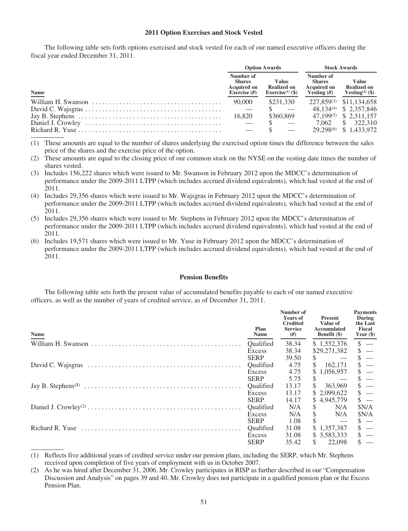#### **2011 Option Exercises and Stock Vested**

The following table sets forth options exercised and stock vested for each of our named executive officers during the fiscal year ended December 31, 2011.

|                                                                                                       |                                                                    | <b>Option Awards</b>                                               | <b>Stock Awards</b>                                               |                                                                   |  |
|-------------------------------------------------------------------------------------------------------|--------------------------------------------------------------------|--------------------------------------------------------------------|-------------------------------------------------------------------|-------------------------------------------------------------------|--|
| <b>Name</b>                                                                                           | Number of<br><b>Shares</b><br><b>Acquired on</b><br>Exercise $(H)$ | <b>Value</b><br><b>Realized on</b><br>Exercise <sup>(1)</sup> (\$) | Number of<br><b>Shares</b><br><b>Acquired on</b><br>Vesting $(f)$ | <b>Value</b><br><b>Realized on</b><br>Vesting <sup>(2)</sup> (\$) |  |
|                                                                                                       | 90,000                                                             | \$231,330                                                          |                                                                   | 227,859 <sup>(3)</sup> \$11,134,658                               |  |
|                                                                                                       |                                                                    |                                                                    |                                                                   | 48,134(4) \$ 2,357,846                                            |  |
| Jay B. Stephens $\dots \dots \dots \dots \dots \dots \dots \dots \dots \dots \dots \dots \dots \dots$ | 16.820                                                             | \$360,869                                                          |                                                                   | 47,199 <sup>(5)</sup> \$ 2,311,157                                |  |
|                                                                                                       |                                                                    |                                                                    |                                                                   | 7.062 \$ 322.310                                                  |  |
|                                                                                                       |                                                                    |                                                                    |                                                                   | 29.298 <sup>(6)</sup> \$ 1.433.972                                |  |

- (1) These amounts are equal to the number of shares underlying the exercised option times the difference between the sales price of the shares and the exercise price of the option.
- (2) These amounts are equal to the closing price of our common stock on the NYSE on the vesting date times the number of shares vested.
- (3) Includes 156,222 shares which were issued to Mr. Swanson in February 2012 upon the MDCC's determination of performance under the 2009-2011 LTPP (which includes accrued dividend equivalents), which had vested at the end of 2011.
- (4) Includes 29,356 shares which were issued to Mr. Wajsgras in February 2012 upon the MDCC's determination of performance under the 2009-2011 LTPP (which includes accrued dividend equivalents), which had vested at the end of 2011.
- (5) Includes 29,356 shares which were issued to Mr. Stephens in February 2012 upon the MDCC's determination of performance under the 2009-2011 LTPP (which includes accrued dividend equivalents), which had vested at the end of 2011.
- (6) Includes 19,571 shares which were issued to Mr. Yuse in February 2012 upon the MDCC's determination of performance under the 2009-2011 LTPP (which includes accrued dividend equivalents), which had vested at the end of 2011.

#### **Pension Benefits**

The following table sets forth the present value of accumulated benefits payable to each of our named executive officers, as well as the number of years of credited service, as of December 31, 2011.

| Name | Plan<br><b>Name</b> | Number of<br><b>Years of</b><br><b>Credited</b><br><b>Service</b><br>#) | <b>Present</b><br>Value of<br>Accumulated<br><b>Benefit</b> (\$) | <b>Payments</b><br>During<br>the Last<br><b>Fiscal</b><br>Year $(\$)$ |
|------|---------------------|-------------------------------------------------------------------------|------------------------------------------------------------------|-----------------------------------------------------------------------|
|      | Qualified           | 38.34                                                                   | \$1,552,376                                                      | $\frac{1}{2}$                                                         |
|      | Excess              | 38.34                                                                   | \$29,271,382                                                     | $\frac{1}{2}$                                                         |
|      | <b>SERP</b>         | 39.50                                                                   | $\sim$ $-$                                                       | $\frac{1}{2}$ –                                                       |
|      | Qualified           | 4.75                                                                    | $\frac{162.171}{2}$                                              | $\begin{array}{c} \frac{1}{3} - \\ 1 \\ 1 \\ 1 \end{array}$           |
|      | Excess              | 4.75                                                                    | \$1,056,957                                                      |                                                                       |
|      | <b>SERP</b>         | 5.75                                                                    | <sup>\$</sup><br><b>Service State</b>                            |                                                                       |
|      | Qualified           | 13.17                                                                   | \$363,969                                                        | $\begin{array}{c} \frac{1}{3} - \\ 1 \\ 1 \\ 3 \end{array}$           |
|      | Excess              | 13.17                                                                   | \$ 2,099,622                                                     |                                                                       |
|      | <b>SERP</b>         | 14.17                                                                   | \$4,945,779                                                      |                                                                       |
|      | Qualified           | N/A                                                                     | N/A                                                              | \$N/A                                                                 |
|      | Excess              | N/A                                                                     | N/A                                                              | \$N/A                                                                 |
|      | <b>SERP</b>         | 1.08                                                                    | \$<br>$\hspace{0.1mm}-\hspace{0.1mm}$                            |                                                                       |
|      | Oualified           | 31.08                                                                   | \$1,357,387                                                      | $\frac{1}{2}$ $\frac{1}{2}$                                           |
|      | Excess              | 31.08                                                                   | \$3,583,333                                                      |                                                                       |
|      | <b>SERP</b>         | 35.42                                                                   | $\frac{\$}{22,098}$                                              | $\overline{\mathbf{s}}$ –                                             |

<sup>(1)</sup> Reflects five additional years of credited service under our pension plans, including the SERP, which Mr. Stephens received upon completion of five years of employment with us in October 2007.

<sup>(2)</sup> As he was hired after December 31, 2006, Mr. Crowley participates in RISP as further described in our "Compensation Discussion and Analysis" on pages 39 and 40. Mr. Crowley does not participate in a qualified pension plan or the Excess Pension Plan.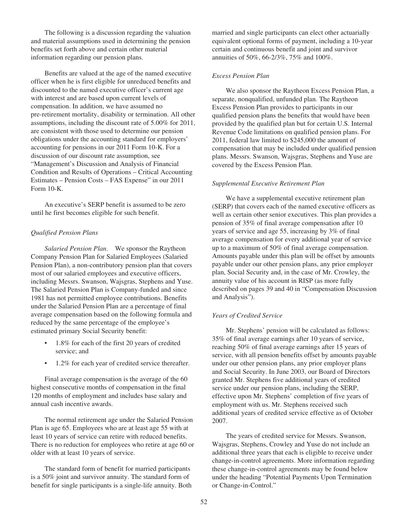The following is a discussion regarding the valuation and material assumptions used in determining the pension benefits set forth above and certain other material information regarding our pension plans.

Benefits are valued at the age of the named executive officer when he is first eligible for unreduced benefits and discounted to the named executive officer's current age with interest and are based upon current levels of compensation. In addition, we have assumed no pre-retirement mortality, disability or termination. All other assumptions, including the discount rate of 5.00% for 2011, are consistent with those used to determine our pension obligations under the accounting standard for employers' accounting for pensions in our 2011 Form 10-K. For a discussion of our discount rate assumption, see "Management's Discussion and Analysis of Financial Condition and Results of Operations – Critical Accounting Estimates – Pension Costs – FAS Expense" in our 2011 Form 10-K.

An executive's SERP benefit is assumed to be zero until he first becomes eligible for such benefit.

### *Qualified Pension Plans*

*Salaried Pension Plan*. We sponsor the Raytheon Company Pension Plan for Salaried Employees (Salaried Pension Plan), a non-contributory pension plan that covers most of our salaried employees and executive officers, including Messrs. Swanson, Wajsgras, Stephens and Yuse. The Salaried Pension Plan is Company-funded and since 1981 has not permitted employee contributions. Benefits under the Salaried Pension Plan are a percentage of final average compensation based on the following formula and reduced by the same percentage of the employee's estimated primary Social Security benefit:

- 1.8% for each of the first 20 years of credited service; and
- 1.2% for each year of credited service thereafter.

Final average compensation is the average of the 60 highest consecutive months of compensation in the final 120 months of employment and includes base salary and annual cash incentive awards.

The normal retirement age under the Salaried Pension Plan is age 65. Employees who are at least age 55 with at least 10 years of service can retire with reduced benefits. There is no reduction for employees who retire at age 60 or older with at least 10 years of service.

The standard form of benefit for married participants is a 50% joint and survivor annuity. The standard form of benefit for single participants is a single-life annuity. Both married and single participants can elect other actuarially equivalent optional forms of payment, including a 10-year certain and continuous benefit and joint and survivor annuities of 50%, 66-2/3%, 75% and 100%.

# *Excess Pension Plan*

We also sponsor the Raytheon Excess Pension Plan, a separate, nonqualified, unfunded plan. The Raytheon Excess Pension Plan provides to participants in our qualified pension plans the benefits that would have been provided by the qualified plan but for certain U.S. Internal Revenue Code limitations on qualified pension plans. For 2011, federal law limited to \$245,000 the amount of compensation that may be included under qualified pension plans. Messrs. Swanson, Wajsgras, Stephens and Yuse are covered by the Excess Pension Plan.

### *Supplemental Executive Retirement Plan*

We have a supplemental executive retirement plan (SERP) that covers each of the named executive officers as well as certain other senior executives. This plan provides a pension of 35% of final average compensation after 10 years of service and age 55, increasing by 3% of final average compensation for every additional year of service up to a maximum of 50% of final average compensation. Amounts payable under this plan will be offset by amounts payable under our other pension plans, any prior employer plan, Social Security and, in the case of Mr. Crowley, the annuity value of his account in RISP (as more fully described on pages 39 and 40 in "Compensation Discussion and Analysis").

#### *Years of Credited Service*

Mr. Stephens' pension will be calculated as follows: 35% of final average earnings after 10 years of service, reaching 50% of final average earnings after 15 years of service, with all pension benefits offset by amounts payable under our other pension plans, any prior employer plans and Social Security. In June 2003, our Board of Directors granted Mr. Stephens five additional years of credited service under our pension plans, including the SERP, effective upon Mr. Stephens' completion of five years of employment with us. Mr. Stephens received such additional years of credited service effective as of October 2007.

The years of credited service for Messrs. Swanson, Wajsgras, Stephens, Crowley and Yuse do not include an additional three years that each is eligible to receive under change-in-control agreements. More information regarding these change-in-control agreements may be found below under the heading "Potential Payments Upon Termination or Change-in-Control."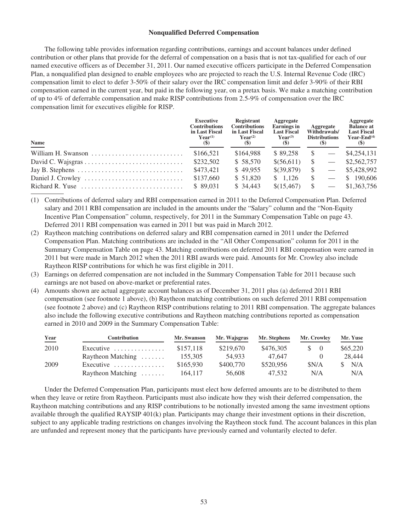### **Nonqualified Deferred Compensation**

The following table provides information regarding contributions, earnings and account balances under defined contribution or other plans that provide for the deferral of compensation on a basis that is not tax-qualified for each of our named executive officers as of December 31, 2011. Our named executive officers participate in the Deferred Compensation Plan, a nonqualified plan designed to enable employees who are projected to reach the U.S. Internal Revenue Code (IRC) compensation limit to elect to defer 3-50% of their salary over the IRC compensation limit and defer 3-90% of their RBI compensation earned in the current year, but paid in the following year, on a pretax basis. We make a matching contribution of up to 4% of deferrable compensation and make RISP contributions from 2.5-9% of compensation over the IRC compensation limit for executives eligible for RISP.

| Name                                                                          | <b>Executive</b><br><b>Contributions</b><br>in Last Fiscal<br>$Year^{(1)}$<br>$\left( \mathcal{S} \right)$ | Registrant<br><b>Contributions</b><br>in Last Fiscal<br>$\mathbf{Year}^{(2)}$<br>(S) | Aggregate<br><b>Earnings</b> in<br><b>Last Fiscal</b><br>$Year^{(3)}$<br>(S) | Aggregate<br>Withdrawals/<br><b>Distributions</b><br>(S) | Aggregate<br><b>Balance at</b><br><b>Last Fiscal</b><br>Year-End $(4)$<br>$(\$)$ |
|-------------------------------------------------------------------------------|------------------------------------------------------------------------------------------------------------|--------------------------------------------------------------------------------------|------------------------------------------------------------------------------|----------------------------------------------------------|----------------------------------------------------------------------------------|
|                                                                               | \$166,521                                                                                                  | \$164,988                                                                            | \$89.258                                                                     |                                                          | \$4,254,131                                                                      |
|                                                                               | \$232,502                                                                                                  | \$58,570                                                                             | \$(56,611)                                                                   | $\sim$ $-$                                               | \$2,562,757                                                                      |
| Jay B. Stephens $\dots \dots \dots \dots \dots \dots \dots \dots \dots \dots$ | \$473,421                                                                                                  | \$49,955                                                                             | \$(39,879)                                                                   |                                                          | \$5,428,992                                                                      |
|                                                                               | \$137,660                                                                                                  | \$51.820                                                                             | \$1.126                                                                      | $\sim$                                                   | \$190,606                                                                        |
| Richard R. Yuse $\ldots, \ldots, \ldots, \ldots, \ldots, \ldots, \ldots$      | \$89.031                                                                                                   | \$34,443                                                                             | \$(15,467)                                                                   |                                                          | \$1,363,756                                                                      |

(1) Contributions of deferred salary and RBI compensation earned in 2011 to the Deferred Compensation Plan. Deferred salary and 2011 RBI compensation are included in the amounts under the "Salary" column and the "Non-Equity Incentive Plan Compensation" column, respectively, for 2011 in the Summary Compensation Table on page 43. Deferred 2011 RBI compensation was earned in 2011 but was paid in March 2012.

- (2) Raytheon matching contributions on deferred salary and RBI compensation earned in 2011 under the Deferred Compensation Plan. Matching contributions are included in the "All Other Compensation" column for 2011 in the Summary Compensation Table on page 43. Matching contributions on deferred 2011 RBI compensation were earned in 2011 but were made in March 2012 when the 2011 RBI awards were paid. Amounts for Mr. Crowley also include Raytheon RISP contributions for which he was first eligible in 2011.
- (3) Earnings on deferred compensation are not included in the Summary Compensation Table for 2011 because such earnings are not based on above-market or preferential rates.
- (4) Amounts shown are actual aggregate account balances as of December 31, 2011 plus (a) deferred 2011 RBI compensation (see footnote 1 above), (b) Raytheon matching contributions on such deferred 2011 RBI compensation (see footnote 2 above) and (c) Raytheon RISP contributions relating to 2011 RBI compensation. The aggregate balances also include the following executive contributions and Raytheon matching contributions reported as compensation earned in 2010 and 2009 in the Summary Compensation Table:

| Year | <b>Contribution</b>                     | Mr. Swanson | Mr. Wajsgras | Mr. Stephens | Mr. Crowley | Mr. Yuse |
|------|-----------------------------------------|-------------|--------------|--------------|-------------|----------|
| 2010 | Executive $\ldots \ldots \ldots \ldots$ | \$157.118   | \$219,670    | \$476,305    | S.          | \$65,220 |
|      | Raytheon Matching $\dots \dots$         | 155,305     | 54.933       | 47.647       |             | 28,444   |
| 2009 | Executive $\ldots \ldots \ldots \ldots$ | \$165,930   | \$400,770    | \$520,956    | \$N/A       | N/A      |
|      | Raytheon Matching $\dots \dots$         | 164,117     | 56,608       | 47.532       | N/A         | N/A      |

Under the Deferred Compensation Plan, participants must elect how deferred amounts are to be distributed to them when they leave or retire from Raytheon. Participants must also indicate how they wish their deferred compensation, the Raytheon matching contributions and any RISP contributions to be notionally invested among the same investment options available through the qualified RAYSIP 401(k) plan. Participants may change their investment options in their discretion, subject to any applicable trading restrictions on changes involving the Raytheon stock fund. The account balances in this plan are unfunded and represent money that the participants have previously earned and voluntarily elected to defer.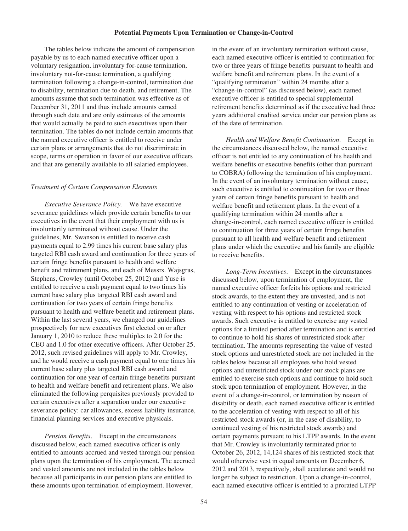#### **Potential Payments Upon Termination or Change-in-Control**

The tables below indicate the amount of compensation payable by us to each named executive officer upon a voluntary resignation, involuntary for-cause termination, involuntary not-for-cause termination, a qualifying termination following a change-in-control, termination due to disability, termination due to death, and retirement. The amounts assume that such termination was effective as of December 31, 2011 and thus include amounts earned through such date and are only estimates of the amounts that would actually be paid to such executives upon their termination. The tables do not include certain amounts that the named executive officer is entitled to receive under certain plans or arrangements that do not discriminate in scope, terms or operation in favor of our executive officers and that are generally available to all salaried employees.

#### *Treatment of Certain Compensation Elements*

*Executive Severance Policy.* We have executive severance guidelines which provide certain benefits to our executives in the event that their employment with us is involuntarily terminated without cause. Under the guidelines, Mr. Swanson is entitled to receive cash payments equal to 2.99 times his current base salary plus targeted RBI cash award and continuation for three years of certain fringe benefits pursuant to health and welfare benefit and retirement plans, and each of Messrs. Wajsgras, Stephens, Crowley (until October 25, 2012) and Yuse is entitled to receive a cash payment equal to two times his current base salary plus targeted RBI cash award and continuation for two years of certain fringe benefits pursuant to health and welfare benefit and retirement plans. Within the last several years, we changed our guidelines prospectively for new executives first elected on or after January 1, 2010 to reduce these multiples to 2.0 for the CEO and 1.0 for other executive officers. After October 25, 2012, such revised guidelines will apply to Mr. Crowley, and he would receive a cash payment equal to one times his current base salary plus targeted RBI cash award and continuation for one year of certain fringe benefits pursuant to health and welfare benefit and retirement plans. We also eliminated the following perquisites previously provided to certain executives after a separation under our executive severance policy: car allowances, excess liability insurance, financial planning services and executive physicals.

*Pension Benefits*. Except in the circumstances discussed below, each named executive officer is only entitled to amounts accrued and vested through our pension plans upon the termination of his employment. The accrued and vested amounts are not included in the tables below because all participants in our pension plans are entitled to these amounts upon termination of employment. However,

in the event of an involuntary termination without cause, each named executive officer is entitled to continuation for two or three years of fringe benefits pursuant to health and welfare benefit and retirement plans. In the event of a "qualifying termination" within 24 months after a "change-in-control" (as discussed below), each named executive officer is entitled to special supplemental retirement benefits determined as if the executive had three years additional credited service under our pension plans as of the date of termination.

*Health and Welfare Benefit Continuation*. Except in the circumstances discussed below, the named executive officer is not entitled to any continuation of his health and welfare benefits or executive benefits (other than pursuant to COBRA) following the termination of his employment. In the event of an involuntary termination without cause, such executive is entitled to continuation for two or three years of certain fringe benefits pursuant to health and welfare benefit and retirement plans. In the event of a qualifying termination within 24 months after a change-in-control, each named executive officer is entitled to continuation for three years of certain fringe benefits pursuant to all health and welfare benefit and retirement plans under which the executive and his family are eligible to receive benefits.

*Long-Term Incentives*. Except in the circumstances discussed below, upon termination of employment, the named executive officer forfeits his options and restricted stock awards, to the extent they are unvested, and is not entitled to any continuation of vesting or acceleration of vesting with respect to his options and restricted stock awards. Such executive is entitled to exercise any vested options for a limited period after termination and is entitled to continue to hold his shares of unrestricted stock after termination. The amounts representing the value of vested stock options and unrestricted stock are not included in the tables below because all employees who hold vested options and unrestricted stock under our stock plans are entitled to exercise such options and continue to hold such stock upon termination of employment. However, in the event of a change-in-control, or termination by reason of disability or death, each named executive officer is entitled to the acceleration of vesting with respect to all of his restricted stock awards (or, in the case of disability, to continued vesting of his restricted stock awards) and certain payments pursuant to his LTPP awards. In the event that Mr. Crowley is involuntarily terminated prior to October 26, 2012, 14,124 shares of his restricted stock that would otherwise vest in equal amounts on December 6, 2012 and 2013, respectively, shall accelerate and would no longer be subject to restriction. Upon a change-in-control, each named executive officer is entitled to a prorated LTPP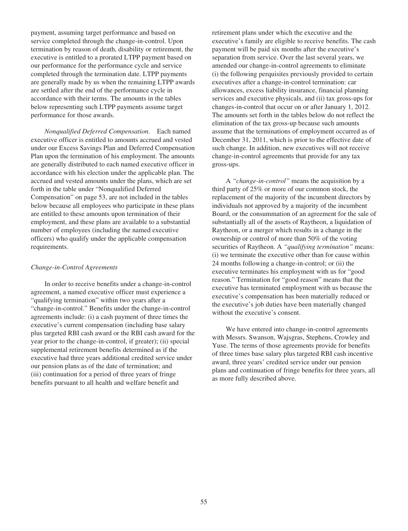payment, assuming target performance and based on service completed through the change-in-control. Upon termination by reason of death, disability or retirement, the executive is entitled to a prorated LTPP payment based on our performance for the performance cycle and service completed through the termination date. LTPP payments are generally made by us when the remaining LTPP awards are settled after the end of the performance cycle in accordance with their terms. The amounts in the tables below representing such LTPP payments assume target performance for those awards.

*Nonqualified Deferred Compensation*. Each named executive officer is entitled to amounts accrued and vested under our Excess Savings Plan and Deferred Compensation Plan upon the termination of his employment. The amounts are generally distributed to each named executive officer in accordance with his election under the applicable plan. The accrued and vested amounts under the plans, which are set forth in the table under "Nonqualified Deferred Compensation" on page 53, are not included in the tables below because all employees who participate in these plans are entitled to these amounts upon termination of their employment, and these plans are available to a substantial number of employees (including the named executive officers) who qualify under the applicable compensation requirements.

### *Change-in-Control Agreements*

In order to receive benefits under a change-in-control agreement, a named executive officer must experience a "qualifying termination" within two years after a "change-in-control." Benefits under the change-in-control agreements include: (i) a cash payment of three times the executive's current compensation (including base salary plus targeted RBI cash award or the RBI cash award for the year prior to the change-in-control, if greater); (ii) special supplemental retirement benefits determined as if the executive had three years additional credited service under our pension plans as of the date of termination; and (iii) continuation for a period of three years of fringe benefits pursuant to all health and welfare benefit and

retirement plans under which the executive and the executive's family are eligible to receive benefits. The cash payment will be paid six months after the executive's separation from service. Over the last several years, we amended our change-in-control agreements to eliminate (i) the following perquisites previously provided to certain executives after a change-in-control termination: car allowances, excess liability insurance, financial planning services and executive physicals, and (ii) tax gross-ups for changes-in-control that occur on or after January 1, 2012. The amounts set forth in the tables below do not reflect the elimination of the tax gross-up because such amounts assume that the terminations of employment occurred as of December 31, 2011, which is prior to the effective date of such change. In addition, new executives will not receive change-in-control agreements that provide for any tax gross-ups.

A *"change-in-control"* means the acquisition by a third party of 25% or more of our common stock, the replacement of the majority of the incumbent directors by individuals not approved by a majority of the incumbent Board, or the consummation of an agreement for the sale of substantially all of the assets of Raytheon, a liquidation of Raytheon, or a merger which results in a change in the ownership or control of more than 50% of the voting securities of Raytheon. A *"qualifying termination"* means: (i) we terminate the executive other than for cause within 24 months following a change-in-control; or (ii) the executive terminates his employment with us for "good reason." Termination for "good reason" means that the executive has terminated employment with us because the executive's compensation has been materially reduced or the executive's job duties have been materially changed without the executive's consent.

We have entered into change-in-control agreements with Messrs. Swanson, Wajsgras, Stephens, Crowley and Yuse. The terms of those agreements provide for benefits of three times base salary plus targeted RBI cash incentive award, three years' credited service under our pension plans and continuation of fringe benefits for three years, all as more fully described above.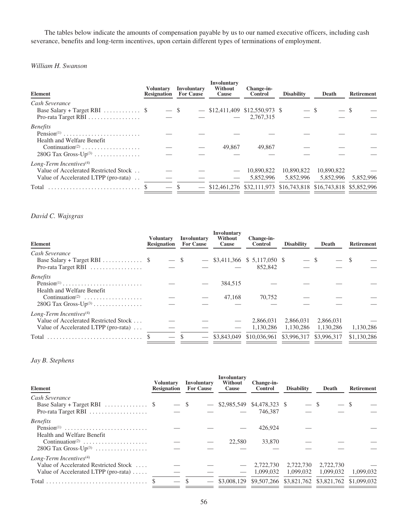The tables below indicate the amounts of compensation payable by us to our named executive officers, including cash severance, benefits and long-term incentives, upon certain different types of terminations of employment.

# *William H. Swanson*

| <b>Element</b>                                                                                                                               | Voluntarv<br><b>Resignation</b> |        | Involuntary<br><b>For Cause</b> | Involuntary<br>Without<br>Cause  | Change-in-<br><b>Control</b> | <b>Disability</b>                                                                          | Death                   | <b>Retirement</b> |
|----------------------------------------------------------------------------------------------------------------------------------------------|---------------------------------|--------|---------------------------------|----------------------------------|------------------------------|--------------------------------------------------------------------------------------------|-------------------------|-------------------|
| Cash Severance<br>Base Salary + Target RBI $\ldots \ldots \ldots$ \$<br>Pro-rata Target RBI                                                  |                                 | $-$ \$ |                                 | $-$ \$12,411,409 \$12,550,973 \$ | $-2,767,315$                 | $-$ \$                                                                                     |                         |                   |
| <b>Benefits</b><br>Pension <sup>(1)</sup><br>Health and Welfare Benefit<br>Continuation <sup>(2)</sup><br>$280G$ Tax Gross-Up <sup>(3)</sup> |                                 |        |                                 | 49,867                           | 49,867                       |                                                                                            |                         |                   |
| Long-Term Incentives $(4)$<br>Value of Accelerated Restricted Stock<br>Value of Accelerated LTPP (pro-rata)<br>Total                         |                                 |        |                                 |                                  | 10,890,822<br>5.852.996      | 10,890,822<br>5.852.996<br>\$12,461,276 \$32,111,973 \$16,743,818 \$16,743,818 \$5,852,996 | 10,890,822<br>5.852.996 | 5.852.996         |

# *David C. Wajsgras*

| <b>Element</b>                                                                              | Voluntary<br><b>Resignation</b> | Involuntary<br><b>For Cause</b> | Involuntary<br>Without<br>Cause | Change-in-<br><b>Control</b>               | <b>Disability</b>      | Death                  | <b>Retirement</b> |
|---------------------------------------------------------------------------------------------|---------------------------------|---------------------------------|---------------------------------|--------------------------------------------|------------------------|------------------------|-------------------|
| Cash Severance<br>Base Salary + Target RBI $\ldots \ldots \ldots$ \$<br>Pro-rata Target RBI | $-$ \$                          |                                 |                                 | $-$ \$3,411,366 \$ 5,117,050 \$<br>852,842 | $-$ \$                 |                        |                   |
| <b>Benefits</b>                                                                             |                                 |                                 |                                 |                                            |                        |                        |                   |
| $Pension(1)$<br>Health and Welfare Benefit                                                  |                                 |                                 | 384,515                         |                                            |                        |                        |                   |
| Continuation <sup>(2)</sup><br>280G Tax Gross- $Up^{(3)}$                                   |                                 |                                 | 47.168                          | 70.752                                     |                        |                        |                   |
| Long-Term Incentives $(4)$                                                                  |                                 |                                 |                                 |                                            |                        |                        |                   |
| Value of Accelerated Restricted Stock<br>Value of Accelerated LTPP (pro-rata) $\dots$       |                                 |                                 |                                 | 2.866.031<br>1.130.286                     | 2.866.031<br>1.130.286 | 2,866,031<br>1.130.286 | 1,130,286         |
| Total                                                                                       |                                 |                                 | \$3,843,049                     | \$10,036,961 \$3,996,317 \$3,996,317       |                        |                        | \$1,130,286       |

# *Jay B. Stephens*

| Element                                            | Voluntary<br><b>Resignation</b> |        | Involuntary<br><b>For Cause</b> | <b>Involuntary</b><br>Without<br>Cause | Change-in-<br>Control | <b>Disability</b>                               | Death     | <b>Retirement</b> |
|----------------------------------------------------|---------------------------------|--------|---------------------------------|----------------------------------------|-----------------------|-------------------------------------------------|-----------|-------------------|
| Cash Severance                                     |                                 |        |                                 |                                        |                       |                                                 |           |                   |
| Base Salary + Target RBI $\ldots \ldots \ldots$ \$ |                                 | $-$ \$ |                                 | $-$ \$2,985,549 \$4,478,323 \$         |                       | $-$ \$                                          | $-$ \$    |                   |
| Pro-rata Target RBI                                |                                 |        |                                 |                                        | 746.387               |                                                 |           |                   |
| <b>Benefits</b>                                    |                                 |        |                                 |                                        |                       |                                                 |           |                   |
|                                                    |                                 |        |                                 |                                        | 426,924               |                                                 |           |                   |
| Health and Welfare Benefit                         |                                 |        |                                 |                                        |                       |                                                 |           |                   |
| Continuation <sup>(2)</sup>                        |                                 |        |                                 | 22.580                                 | 33,870                |                                                 |           |                   |
| $280G$ Tax Gross-Up <sup>(3)</sup>                 |                                 |        |                                 |                                        |                       |                                                 |           |                   |
| Long-Term Incentives <sup><math>(4)</math></sup>   |                                 |        |                                 |                                        |                       |                                                 |           |                   |
| Value of Accelerated Restricted Stock              |                                 |        |                                 |                                        | 2.722.730             | 2.722.730                                       | 2,722,730 |                   |
| Value of Accelerated LTPP (pro-rata) $\dots$ .     |                                 |        |                                 |                                        | 1.099.032             | 1.099.032                                       | 1.099.032 | 1.099.032         |
|                                                    |                                 |        |                                 | \$3,008,129                            |                       | \$9,507,266 \$3,821,762 \$3,821,762 \$1,099,032 |           |                   |
|                                                    |                                 |        |                                 |                                        |                       |                                                 |           |                   |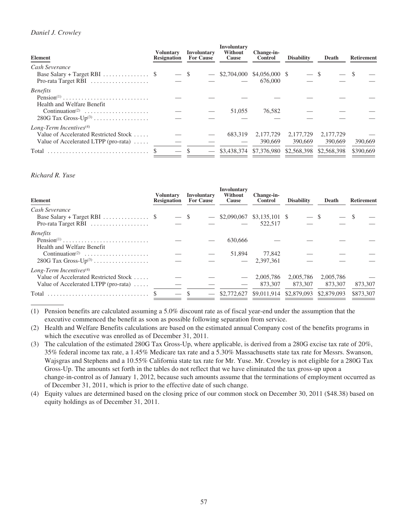# *Daniel J. Crowley*

| Element                                                   | Voluntarv<br><b>Resignation</b> | Involuntary<br><b>For Cause</b> | Involuntary<br>Without<br>Cause | Change-in-<br><b>Control</b>        | <b>Disability</b> | Death       | <b>Retirement</b> |
|-----------------------------------------------------------|---------------------------------|---------------------------------|---------------------------------|-------------------------------------|-------------------|-------------|-------------------|
| Cash Severance                                            |                                 |                                 |                                 |                                     |                   |             |                   |
| Base Salary + Target RBI $\ldots \ldots \ldots \ldots$ \$ | $-$ \$                          | $\overline{\phantom{m}}$        |                                 | \$2,704,000 \$4,056,000 \$          |                   |             |                   |
| Pro-rata Target RBI                                       |                                 |                                 |                                 | 676,000                             |                   |             |                   |
| <b>Benefits</b>                                           |                                 |                                 |                                 |                                     |                   |             |                   |
| Pension <sup>(1)</sup>                                    |                                 |                                 |                                 |                                     |                   |             |                   |
| Health and Welfare Benefit                                |                                 |                                 |                                 |                                     |                   |             |                   |
| Continuation <sup>(2)</sup>                               |                                 |                                 | 51,055                          | 76.582                              |                   |             |                   |
| $280G$ Tax Gross-Up <sup>(3)</sup>                        |                                 |                                 |                                 |                                     |                   |             |                   |
| Long-Term Incentives $(4)$                                |                                 |                                 |                                 |                                     |                   |             |                   |
| Value of Accelerated Restricted Stock                     |                                 |                                 | 683.319                         | 2.177.729                           | 2.177.729         | 2,177,729   |                   |
| Value of Accelerated LTPP (pro-rata)                      |                                 |                                 |                                 | 390,669                             | 390,669           | 390,669     | 390,669           |
| Total                                                     |                                 |                                 |                                 | \$3,438,374 \$7,376,980 \$2,568,398 |                   | \$2,568,398 | \$390,669         |

## *Richard R. Yuse*

| <b>Element</b>                                                       | <b>Voluntary</b><br><b>Resignation</b> |        | Involuntary<br><b>For Cause</b> | Involuntary<br>Without<br>Cause | Change-in-<br><b>Control</b> | <b>Disability</b> | Death       | <b>Retirement</b> |
|----------------------------------------------------------------------|----------------------------------------|--------|---------------------------------|---------------------------------|------------------------------|-------------------|-------------|-------------------|
| Cash Severance                                                       |                                        |        |                                 |                                 |                              |                   |             |                   |
| Base Salary + Target RBI $\ldots \ldots \ldots \ldots$ \$            |                                        | $-$ \$ |                                 | $-$ \$2,090,067 \$3,135,101 \$  |                              | $-$ \$            |             |                   |
| Pro-rata Target RBI                                                  |                                        |        |                                 |                                 | 522,517                      |                   |             |                   |
| <b>Benefits</b>                                                      |                                        |        |                                 |                                 |                              |                   |             |                   |
| $Pension(1)$                                                         |                                        |        |                                 | 630,666                         |                              |                   |             |                   |
| Health and Welfare Benefit                                           |                                        |        |                                 |                                 |                              |                   |             |                   |
| $Continuation^{(2)} \dots \dots \dots \dots \dots \dots \dots \dots$ |                                        |        |                                 | 51,894                          | 77.842                       |                   |             |                   |
| $280G$ Tax Gross-Up <sup>(3)</sup>                                   |                                        |        |                                 |                                 | 2.397.361                    |                   |             |                   |
| Long-Term Incentives $(4)$                                           |                                        |        |                                 |                                 |                              |                   |             |                   |
| Value of Accelerated Restricted Stock                                |                                        |        |                                 |                                 | 2,005,786                    | 2,005,786         | 2,005,786   |                   |
| Value of Accelerated LTPP (pro-rata) $\dots$                         |                                        |        |                                 |                                 | 873,307                      | 873,307           | 873,307     | 873,307           |
| Total                                                                |                                        |        |                                 | \$2,772,627                     | \$9,011,914                  | \$2,879,093       | \$2,879,093 | \$873,307         |
|                                                                      |                                        |        |                                 |                                 |                              |                   |             |                   |

(1) Pension benefits are calculated assuming a 5.0% discount rate as of fiscal year-end under the assumption that the executive commenced the benefit as soon as possible following separation from service.

(2) Health and Welfare Benefits calculations are based on the estimated annual Company cost of the benefits programs in which the executive was enrolled as of December 31, 2011.

(3) The calculation of the estimated 280G Tax Gross-Up, where applicable, is derived from a 280G excise tax rate of 20%, 35% federal income tax rate, a 1.45% Medicare tax rate and a 5.30% Massachusetts state tax rate for Messrs. Swanson, Wajsgras and Stephens and a 10.55% California state tax rate for Mr. Yuse. Mr. Crowley is not eligible for a 280G Tax Gross-Up. The amounts set forth in the tables do not reflect that we have eliminated the tax gross-up upon a change-in-control as of January 1, 2012, because such amounts assume that the terminations of employment occurred as of December 31, 2011, which is prior to the effective date of such change.

(4) Equity values are determined based on the closing price of our common stock on December 30, 2011 (\$48.38) based on equity holdings as of December 31, 2011.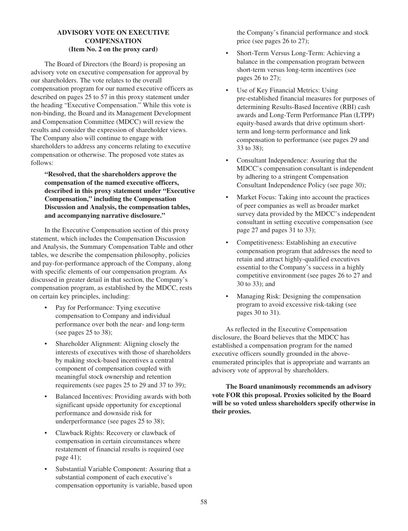# **ADVISORY VOTE ON EXECUTIVE COMPENSATION (Item No. 2 on the proxy card)**

The Board of Directors (the Board) is proposing an advisory vote on executive compensation for approval by our shareholders. The vote relates to the overall compensation program for our named executive officers as described on pages 25 to 57 in this proxy statement under the heading "Executive Compensation." While this vote is non-binding, the Board and its Management Development and Compensation Committee (MDCC) will review the results and consider the expression of shareholder views. The Company also will continue to engage with shareholders to address any concerns relating to executive compensation or otherwise. The proposed vote states as follows:

**"Resolved, that the shareholders approve the compensation of the named executive officers, described in this proxy statement under "Executive Compensation," including the Compensation Discussion and Analysis, the compensation tables, and accompanying narrative disclosure."**

In the Executive Compensation section of this proxy statement, which includes the Compensation Discussion and Analysis, the Summary Compensation Table and other tables, we describe the compensation philosophy, policies and pay-for-performance approach of the Company, along with specific elements of our compensation program. As discussed in greater detail in that section, the Company's compensation program, as established by the MDCC, rests on certain key principles, including:

- Pay for Performance: Tying executive compensation to Company and individual performance over both the near- and long-term (see pages 25 to 38);
- Shareholder Alignment: Aligning closely the interests of executives with those of shareholders by making stock-based incentives a central component of compensation coupled with meaningful stock ownership and retention requirements (see pages 25 to 29 and 37 to 39);
- Balanced Incentives: Providing awards with both significant upside opportunity for exceptional performance and downside risk for underperformance (see pages 25 to 38);
- Clawback Rights: Recovery or clawback of compensation in certain circumstances where restatement of financial results is required (see page 41);
- Substantial Variable Component: Assuring that a substantial component of each executive's compensation opportunity is variable, based upon

the Company's financial performance and stock price (see pages 26 to 27);

- Short-Term Versus Long-Term: Achieving a balance in the compensation program between short-term versus long-term incentives (see pages 26 to 27);
- Use of Key Financial Metrics: Using pre-established financial measures for purposes of determining Results-Based Incentive (RBI) cash awards and Long-Term Performance Plan (LTPP) equity-based awards that drive optimum shortterm and long-term performance and link compensation to performance (see pages 29 and 33 to 38);
- Consultant Independence: Assuring that the MDCC's compensation consultant is independent by adhering to a stringent Compensation Consultant Independence Policy (see page 30);
- Market Focus: Taking into account the practices of peer companies as well as broader market survey data provided by the MDCC's independent consultant in setting executive compensation (see page 27 and pages 31 to 33);
- Competitiveness: Establishing an executive compensation program that addresses the need to retain and attract highly-qualified executives essential to the Company's success in a highly competitive environment (see pages 26 to 27 and 30 to 33); and
- Managing Risk: Designing the compensation program to avoid excessive risk-taking (see pages 30 to 31).

As reflected in the Executive Compensation disclosure, the Board believes that the MDCC has established a compensation program for the named executive officers soundly grounded in the aboveenumerated principles that is appropriate and warrants an advisory vote of approval by shareholders.

**The Board unanimously recommends an advisory vote FOR this proposal. Proxies solicited by the Board will be so voted unless shareholders specify otherwise in their proxies.**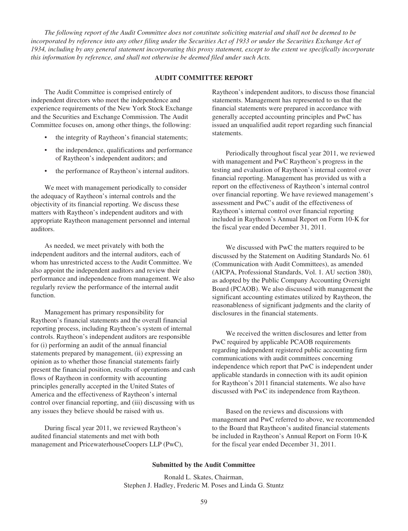*The following report of the Audit Committee does not constitute soliciting material and shall not be deemed to be incorporated by reference into any other filing under the Securities Act of 1933 or under the Securities Exchange Act of 1934, including by any general statement incorporating this proxy statement, except to the extent we specifically incorporate this information by reference, and shall not otherwise be deemed filed under such Acts.*

#### **AUDIT COMMITTEE REPORT**

The Audit Committee is comprised entirely of independent directors who meet the independence and experience requirements of the New York Stock Exchange and the Securities and Exchange Commission. The Audit Committee focuses on, among other things, the following:

- the integrity of Raytheon's financial statements;
- the independence, qualifications and performance of Raytheon's independent auditors; and
- the performance of Raytheon's internal auditors.

We meet with management periodically to consider the adequacy of Raytheon's internal controls and the objectivity of its financial reporting. We discuss these matters with Raytheon's independent auditors and with appropriate Raytheon management personnel and internal auditors.

As needed, we meet privately with both the independent auditors and the internal auditors, each of whom has unrestricted access to the Audit Committee. We also appoint the independent auditors and review their performance and independence from management. We also regularly review the performance of the internal audit function.

Management has primary responsibility for Raytheon's financial statements and the overall financial reporting process, including Raytheon's system of internal controls. Raytheon's independent auditors are responsible for (i) performing an audit of the annual financial statements prepared by management, (ii) expressing an opinion as to whether those financial statements fairly present the financial position, results of operations and cash flows of Raytheon in conformity with accounting principles generally accepted in the United States of America and the effectiveness of Raytheon's internal control over financial reporting, and (iii) discussing with us any issues they believe should be raised with us.

During fiscal year 2011, we reviewed Raytheon's audited financial statements and met with both management and PricewaterhouseCoopers LLP (PwC), Raytheon's independent auditors, to discuss those financial statements. Management has represented to us that the financial statements were prepared in accordance with generally accepted accounting principles and PwC has issued an unqualified audit report regarding such financial statements.

Periodically throughout fiscal year 2011, we reviewed with management and PwC Raytheon's progress in the testing and evaluation of Raytheon's internal control over financial reporting. Management has provided us with a report on the effectiveness of Raytheon's internal control over financial reporting. We have reviewed management's assessment and PwC's audit of the effectiveness of Raytheon's internal control over financial reporting included in Raytheon's Annual Report on Form 10-K for the fiscal year ended December 31, 2011.

We discussed with PwC the matters required to be discussed by the Statement on Auditing Standards No. 61 (Communication with Audit Committees), as amended (AICPA, Professional Standards, Vol. 1. AU section 380), as adopted by the Public Company Accounting Oversight Board (PCAOB). We also discussed with management the significant accounting estimates utilized by Raytheon, the reasonableness of significant judgments and the clarity of disclosures in the financial statements.

We received the written disclosures and letter from PwC required by applicable PCAOB requirements regarding independent registered public accounting firm communications with audit committees concerning independence which report that PwC is independent under applicable standards in connection with its audit opinion for Raytheon's 2011 financial statements. We also have discussed with PwC its independence from Raytheon.

Based on the reviews and discussions with management and PwC referred to above, we recommended to the Board that Raytheon's audited financial statements be included in Raytheon's Annual Report on Form 10-K for the fiscal year ended December 31, 2011.

#### **Submitted by the Audit Committee**

Ronald L. Skates, Chairman, Stephen J. Hadley, Frederic M. Poses and Linda G. Stuntz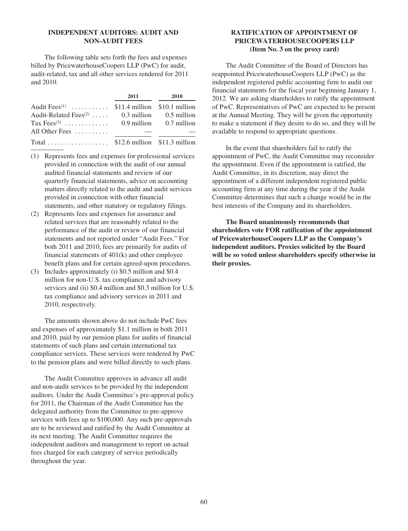# **INDEPENDENT AUDITORS: AUDIT AND NON-AUDIT FEES**

The following table sets forth the fees and expenses billed by PricewaterhouseCoopers LLP (PwC) for audit, audit-related, tax and all other services rendered for 2011 and 2010.

|                                                           | 2011 | 2010 |
|-----------------------------------------------------------|------|------|
| Audit Fees <sup>(1)</sup> \$11.4 million \$10.1 million   |      |      |
| Audit-Related Fees <sup>(2)</sup> 0.3 million 0.5 million |      |      |
| Tax Fees <sup>(3)</sup> 0.9 million 0.7 million           |      |      |
| All Other Fees $\dots\dots\dots$                          |      |      |
| Total \$12.6 million $$11.3$ million                      |      |      |

- (1) Represents fees and expenses for professional services provided in connection with the audit of our annual audited financial statements and review of our quarterly financial statements, advice on accounting matters directly related to the audit and audit services provided in connection with other financial statements, and other statutory or regulatory filings.
- (2) Represents fees and expenses for assurance and related services that are reasonably related to the performance of the audit or review of our financial statements and not reported under "Audit Fees." For both 2011 and 2010, fees are primarily for audits of financial statements of 401(k) and other employee benefit plans and for certain agreed-upon procedures.
- (3) Includes approximately (i) \$0.5 million and \$0.4 million for non-U.S. tax compliance and advisory services and (ii) \$0.4 million and \$0.3 million for U.S. tax compliance and advisory services in 2011 and 2010, respectively.

The amounts shown above do not include PwC fees and expenses of approximately \$1.1 million in both 2011 and 2010, paid by our pension plans for audits of financial statements of such plans and certain international tax compliance services. These services were rendered by PwC to the pension plans and were billed directly to such plans.

The Audit Committee approves in advance all audit and non-audit services to be provided by the independent auditors. Under the Audit Committee's pre-approval policy for 2011, the Chairman of the Audit Committee has the delegated authority from the Committee to pre-approve services with fees up to \$100,000. Any such pre-approvals are to be reviewed and ratified by the Audit Committee at its next meeting. The Audit Committee requires the independent auditors and management to report on actual fees charged for each category of service periodically throughout the year.

# **RATIFICATION OF APPOINTMENT OF PRICEWATERHOUSECOOPERS LLP (Item No. 3 on the proxy card)**

The Audit Committee of the Board of Directors has reappointed PricewaterhouseCoopers LLP (PwC) as the independent registered public accounting firm to audit our financial statements for the fiscal year beginning January 1, 2012. We are asking shareholders to ratify the appointment of PwC. Representatives of PwC are expected to be present at the Annual Meeting. They will be given the opportunity to make a statement if they desire to do so, and they will be available to respond to appropriate questions.

In the event that shareholders fail to ratify the appointment of PwC, the Audit Committee may reconsider the appointment. Even if the appointment is ratified, the Audit Committee, in its discretion, may direct the appointment of a different independent registered public accounting firm at any time during the year if the Audit Committee determines that such a change would be in the best interests of the Company and its shareholders.

**The Board unanimously recommends that shareholders vote FOR ratification of the appointment of PricewaterhouseCoopers LLP as the Company's independent auditors. Proxies solicited by the Board will be so voted unless shareholders specify otherwise in their proxies.**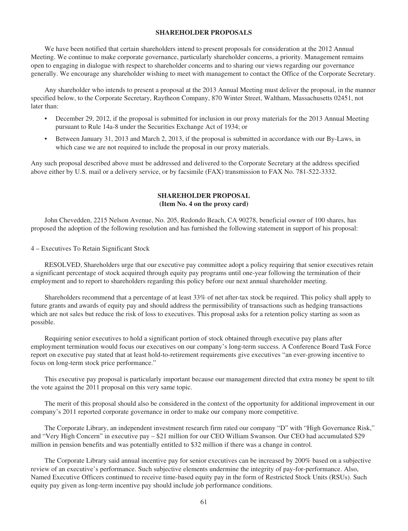# **SHAREHOLDER PROPOSALS**

We have been notified that certain shareholders intend to present proposals for consideration at the 2012 Annual Meeting. We continue to make corporate governance, particularly shareholder concerns, a priority. Management remains open to engaging in dialogue with respect to shareholder concerns and to sharing our views regarding our governance generally. We encourage any shareholder wishing to meet with management to contact the Office of the Corporate Secretary.

Any shareholder who intends to present a proposal at the 2013 Annual Meeting must deliver the proposal, in the manner specified below, to the Corporate Secretary, Raytheon Company, 870 Winter Street, Waltham, Massachusetts 02451, not later than:

- December 29, 2012, if the proposal is submitted for inclusion in our proxy materials for the 2013 Annual Meeting pursuant to Rule 14a-8 under the Securities Exchange Act of 1934; or
- Between January 31, 2013 and March 2, 2013, if the proposal is submitted in accordance with our By-Laws, in which case we are not required to include the proposal in our proxy materials.

Any such proposal described above must be addressed and delivered to the Corporate Secretary at the address specified above either by U.S. mail or a delivery service, or by facsimile (FAX) transmission to FAX No. 781-522-3332.

# **SHAREHOLDER PROPOSAL (Item No. 4 on the proxy card)**

John Chevedden, 2215 Nelson Avenue, No. 205, Redondo Beach, CA 90278, beneficial owner of 100 shares, has proposed the adoption of the following resolution and has furnished the following statement in support of his proposal:

#### 4 – Executives To Retain Significant Stock

RESOLVED, Shareholders urge that our executive pay committee adopt a policy requiring that senior executives retain a significant percentage of stock acquired through equity pay programs until one-year following the termination of their employment and to report to shareholders regarding this policy before our next annual shareholder meeting.

Shareholders recommend that a percentage of at least 33% of net after-tax stock be required. This policy shall apply to future grants and awards of equity pay and should address the permissibility of transactions such as hedging transactions which are not sales but reduce the risk of loss to executives. This proposal asks for a retention policy starting as soon as possible.

Requiring senior executives to hold a significant portion of stock obtained through executive pay plans after employment termination would focus our executives on our company's long-term success. A Conference Board Task Force report on executive pay stated that at least hold-to-retirement requirements give executives "an ever-growing incentive to focus on long-term stock price performance."

This executive pay proposal is particularly important because our management directed that extra money be spent to tilt the vote against the 2011 proposal on this very same topic.

The merit of this proposal should also be considered in the context of the opportunity for additional improvement in our company's 2011 reported corporate governance in order to make our company more competitive.

The Corporate Library, an independent investment research firm rated our company "D" with "High Governance Risk," and "Very High Concern" in executive pay – \$21 million for our CEO William Swanson. Our CEO had accumulated \$29 million in pension benefits and was potentially entitled to \$32 million if there was a change in control.

The Corporate Library said annual incentive pay for senior executives can be increased by 200% based on a subjective review of an executive's performance. Such subjective elements undermine the integrity of pay-for-performance. Also, Named Executive Officers continued to receive time-based equity pay in the form of Restricted Stock Units (RSUs). Such equity pay given as long-term incentive pay should include job performance conditions.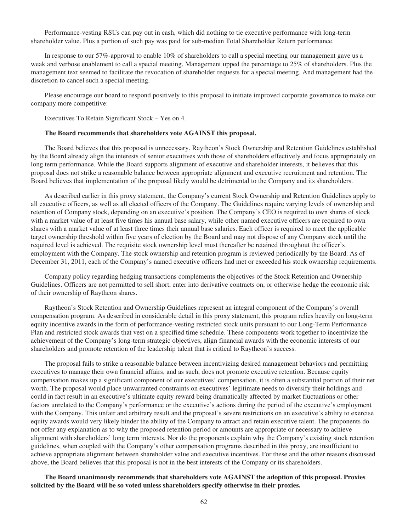Performance-vesting RSUs can pay out in cash, which did nothing to tie executive performance with long-term shareholder value. Plus a portion of such pay was paid for sub-median Total Shareholder Return performance.

In response to our 57%-approval to enable 10% of shareholders to call a special meeting our management gave us a weak and verbose enablement to call a special meeting. Management upped the percentage to 25% of shareholders. Plus the management text seemed to facilitate the revocation of shareholder requests for a special meeting. And management had the discretion to cancel such a special meeting.

Please encourage our board to respond positively to this proposal to initiate improved corporate governance to make our company more competitive:

Executives To Retain Significant Stock – Yes on 4.

### **The Board recommends that shareholders vote AGAINST this proposal.**

The Board believes that this proposal is unnecessary. Raytheon's Stock Ownership and Retention Guidelines established by the Board already align the interests of senior executives with those of shareholders effectively and focus appropriately on long term performance. While the Board supports alignment of executive and shareholder interests, it believes that this proposal does not strike a reasonable balance between appropriate alignment and executive recruitment and retention. The Board believes that implementation of the proposal likely would be detrimental to the Company and its shareholders.

As described earlier in this proxy statement, the Company's current Stock Ownership and Retention Guidelines apply to all executive officers, as well as all elected officers of the Company. The Guidelines require varying levels of ownership and retention of Company stock, depending on an executive's position. The Company's CEO is required to own shares of stock with a market value of at least five times his annual base salary, while other named executive officers are required to own shares with a market value of at least three times their annual base salaries. Each officer is required to meet the applicable target ownership threshold within five years of election by the Board and may not dispose of any Company stock until the required level is achieved. The requisite stock ownership level must thereafter be retained throughout the officer's employment with the Company. The stock ownership and retention program is reviewed periodically by the Board. As of December 31, 2011, each of the Company's named executive officers had met or exceeded his stock ownership requirements.

Company policy regarding hedging transactions complements the objectives of the Stock Retention and Ownership Guidelines. Officers are not permitted to sell short, enter into derivative contracts on, or otherwise hedge the economic risk of their ownership of Raytheon shares.

Raytheon's Stock Retention and Ownership Guidelines represent an integral component of the Company's overall compensation program. As described in considerable detail in this proxy statement, this program relies heavily on long-term equity incentive awards in the form of performance-vesting restricted stock units pursuant to our Long-Term Performance Plan and restricted stock awards that vest on a specified time schedule. These components work together to incentivize the achievement of the Company's long-term strategic objectives, align financial awards with the economic interests of our shareholders and promote retention of the leadership talent that is critical to Raytheon's success.

The proposal fails to strike a reasonable balance between incentivizing desired management behaviors and permitting executives to manage their own financial affairs, and as such, does not promote executive retention. Because equity compensation makes up a significant component of our executives' compensation, it is often a substantial portion of their net worth. The proposal would place unwarranted constraints on executives' legitimate needs to diversify their holdings and could in fact result in an executive's ultimate equity reward being dramatically affected by market fluctuations or other factors unrelated to the Company's performance or the executive's actions during the period of the executive's employment with the Company. This unfair and arbitrary result and the proposal's severe restrictions on an executive's ability to exercise equity awards would very likely hinder the ability of the Company to attract and retain executive talent. The proponents do not offer any explanation as to why the proposed retention period or amounts are appropriate or necessary to achieve alignment with shareholders' long term interests. Nor do the proponents explain why the Company's existing stock retention guidelines, when coupled with the Company's other compensation programs described in this proxy, are insufficient to achieve appropriate alignment between shareholder value and executive incentives. For these and the other reasons discussed above, the Board believes that this proposal is not in the best interests of the Company or its shareholders.

**The Board unanimously recommends that shareholders vote AGAINST the adoption of this proposal. Proxies solicited by the Board will be so voted unless shareholders specify otherwise in their proxies.**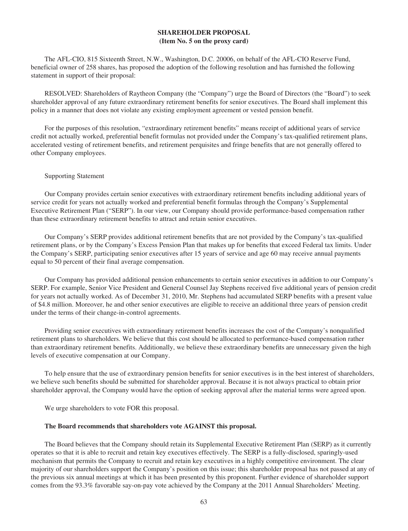# **SHAREHOLDER PROPOSAL (Item No. 5 on the proxy card)**

The AFL-CIO, 815 Sixteenth Street, N.W., Washington, D.C. 20006, on behalf of the AFL-CIO Reserve Fund, beneficial owner of 258 shares, has proposed the adoption of the following resolution and has furnished the following statement in support of their proposal:

RESOLVED: Shareholders of Raytheon Company (the "Company") urge the Board of Directors (the "Board") to seek shareholder approval of any future extraordinary retirement benefits for senior executives. The Board shall implement this policy in a manner that does not violate any existing employment agreement or vested pension benefit.

For the purposes of this resolution, "extraordinary retirement benefits" means receipt of additional years of service credit not actually worked, preferential benefit formulas not provided under the Company's tax-qualified retirement plans, accelerated vesting of retirement benefits, and retirement perquisites and fringe benefits that are not generally offered to other Company employees.

#### Supporting Statement

Our Company provides certain senior executives with extraordinary retirement benefits including additional years of service credit for years not actually worked and preferential benefit formulas through the Company's Supplemental Executive Retirement Plan ("SERP"). In our view, our Company should provide performance-based compensation rather than these extraordinary retirement benefits to attract and retain senior executives.

Our Company's SERP provides additional retirement benefits that are not provided by the Company's tax-qualified retirement plans, or by the Company's Excess Pension Plan that makes up for benefits that exceed Federal tax limits. Under the Company's SERP, participating senior executives after 15 years of service and age 60 may receive annual payments equal to 50 percent of their final average compensation.

Our Company has provided additional pension enhancements to certain senior executives in addition to our Company's SERP. For example, Senior Vice President and General Counsel Jay Stephens received five additional years of pension credit for years not actually worked. As of December 31, 2010, Mr. Stephens had accumulated SERP benefits with a present value of \$4.8 million. Moreover, he and other senior executives are eligible to receive an additional three years of pension credit under the terms of their change-in-control agreements.

Providing senior executives with extraordinary retirement benefits increases the cost of the Company's nonqualified retirement plans to shareholders. We believe that this cost should be allocated to performance-based compensation rather than extraordinary retirement benefits. Additionally, we believe these extraordinary benefits are unnecessary given the high levels of executive compensation at our Company.

To help ensure that the use of extraordinary pension benefits for senior executives is in the best interest of shareholders, we believe such benefits should be submitted for shareholder approval. Because it is not always practical to obtain prior shareholder approval, the Company would have the option of seeking approval after the material terms were agreed upon.

We urge shareholders to vote FOR this proposal.

### **The Board recommends that shareholders vote AGAINST this proposal.**

The Board believes that the Company should retain its Supplemental Executive Retirement Plan (SERP) as it currently operates so that it is able to recruit and retain key executives effectively. The SERP is a fully-disclosed, sparingly-used mechanism that permits the Company to recruit and retain key executives in a highly competitive environment. The clear majority of our shareholders support the Company's position on this issue; this shareholder proposal has not passed at any of the previous six annual meetings at which it has been presented by this proponent. Further evidence of shareholder support comes from the 93.3% favorable say-on-pay vote achieved by the Company at the 2011 Annual Shareholders' Meeting.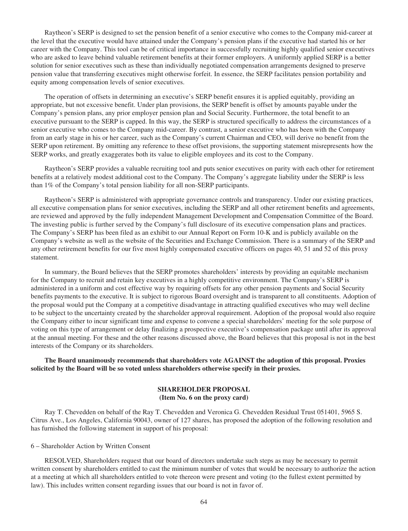Raytheon's SERP is designed to set the pension benefit of a senior executive who comes to the Company mid-career at the level that the executive would have attained under the Company's pension plans if the executive had started his or her career with the Company. This tool can be of critical importance in successfully recruiting highly qualified senior executives who are asked to leave behind valuable retirement benefits at their former employers. A uniformly applied SERP is a better solution for senior executives such as these than individually negotiated compensation arrangements designed to preserve pension value that transferring executives might otherwise forfeit. In essence, the SERP facilitates pension portability and equity among compensation levels of senior executives.

The operation of offsets in determining an executive's SERP benefit ensures it is applied equitably, providing an appropriate, but not excessive benefit. Under plan provisions, the SERP benefit is offset by amounts payable under the Company's pension plans, any prior employer pension plan and Social Security. Furthermore, the total benefit to an executive pursuant to the SERP is capped. In this way, the SERP is structured specifically to address the circumstances of a senior executive who comes to the Company mid-career. By contrast, a senior executive who has been with the Company from an early stage in his or her career, such as the Company's current Chairman and CEO, will derive no benefit from the SERP upon retirement. By omitting any reference to these offset provisions, the supporting statement misrepresents how the SERP works, and greatly exaggerates both its value to eligible employees and its cost to the Company.

Raytheon's SERP provides a valuable recruiting tool and puts senior executives on parity with each other for retirement benefits at a relatively modest additional cost to the Company. The Company's aggregate liability under the SERP is less than 1% of the Company's total pension liability for all non-SERP participants.

Raytheon's SERP is administered with appropriate governance controls and transparency. Under our existing practices, all executive compensation plans for senior executives, including the SERP and all other retirement benefits and agreements, are reviewed and approved by the fully independent Management Development and Compensation Committee of the Board. The investing public is further served by the Company's full disclosure of its executive compensation plans and practices. The Company's SERP has been filed as an exhibit to our Annual Report on Form 10-K and is publicly available on the Company's website as well as the website of the Securities and Exchange Commission. There is a summary of the SERP and any other retirement benefits for our five most highly compensated executive officers on pages 40, 51 and 52 of this proxy statement.

In summary, the Board believes that the SERP promotes shareholders' interests by providing an equitable mechanism for the Company to recruit and retain key executives in a highly competitive environment. The Company's SERP is administered in a uniform and cost effective way by requiring offsets for any other pension payments and Social Security benefits payments to the executive. It is subject to rigorous Board oversight and is transparent to all constituents. Adoption of the proposal would put the Company at a competitive disadvantage in attracting qualified executives who may well decline to be subject to the uncertainty created by the shareholder approval requirement. Adoption of the proposal would also require the Company either to incur significant time and expense to convene a special shareholders' meeting for the sole purpose of voting on this type of arrangement or delay finalizing a prospective executive's compensation package until after its approval at the annual meeting. For these and the other reasons discussed above, the Board believes that this proposal is not in the best interests of the Company or its shareholders.

# **The Board unanimously recommends that shareholders vote AGAINST the adoption of this proposal. Proxies solicited by the Board will be so voted unless shareholders otherwise specify in their proxies.**

# **SHAREHOLDER PROPOSAL (Item No. 6 on the proxy card)**

Ray T. Chevedden on behalf of the Ray T. Chevedden and Veronica G. Chevedden Residual Trust 051401, 5965 S. Citrus Ave., Los Angeles, California 90043, owner of 127 shares, has proposed the adoption of the following resolution and has furnished the following statement in support of his proposal:

### 6 – Shareholder Action by Written Consent

RESOLVED, Shareholders request that our board of directors undertake such steps as may be necessary to permit written consent by shareholders entitled to cast the minimum number of votes that would be necessary to authorize the action at a meeting at which all shareholders entitled to vote thereon were present and voting (to the fullest extent permitted by law). This includes written consent regarding issues that our board is not in favor of.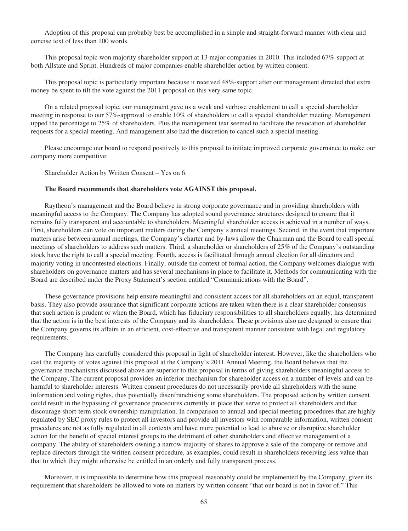Adoption of this proposal can probably best be accomplished in a simple and straight-forward manner with clear and concise text of less than 100 words.

This proposal topic won majority shareholder support at 13 major companies in 2010. This included 67%-support at both Allstate and Sprint. Hundreds of major companies enable shareholder action by written consent.

This proposal topic is particularly important because it received 48%-support after our management directed that extra money be spent to tilt the vote against the 2011 proposal on this very same topic.

On a related proposal topic, our management gave us a weak and verbose enablement to call a special shareholder meeting in response to our 57%-approval to enable 10% of shareholders to call a special shareholder meeting. Management upped the percentage to 25% of shareholders. Plus the management text seemed to facilitate the revocation of shareholder requests for a special meeting. And management also had the discretion to cancel such a special meeting.

Please encourage our board to respond positively to this proposal to initiate improved corporate governance to make our company more competitive:

Shareholder Action by Written Consent – Yes on 6.

#### **The Board recommends that shareholders vote AGAINST this proposal.**

Raytheon's management and the Board believe in strong corporate governance and in providing shareholders with meaningful access to the Company. The Company has adopted sound governance structures designed to ensure that it remains fully transparent and accountable to shareholders. Meaningful shareholder access is achieved in a number of ways. First, shareholders can vote on important matters during the Company's annual meetings. Second, in the event that important matters arise between annual meetings, the Company's charter and by-laws allow the Chairman and the Board to call special meetings of shareholders to address such matters. Third, a shareholder or shareholders of 25% of the Company's outstanding stock have the right to call a special meeting. Fourth, access is facilitated through annual election for all directors and majority voting in uncontested elections. Finally, outside the context of formal action, the Company welcomes dialogue with shareholders on governance matters and has several mechanisms in place to facilitate it. Methods for communicating with the Board are described under the Proxy Statement's section entitled "Communications with the Board".

These governance provisions help ensure meaningful and consistent access for all shareholders on an equal, transparent basis. They also provide assurance that significant corporate actions are taken when there is a clear shareholder consensus that such action is prudent or when the Board, which has fiduciary responsibilities to all shareholders equally, has determined that the action is in the best interests of the Company and its shareholders. These provisions also are designed to ensure that the Company governs its affairs in an efficient, cost-effective and transparent manner consistent with legal and regulatory requirements.

The Company has carefully considered this proposal in light of shareholder interest. However, like the shareholders who cast the majority of votes against this proposal at the Company's 2011 Annual Meeting, the Board believes that the governance mechanisms discussed above are superior to this proposal in terms of giving shareholders meaningful access to the Company. The current proposal provides an inferior mechanism for shareholder access on a number of levels and can be harmful to shareholder interests. Written consent procedures do not necessarily provide all shareholders with the same information and voting rights, thus potentially disenfranchising some shareholders. The proposed action by written consent could result in the bypassing of governance procedures currently in place that serve to protect all shareholders and that discourage short-term stock ownership manipulation. In comparison to annual and special meeting procedures that are highly regulated by SEC proxy rules to protect all investors and provide all investors with comparable information, written consent procedures are not as fully regulated in all contexts and have more potential to lead to abusive or disruptive shareholder action for the benefit of special interest groups to the detriment of other shareholders and effective management of a company. The ability of shareholders owning a narrow majority of shares to approve a sale of the company or remove and replace directors through the written consent procedure, as examples, could result in shareholders receiving less value than that to which they might otherwise be entitled in an orderly and fully transparent process.

Moreover, it is impossible to determine how this proposal reasonably could be implemented by the Company, given its requirement that shareholders be allowed to vote on matters by written consent "that our board is not in favor of." This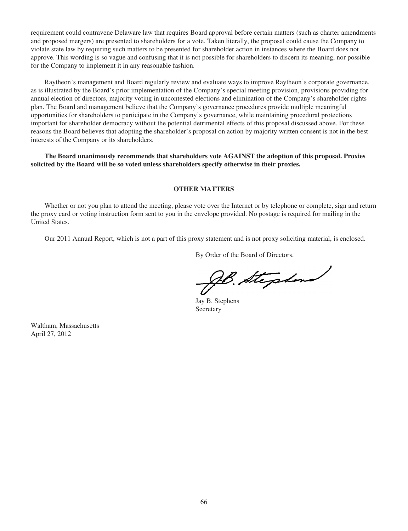requirement could contravene Delaware law that requires Board approval before certain matters (such as charter amendments and proposed mergers) are presented to shareholders for a vote. Taken literally, the proposal could cause the Company to violate state law by requiring such matters to be presented for shareholder action in instances where the Board does not approve. This wording is so vague and confusing that it is not possible for shareholders to discern its meaning, nor possible for the Company to implement it in any reasonable fashion.

Raytheon's management and Board regularly review and evaluate ways to improve Raytheon's corporate governance, as is illustrated by the Board's prior implementation of the Company's special meeting provision, provisions providing for annual election of directors, majority voting in uncontested elections and elimination of the Company's shareholder rights plan. The Board and management believe that the Company's governance procedures provide multiple meaningful opportunities for shareholders to participate in the Company's governance, while maintaining procedural protections important for shareholder democracy without the potential detrimental effects of this proposal discussed above. For these reasons the Board believes that adopting the shareholder's proposal on action by majority written consent is not in the best interests of the Company or its shareholders.

**The Board unanimously recommends that shareholders vote AGAINST the adoption of this proposal. Proxies solicited by the Board will be so voted unless shareholders specify otherwise in their proxies.**

## **OTHER MATTERS**

Whether or not you plan to attend the meeting, please vote over the Internet or by telephone or complete, sign and return the proxy card or voting instruction form sent to you in the envelope provided. No postage is required for mailing in the United States.

Our 2011 Annual Report, which is not a part of this proxy statement and is not proxy soliciting material, is enclosed.

By Order of the Board of Directors,

B. Stephen

Jay B. Stephens Secretary

Waltham, Massachusetts April 27, 2012